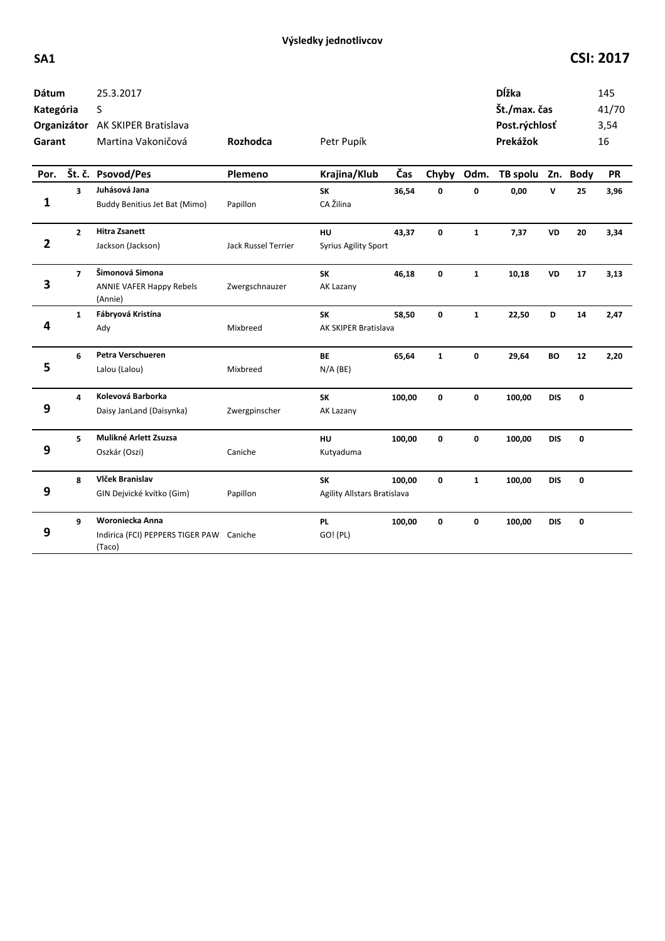## **SA1 CSI: 2017**

| Dátum<br>Kategória<br>Garant<br>Por. |                | 25.3.2017<br>S<br>Organizátor AK SKIPER Bratislava<br>Martina Vakoničová<br>Št. č. Psovod/Pes | Rozhodca<br>Plemeno        | Petr Pupík<br>Krajina/Klub        | Čas    | Chyby        | Odm.         | Dĺžka<br>Št./max. čas<br>Post.rýchlosť<br>Prekážok<br>TB spolu Zn. Body |              |    | 145<br>41/70<br>3,54<br>16<br><b>PR</b> |
|--------------------------------------|----------------|-----------------------------------------------------------------------------------------------|----------------------------|-----------------------------------|--------|--------------|--------------|-------------------------------------------------------------------------|--------------|----|-----------------------------------------|
|                                      | 3              | Juhásová Jana                                                                                 |                            | <b>SK</b>                         | 36,54  | 0            | 0            | 0,00                                                                    | $\mathsf{v}$ | 25 | 3,96                                    |
| 1                                    |                | Buddy Benitius Jet Bat (Mimo)                                                                 | Papillon                   | CA Žilina                         |        |              |              |                                                                         |              |    |                                         |
|                                      | $\overline{2}$ | <b>Hitra Zsanett</b>                                                                          |                            | HU                                | 43,37  | $\mathbf 0$  | $\mathbf{1}$ | 7,37                                                                    | <b>VD</b>    | 20 | 3,34                                    |
| $\overline{2}$                       |                | Jackson (Jackson)                                                                             | <b>Jack Russel Terrier</b> | <b>Syrius Agility Sport</b>       |        |              |              |                                                                         |              |    |                                         |
| 3                                    | $\overline{7}$ | Šimonová Simona<br><b>ANNIE VAFER Happy Rebels</b>                                            | Zwergschnauzer             | <b>SK</b><br>AK Lazany            | 46,18  | 0            | $\mathbf{1}$ | 10,18                                                                   | VD           | 17 | 3,13                                    |
|                                      |                | (Annie)                                                                                       |                            |                                   |        |              |              |                                                                         |              |    |                                         |
| 4                                    | $\mathbf{1}$   | Fábryová Kristína<br>Ady                                                                      | Mixbreed                   | <b>SK</b><br>AK SKIPER Bratislava | 58,50  | 0            | $\mathbf{1}$ | 22,50                                                                   | D            | 14 | 2,47                                    |
|                                      |                |                                                                                               |                            |                                   |        |              |              |                                                                         |              |    |                                         |
| 5                                    | 6              | Petra Verschueren                                                                             |                            | <b>BE</b>                         | 65,64  | $\mathbf{1}$ | 0            | 29,64                                                                   | <b>BO</b>    | 12 | 2,20                                    |
|                                      |                | Lalou (Lalou)                                                                                 | Mixbreed                   | $N/A$ (BE)                        |        |              |              |                                                                         |              |    |                                         |
|                                      | 4              | Kolevová Barborka                                                                             |                            | SK                                | 100,00 | 0            | 0            | 100,00                                                                  | <b>DIS</b>   | 0  |                                         |
| 9                                    |                | Daisy JanLand (Daisynka)                                                                      | Zwergpinscher              | AK Lazany                         |        |              |              |                                                                         |              |    |                                         |
|                                      | 5              | Mulikné Arlett Zsuzsa                                                                         |                            | HU                                | 100,00 | $\mathbf 0$  | $\mathbf 0$  | 100,00                                                                  | <b>DIS</b>   | 0  |                                         |
| 9                                    |                | Oszkár (Oszi)                                                                                 | Caniche                    | Kutyaduma                         |        |              |              |                                                                         |              |    |                                         |
|                                      | 8              | Vlček Branislav                                                                               |                            | <b>SK</b>                         | 100,00 | $\mathbf{0}$ | $\mathbf{1}$ | 100,00                                                                  | <b>DIS</b>   | 0  |                                         |
| 9                                    |                | GIN Dejvické kvítko (Gim)                                                                     | Papillon                   | Agility Allstars Bratislava       |        |              |              |                                                                         |              |    |                                         |
|                                      | 9              | Woroniecka Anna                                                                               |                            | <b>PL</b>                         | 100,00 | $\mathbf{0}$ | 0            | 100,00                                                                  | <b>DIS</b>   | 0  |                                         |
| 9                                    |                | Indirica (FCI) PEPPERS TIGER PAW Caniche<br>(Taco)                                            |                            | GO! (PL)                          |        |              |              |                                                                         |              |    |                                         |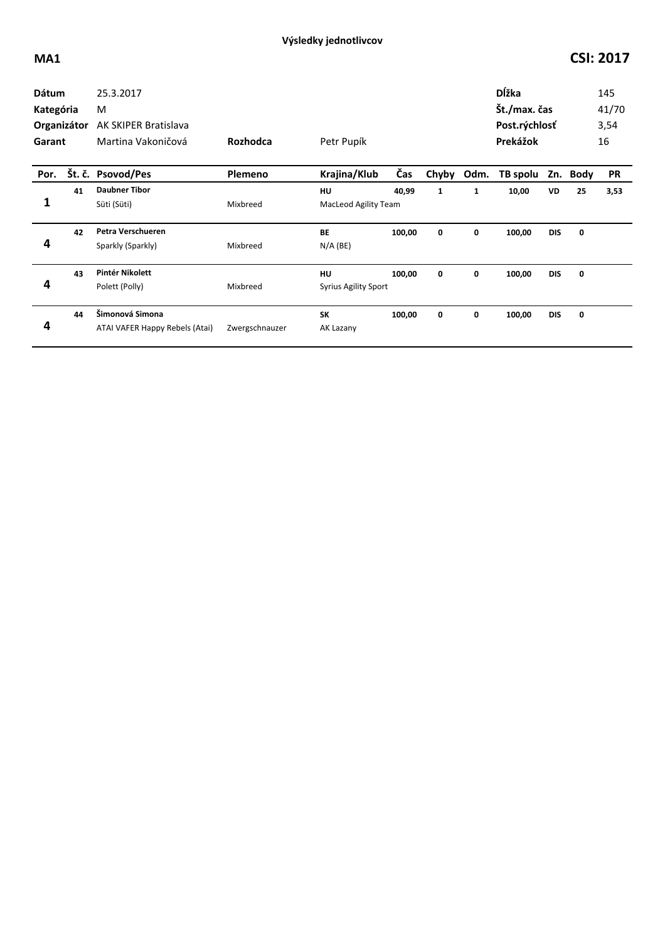| <b>Dátum</b><br>Kategória<br>Organizátor<br>Garant |    | 25.3.2017<br>M<br><b>AK SKIPER Bratislava</b><br>Martina Vakoničová | Rozhodca       | Petr Pupík                        |        |              |      | Dĺžka<br>Št./max. čas<br>Post.rýchlosť<br>Prekážok |            |          | 145<br>41/70<br>3,54<br>16 |
|----------------------------------------------------|----|---------------------------------------------------------------------|----------------|-----------------------------------|--------|--------------|------|----------------------------------------------------|------------|----------|----------------------------|
| Por.                                               |    | Št. č. Psovod/Pes                                                   | Plemeno        | Krajina/Klub                      | Čas    | Chyby        | Odm. | TB spolu                                           |            | Zn. Body | <b>PR</b>                  |
| 1                                                  | 41 | <b>Daubner Tibor</b><br>Süti (Süti)                                 | Mixbreed       | HU<br><b>MacLeod Agility Team</b> | 40,99  | $\mathbf{1}$ | 1    | 10,00                                              | VD         | 25       | 3,53                       |
| 4                                                  | 42 | Petra Verschueren<br>Sparkly (Sparkly)                              | Mixbreed       | <b>BE</b><br>$N/A$ (BE)           | 100,00 | 0            | 0    | 100,00                                             | <b>DIS</b> | 0        |                            |
| 4                                                  | 43 | Pintér Nikolett<br>Polett (Polly)                                   | Mixbreed       | HU<br><b>Syrius Agility Sport</b> | 100,00 | 0            | 0    | 100,00                                             | <b>DIS</b> | 0        |                            |
| 4                                                  | 44 | Šimonová Simona<br>ATAI VAFER Happy Rebels (Atai)                   | Zwergschnauzer | <b>SK</b><br>AK Lazany            | 100,00 | 0            | 0    | 100,00                                             | <b>DIS</b> | 0        |                            |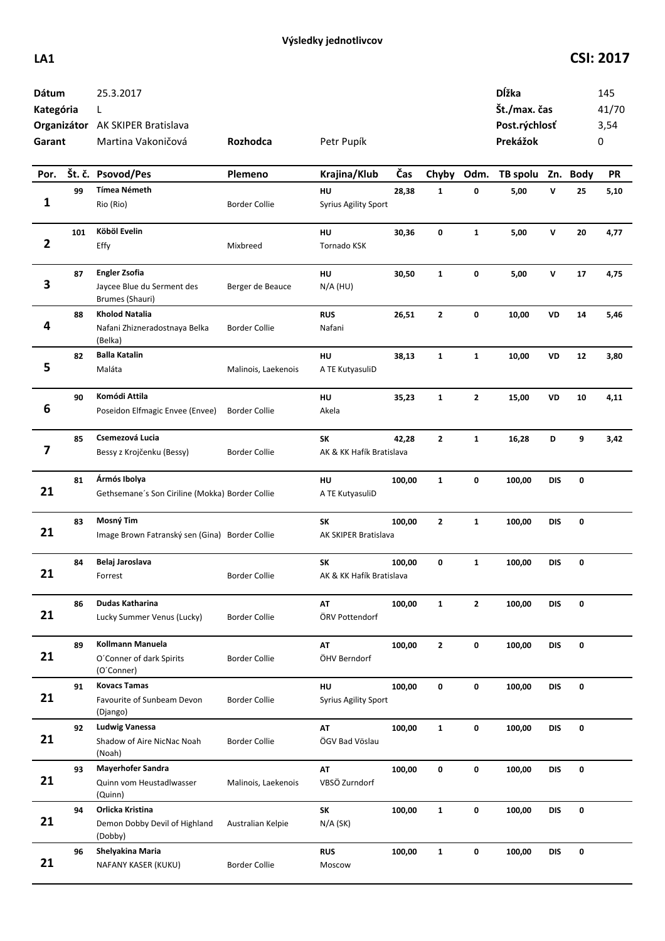## **LA1 CSI: 2017**

| Dátum<br>Kategória<br>Garant |     | 25.3.2017<br>L<br>Organizátor AK SKIPER Bratislava<br>Martina Vakoničová | Rozhodca             | Petr Pupík                        |        |              |              | Dĺžka<br>Št./max. čas<br>Post.rýchlosť<br>Prekážok |              |    | 145<br>41/70<br>3,54<br>0 |
|------------------------------|-----|--------------------------------------------------------------------------|----------------------|-----------------------------------|--------|--------------|--------------|----------------------------------------------------|--------------|----|---------------------------|
| Por.                         |     | Št. č. Psovod/Pes                                                        | Plemeno              | Krajina/Klub                      | Čas    | Chyby Odm.   |              | TB spolu Zn. Body                                  |              |    | PR                        |
|                              | 99  | <b>Tímea Németh</b>                                                      |                      | HU                                | 28,38  | 1            | 0            | 5,00                                               | V            | 25 | 5,10                      |
| 1                            |     | Rio (Rio)                                                                | <b>Border Collie</b> | <b>Syrius Agility Sport</b>       |        |              |              |                                                    |              |    |                           |
| $\overline{2}$               | 101 | Köböl Evelin<br>Effy                                                     | Mixbreed             | HU<br>Tornado KSK                 | 30,36  | 0            | $\mathbf{1}$ | 5,00                                               | $\mathsf{v}$ | 20 | 4,77                      |
| 3                            | 87  | <b>Engler Zsofia</b><br>Jaycee Blue du Serment des<br>Brumes (Shauri)    | Berger de Beauce     | HU<br>$N/A$ (HU)                  | 30,50  | $\mathbf{1}$ | 0            | 5,00                                               | V            | 17 | 4,75                      |
| 4                            | 88  | <b>Kholod Natalia</b><br>Nafani Zhizneradostnaya Belka<br>(Belka)        | <b>Border Collie</b> | <b>RUS</b><br>Nafani              | 26,51  | 2            | 0            | 10,00                                              | VD           | 14 | 5,46                      |
| 5                            | 82  | <b>Balla Katalin</b><br>Maláta                                           | Malinois, Laekenois  | HU<br>A TE KutyasuliD             | 38,13  | $\mathbf{1}$ | $\mathbf{1}$ | 10,00                                              | VD           | 12 | 3,80                      |
| 6                            | 90  | Komódi Attila<br>Poseidon Elfmagic Envee (Envee)                         | <b>Border Collie</b> | HU<br>Akela                       | 35,23  | $\mathbf{1}$ | 2            | 15,00                                              | VD           | 10 | 4,11                      |
| 7                            | 85  | Csemezová Lucia<br>Bessy z Krojčenku (Bessy)                             | <b>Border Collie</b> | SK<br>AK & KK Hafík Bratislava    | 42,28  | $\mathbf{2}$ | $\mathbf{1}$ | 16,28                                              | D            | 9  | 3,42                      |
| 21                           | 81  | Ármós Ibolya<br>Gethsemane's Son Ciriline (Mokka) Border Collie          |                      | HU<br>A TE KutyasuliD             | 100,00 | $\mathbf{1}$ | 0            | 100,00                                             | <b>DIS</b>   | 0  |                           |
| 21                           | 83  | Mosný Tim<br>Image Brown Fatranský sen (Gina) Border Collie              |                      | SK<br>AK SKIPER Bratislava        | 100,00 | $\mathbf{2}$ | $\mathbf{1}$ | 100,00                                             | <b>DIS</b>   | 0  |                           |
| 21                           | 84  | Belaj Jaroslava<br>Forrest                                               | <b>Border Collie</b> | SK<br>AK & KK Hafík Bratislava    | 100,00 | 0            | $\mathbf{1}$ | 100,00                                             | <b>DIS</b>   | 0  |                           |
| 21                           | 86  | Dudas Katharina<br>Lucky Summer Venus (Lucky)                            | <b>Border Collie</b> | AT<br>ÖRV Pottendorf              | 100,00 | $\mathbf{1}$ | $\mathbf{2}$ | 100,00                                             | <b>DIS</b>   | 0  |                           |
| 21                           | 89  | <b>Kollmann Manuela</b><br>O'Conner of dark Spirits<br>(O'Conner)        | <b>Border Collie</b> | AT<br>ÖHV Berndorf                | 100,00 | $\mathbf{2}$ | 0            | 100,00                                             | <b>DIS</b>   | 0  |                           |
| 21                           | 91  | <b>Kovacs Tamas</b><br>Favourite of Sunbeam Devon<br>(Django)            | <b>Border Collie</b> | HU<br><b>Syrius Agility Sport</b> | 100,00 | 0            | 0            | 100,00                                             | <b>DIS</b>   | 0  |                           |
| 21                           | 92  | <b>Ludwig Vanessa</b><br>Shadow of Aire NicNac Noah<br>(Noah)            | <b>Border Collie</b> | AT<br>ÖGV Bad Vöslau              | 100,00 | $\mathbf{1}$ | 0            | 100,00                                             | DIS          | 0  |                           |
| 21                           | 93  | Mayerhofer Sandra<br>Quinn vom Heustadlwasser<br>(Quinn)                 | Malinois, Laekenois  | AT<br>VBSÖ Zurndorf               | 100,00 | 0            | 0            | 100,00                                             | DIS          | 0  |                           |
| 21                           | 94  | Orlicka Kristina<br>Demon Dobby Devil of Highland<br>(Dobby)             | Australian Kelpie    | SK<br>$N/A$ (SK)                  | 100,00 | $\mathbf{1}$ | 0            | 100,00                                             | <b>DIS</b>   | 0  |                           |
| 21                           | 96  | Shelyakina Maria<br>NAFANY KASER (KUKU)                                  | <b>Border Collie</b> | <b>RUS</b><br>Moscow              | 100,00 | $\mathbf{1}$ | 0            | 100,00                                             | <b>DIS</b>   | 0  |                           |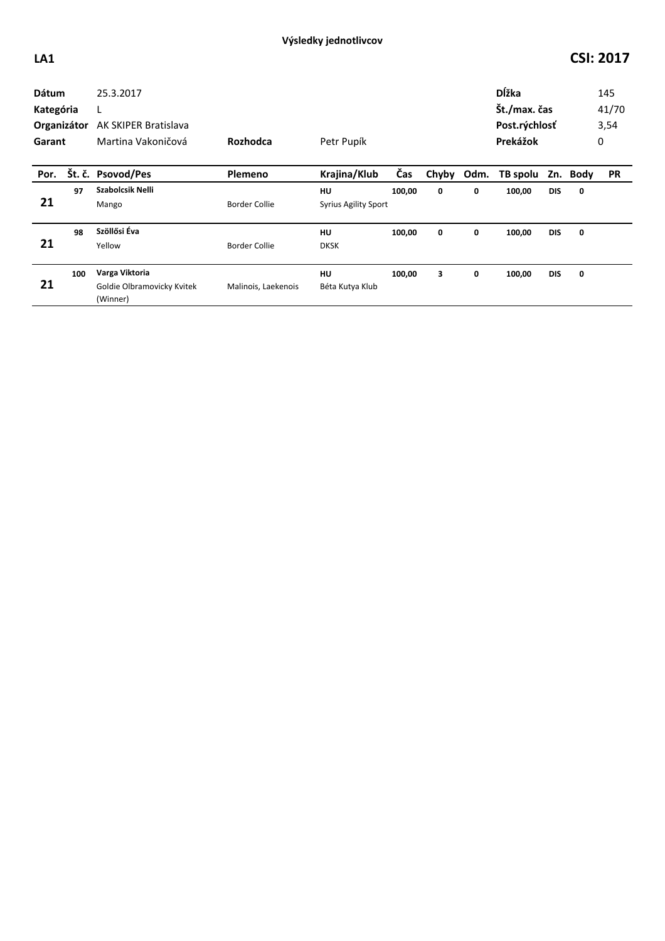## **LA1 CSI: 2017**

| <b>Dátum</b><br>Kategória<br>Organizátor<br>Garant |     | 25.3.2017<br>L<br>AK SKIPER Bratislava<br>Martina Vakoničová | Rozhodca             | Petr Pupík                        |        |       |      | Dĺžka<br>Št./max. čas<br>Post.rýchlosť<br>Prekážok |            |             | 145<br>41/70<br>3,54<br>0 |
|----------------------------------------------------|-----|--------------------------------------------------------------|----------------------|-----------------------------------|--------|-------|------|----------------------------------------------------|------------|-------------|---------------------------|
| Por.                                               |     | Št. č. Psovod/Pes                                            | Plemeno              | Krajina/Klub                      | Čas    | Chyby | Odm. | TB spolu                                           | Zn.        | <b>Body</b> | <b>PR</b>                 |
| 21                                                 | 97  | Szabolcsik Nelli<br>Mango                                    | <b>Border Collie</b> | HU<br><b>Syrius Agility Sport</b> | 100,00 | 0     | 0    | 100,00                                             | <b>DIS</b> | 0           |                           |
| 21                                                 | 98  | Szöllősi Éva<br>Yellow                                       | <b>Border Collie</b> | <b>HU</b><br><b>DKSK</b>          | 100,00 | 0     | 0    | 100,00                                             | <b>DIS</b> | 0           |                           |
| 21                                                 | 100 | Varga Viktoria<br>Goldie Olbramovicky Kvitek<br>(Winner)     | Malinois, Laekenois  | HU<br>Béta Kutya Klub             | 100,00 | 3     | 0    | 100,00                                             | <b>DIS</b> | 0           |                           |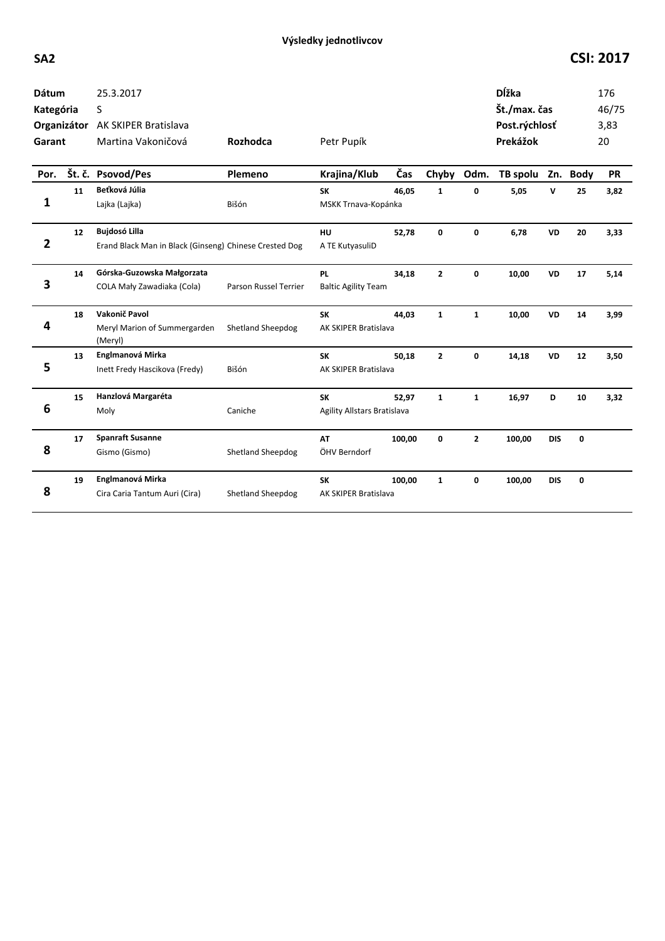## **SA2 CSI: 2017**

| <b>Dátum</b><br>Kategória |    | 25.3.2017<br>S<br>Organizátor AK SKIPER Bratislava                             |                          |                                          |        |              |                | Dĺžka<br>Št./max. čas<br>Post.rýchlosť |            |    | 176<br>46/75<br>3,83 |
|---------------------------|----|--------------------------------------------------------------------------------|--------------------------|------------------------------------------|--------|--------------|----------------|----------------------------------------|------------|----|----------------------|
| Garant                    |    | Martina Vakoničová                                                             | Rozhodca                 | Petr Pupík                               |        |              |                | Prekážok                               |            |    | 20                   |
| Por.                      |    | Št. č. Psovod/Pes                                                              | Plemeno                  | Krajina/Klub                             | Čas    | Chyby        | Odm.           | TB spolu Zn. Body                      |            |    | <b>PR</b>            |
| 1                         | 11 | Beťková Júlia<br>Lajka (Lajka)                                                 | Bišón                    | <b>SK</b><br>MSKK Trnava-Kopánka         | 46,05  | $\mathbf{1}$ | 0              | 5,05                                   | v          | 25 | 3,82                 |
| $\overline{\mathbf{2}}$   | 12 | <b>Bujdosó Lilla</b><br>Erand Black Man in Black (Ginseng) Chinese Crested Dog |                          | HU<br>A TE KutyasuliD                    | 52.78  | 0            | 0              | 6,78                                   | <b>VD</b>  | 20 | 3,33                 |
| 3                         | 14 | Górska-Guzowska Małgorzata<br>COLA Mały Zawadiaka (Cola)                       | Parson Russel Terrier    | <b>PL</b><br><b>Baltic Agility Team</b>  | 34,18  | $\mathbf{2}$ | 0              | 10,00                                  | <b>VD</b>  | 17 | 5,14                 |
| 4                         | 18 | Vakonič Pavol<br>Meryl Marion of Summergarden<br>(Meryl)                       | <b>Shetland Sheepdog</b> | <b>SK</b><br>AK SKIPER Bratislava        | 44.03  | $\mathbf{1}$ | $\mathbf{1}$   | 10,00                                  | <b>VD</b>  | 14 | 3,99                 |
| 5                         | 13 | Englmanová Mirka<br>Inett Fredy Hascikova (Fredy)                              | Bišón                    | <b>SK</b><br>AK SKIPER Bratislava        | 50,18  | $\mathbf{2}$ | 0              | 14,18                                  | <b>VD</b>  | 12 | 3,50                 |
| 6                         | 15 | Hanzlová Margaréta<br>Moly                                                     | Caniche                  | <b>SK</b><br>Agility Allstars Bratislava | 52,97  | $\mathbf{1}$ | $\mathbf{1}$   | 16,97                                  | D          | 10 | 3,32                 |
| 8                         | 17 | <b>Spanraft Susanne</b><br>Gismo (Gismo)                                       | Shetland Sheepdog        | <b>AT</b><br>ÖHV Berndorf                | 100,00 | 0            | $\overline{2}$ | 100,00                                 | <b>DIS</b> | 0  |                      |
| 8                         | 19 | Englmanová Mirka<br>Cira Caria Tantum Auri (Cira)                              | <b>Shetland Sheepdog</b> | <b>SK</b><br>AK SKIPER Bratislava        | 100,00 | $\mathbf{1}$ | 0              | 100,00                                 | <b>DIS</b> | 0  |                      |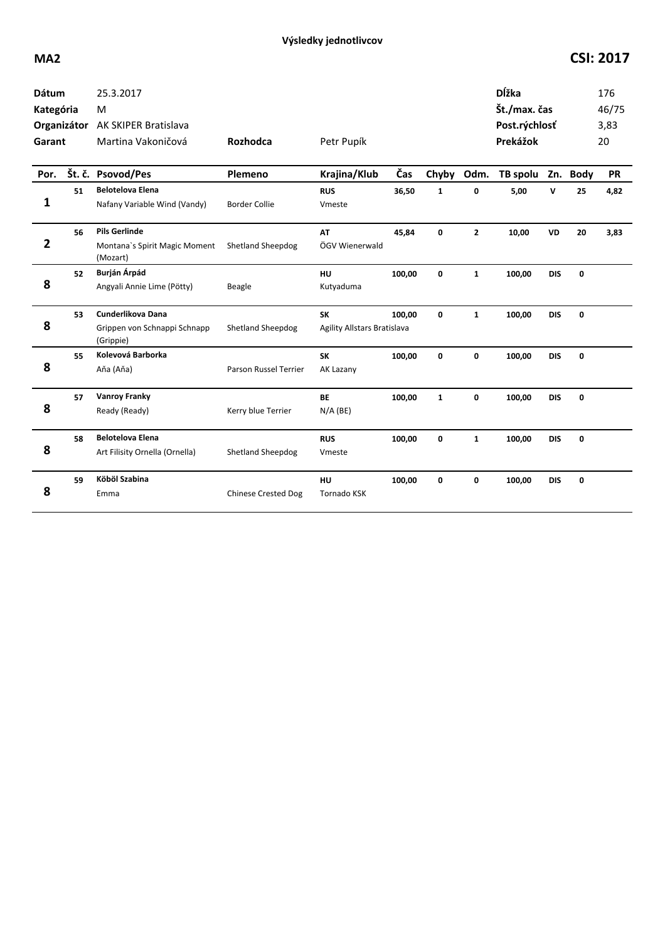| <b>Dátum</b><br>Kategória<br>Organizátor<br>Garant |        | 25.3.2017<br>M<br>AK SKIPER Bratislava<br>Martina Vakoničová      | Rozhodca                   | Petr Pupík                               |        |              |                | <b>D</b> ĺžka<br>Št./max. čas<br>Post.rýchlosť<br>Prekážok |            |             | 176<br>46/75<br>3,83<br>20 |
|----------------------------------------------------|--------|-------------------------------------------------------------------|----------------------------|------------------------------------------|--------|--------------|----------------|------------------------------------------------------------|------------|-------------|----------------------------|
| Por.                                               | Št. č. | <b>Psovod/Pes</b>                                                 | Plemeno                    | Krajina/Klub                             | Čas    | Chyby        | Odm.           | TB spolu Zn. Body                                          |            |             | <b>PR</b>                  |
| 1                                                  | 51     | <b>Belotelova Elena</b><br>Nafany Variable Wind (Vandy)           | <b>Border Collie</b>       | <b>RUS</b><br>Vmeste                     | 36,50  | $\mathbf{1}$ | 0              | 5,00                                                       | v          | 25          | 4,82                       |
| $\overline{2}$                                     | 56     | <b>Pils Gerlinde</b><br>Montana's Spirit Magic Moment<br>(Mozart) | <b>Shetland Sheepdog</b>   | AT<br>ÖGV Wienerwald                     | 45,84  | 0            | $\overline{2}$ | 10,00                                                      | <b>VD</b>  | 20          | 3,83                       |
| 8                                                  | 52     | Burján Árpád<br>Angyali Annie Lime (Pötty)                        | Beagle                     | <b>HU</b><br>Kutyaduma                   | 100,00 | $\mathbf{0}$ | $\mathbf{1}$   | 100,00                                                     | <b>DIS</b> | $\mathbf 0$ |                            |
| 8                                                  | 53     | Cunderlikova Dana<br>Grippen von Schnappi Schnapp<br>(Grippie)    | <b>Shetland Sheepdog</b>   | <b>SK</b><br>Agility Allstars Bratislava | 100,00 | 0            | $\mathbf{1}$   | 100,00                                                     | <b>DIS</b> | $\mathbf 0$ |                            |
| 8                                                  | 55     | Kolevová Barborka<br>Aňa (Aňa)                                    | Parson Russel Terrier      | <b>SK</b><br>AK Lazany                   | 100,00 | 0            | 0              | 100,00                                                     | <b>DIS</b> | $\mathbf 0$ |                            |
| 8                                                  | 57     | <b>Vanroy Franky</b><br>Ready (Ready)                             | Kerry blue Terrier         | <b>BE</b><br>$N/A$ (BE)                  | 100,00 | $\mathbf{1}$ | 0              | 100,00                                                     | <b>DIS</b> | 0           |                            |
| 8                                                  | 58     | <b>Belotelova Elena</b><br>Art Filisity Ornella (Ornella)         | Shetland Sheepdog          | <b>RUS</b><br>Vmeste                     | 100,00 | 0            | $\mathbf{1}$   | 100,00                                                     | <b>DIS</b> | $\mathbf 0$ |                            |
| 8                                                  | 59     | Köböl Szabina<br>Emma                                             | <b>Chinese Crested Dog</b> | HU<br><b>Tornado KSK</b>                 | 100,00 | 0            | 0              | 100,00                                                     | <b>DIS</b> | $\mathbf 0$ |                            |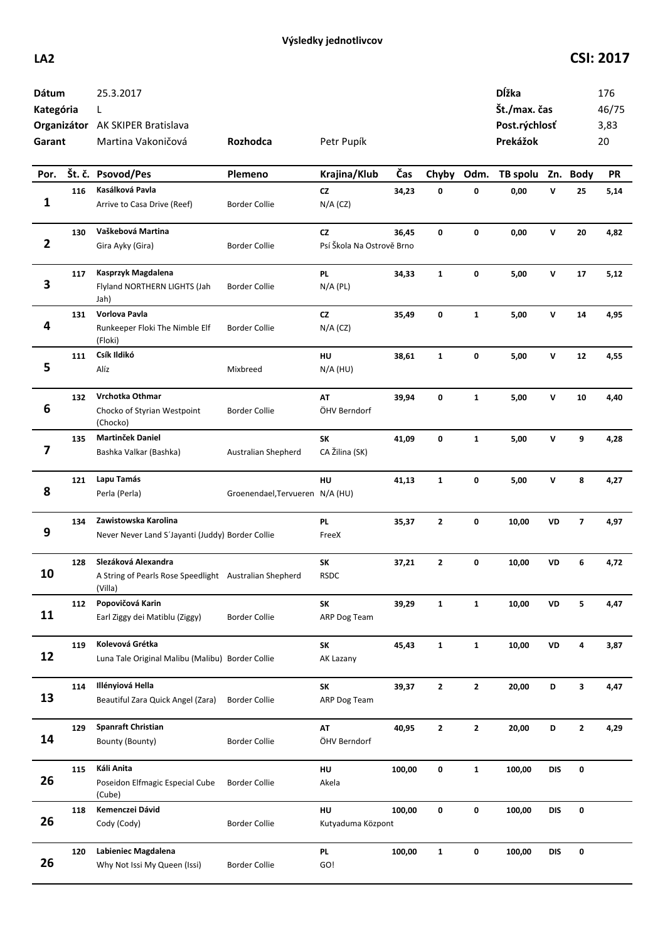## **LA2 CSI: 2017**

| Dátum<br>Kategória<br>Garant |     | 25.3.2017<br>L<br>Organizátor AK SKIPER Bratislava<br>Martina Vakoničová                 | Rozhodca                        | Petr Pupík                      |        |              |              | Dĺžka<br>Št./max. čas<br>Post.rýchlosť<br>Prekážok |              |                         | 176<br>46/75<br>3,83<br>20 |
|------------------------------|-----|------------------------------------------------------------------------------------------|---------------------------------|---------------------------------|--------|--------------|--------------|----------------------------------------------------|--------------|-------------------------|----------------------------|
| Por.                         |     | Št. č. Psovod/Pes                                                                        | Plemeno                         | Krajina/Klub                    | Čas    | Chyby        | Odm.         | TB spolu Zn. Body                                  |              |                         | <b>PR</b>                  |
| 1                            | 116 | Kasálková Pavla<br>Arrive to Casa Drive (Reef)                                           | Border Collie                   | <b>CZ</b><br>$N/A$ (CZ)         | 34,23  | 0            | 0            | 0,00                                               | V            | 25                      | 5,14                       |
| 2                            | 130 | Vaškebová Martina<br>Gira Ayky (Gira)                                                    | <b>Border Collie</b>            | CZ<br>Psí Škola Na Ostrově Brno | 36,45  | $\mathbf{0}$ | 0            | 0,00                                               | $\mathsf{v}$ | 20                      | 4,82                       |
| 3                            | 117 | Kasprzyk Magdalena<br>Flyland NORTHERN LIGHTS (Jah<br>Jah)                               | <b>Border Collie</b>            | <b>PL</b><br>$N/A$ (PL)         | 34,33  | $\mathbf{1}$ | 0            | 5,00                                               | v            | 17                      | 5,12                       |
| 4                            | 131 | Vorlova Pavla<br>Runkeeper Floki The Nimble Elf<br>(Floki)                               | <b>Border Collie</b>            | <b>CZ</b><br>$N/A$ (CZ)         | 35,49  | 0            | $\mathbf{1}$ | 5,00                                               | v            | 14                      | 4,95                       |
| 5                            | 111 | Csík Ildikó<br>Alíz                                                                      | Mixbreed                        | HU<br>$N/A$ (HU)                | 38,61  | $\mathbf{1}$ | 0            | 5,00                                               | V            | 12                      | 4,55                       |
| 6                            | 132 | Vrchotka Othmar<br>Chocko of Styrian Westpoint<br>(Chocko)                               | <b>Border Collie</b>            | AT<br>ÖHV Berndorf              | 39,94  | 0            | $\mathbf{1}$ | 5,00                                               | V            | 10                      | 4,40                       |
| 7                            | 135 | Martinček Daniel<br>Bashka Valkar (Bashka)                                               | Australian Shepherd             | <b>SK</b><br>CA Žilina (SK)     | 41,09  | 0            | $\mathbf{1}$ | 5,00                                               | V            | 9                       | 4,28                       |
| 8                            | 121 | Lapu Tamás<br>Perla (Perla)                                                              | Groenendael, Tervueren N/A (HU) | <b>HU</b>                       | 41,13  | $\mathbf{1}$ | 0            | 5,00                                               | V            | 8                       | 4,27                       |
| 9                            | 134 | Zawistowska Karolina<br>Never Never Land S'Jayanti (Juddy) Border Collie                 |                                 | <b>PL</b><br>FreeX              | 35,37  | $\mathbf{z}$ | 0            | 10,00                                              | VD           | $\overline{\mathbf{z}}$ | 4,97                       |
| 10                           | 128 | Slezáková Alexandra<br>A String of Pearls Rose Speedlight Australian Shepherd<br>(Villa) |                                 | <b>SK</b><br>RSDC               | 37,21  | $\mathbf{2}$ | 0            | 10,00                                              | VD           | 6                       | 4,72                       |
| 11                           | 112 | Popovičová Karin<br>Earl Ziggy dei Matiblu (Ziggy)                                       | <b>Border Collie</b>            | SK<br>ARP Dog Team              | 39,29  | $\mathbf{1}$ | $\mathbf{1}$ | 10,00                                              | VD           | 5                       | 4,47                       |
| 12                           | 119 | Kolevová Grétka<br>Luna Tale Original Malibu (Malibu) Border Collie                      |                                 | <b>SK</b><br>AK Lazany          | 45,43  | $\mathbf{1}$ | $\mathbf{1}$ | 10,00                                              | VD           | 4                       | 3,87                       |
| 13                           | 114 | Illényiová Hella<br>Beautiful Zara Quick Angel (Zara)                                    | <b>Border Collie</b>            | SK<br>ARP Dog Team              | 39,37  | $\mathbf{2}$ | $\mathbf 2$  | 20,00                                              | D            | 3                       | 4,47                       |
| 14                           | 129 | <b>Spanraft Christian</b><br>Bounty (Bounty)                                             | <b>Border Collie</b>            | AT<br>ÖHV Berndorf              | 40,95  | $\mathbf{2}$ | $\mathbf{2}$ | 20,00                                              | D            | $\mathbf{2}$            | 4,29                       |
| 26                           | 115 | Káli Anita<br>Poseidon Elfmagic Especial Cube<br>(Cube)                                  | <b>Border Collie</b>            | HU<br>Akela                     | 100,00 | 0            | $\mathbf{1}$ | 100,00                                             | <b>DIS</b>   | 0                       |                            |
| 26                           | 118 | Kemenczei Dávid<br>Cody (Cody)                                                           | <b>Border Collie</b>            | HU<br>Kutyaduma Központ         | 100,00 | 0            | 0            | 100,00                                             | <b>DIS</b>   | 0                       |                            |
| 26                           | 120 | Labieniec Magdalena<br>Why Not Issi My Queen (Issi)                                      | <b>Border Collie</b>            | <b>PL</b><br>GO!                | 100,00 | $\mathbf{1}$ | 0            | 100,00                                             | <b>DIS</b>   | 0                       |                            |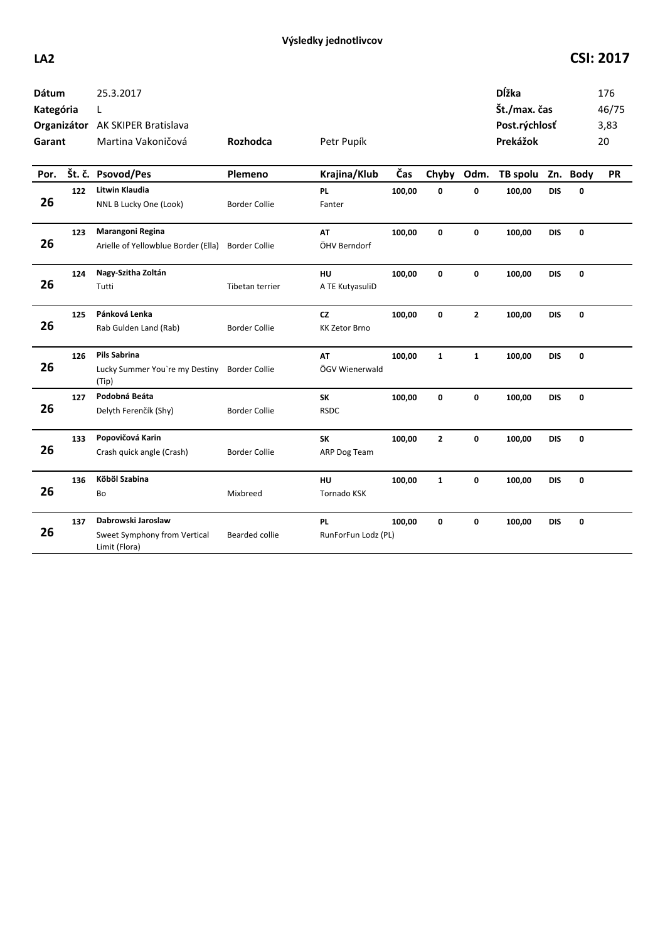## **LA2 CSI: 2017**

| Dátum<br>Kategória<br>Garant<br>Por. |     | 25.3.2017<br>L<br>Organizátor AK SKIPER Bratislava<br>Martina Vakoničová<br>Št. č. Psovod/Pes | <b>Rozhodca</b><br>Plemeno | Petr Pupík<br>Krajina/Klub       | Čas    | Chyby          | Odm.           | Dĺžka<br>Št./max. čas<br>Post.rýchlosť<br>Prekážok<br>TB spolu Zn. Body |            |   | 176<br>46/75<br>3,83<br>20<br><b>PR</b> |
|--------------------------------------|-----|-----------------------------------------------------------------------------------------------|----------------------------|----------------------------------|--------|----------------|----------------|-------------------------------------------------------------------------|------------|---|-----------------------------------------|
| 26                                   | 122 | Litwin Klaudia<br>NNL B Lucky One (Look)                                                      | <b>Border Collie</b>       | <b>PL</b><br>Fanter              | 100,00 | $\mathbf 0$    | 0              | 100,00                                                                  | <b>DIS</b> | 0 |                                         |
| 26                                   | 123 | Marangoni Regina<br>Arielle of Yellowblue Border (Ella)                                       | <b>Border Collie</b>       | AT<br>ÖHV Berndorf               | 100,00 | 0              | $\mathbf 0$    | 100,00                                                                  | <b>DIS</b> | 0 |                                         |
| 26                                   | 124 | Nagy-Szitha Zoltán<br>Tutti                                                                   | Tibetan terrier            | HU<br>A TE KutyasuliD            | 100,00 | 0              | 0              | 100,00                                                                  | <b>DIS</b> | 0 |                                         |
| 26                                   | 125 | Pánková Lenka<br>Rab Gulden Land (Rab)                                                        | <b>Border Collie</b>       | CZ<br><b>KK Zetor Brno</b>       | 100,00 | $\mathbf 0$    | $\overline{2}$ | 100,00                                                                  | <b>DIS</b> | 0 |                                         |
| 26                                   | 126 | <b>Pils Sabrina</b><br>Lucky Summer You're my Destiny<br>(Tip)                                | <b>Border Collie</b>       | <b>AT</b><br>ÖGV Wienerwald      | 100,00 | $\mathbf{1}$   | $\mathbf{1}$   | 100,00                                                                  | <b>DIS</b> | 0 |                                         |
| 26                                   | 127 | Podobná Beáta<br>Delyth Ferenčík (Shy)                                                        | <b>Border Collie</b>       | SK<br><b>RSDC</b>                | 100,00 | 0              | $\mathbf 0$    | 100,00                                                                  | <b>DIS</b> | 0 |                                         |
| 26                                   | 133 | Popovičová Karin<br>Crash quick angle (Crash)                                                 | <b>Border Collie</b>       | <b>SK</b><br>ARP Dog Team        | 100,00 | $\overline{2}$ | $\mathbf 0$    | 100,00                                                                  | <b>DIS</b> | 0 |                                         |
| 26                                   | 136 | Köböl Szabina<br>Bo                                                                           | Mixbreed                   | HU<br><b>Tornado KSK</b>         | 100,00 | $\mathbf{1}$   | 0              | 100,00                                                                  | <b>DIS</b> | 0 |                                         |
| 26                                   | 137 | Dabrowski Jaroslaw<br>Sweet Symphony from Vertical<br>Limit (Flora)                           | Bearded collie             | <b>PL</b><br>RunForFun Lodz (PL) | 100,00 | 0              | $\mathbf 0$    | 100,00                                                                  | <b>DIS</b> | 0 |                                         |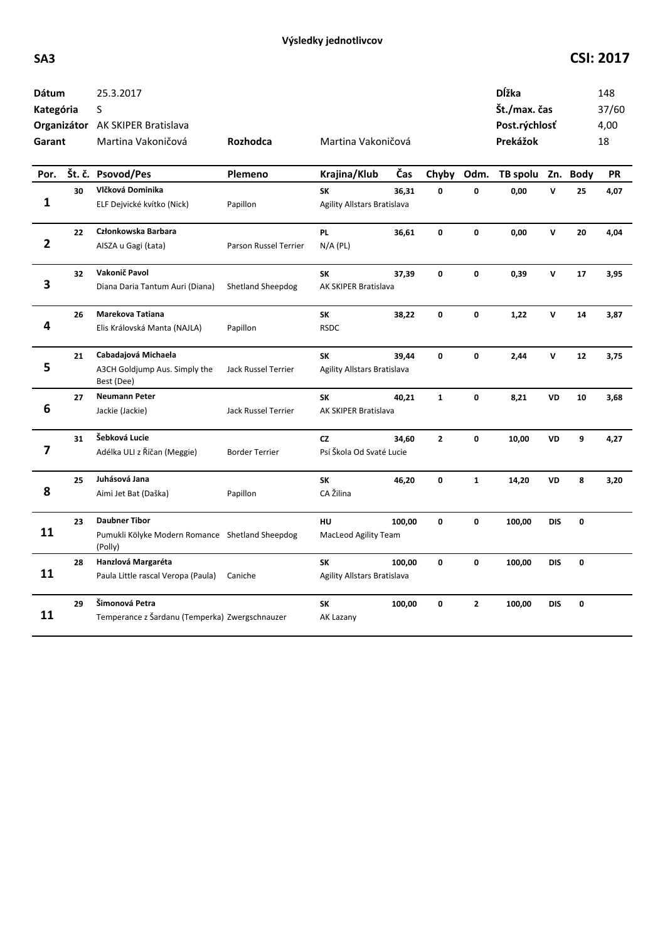## **SA3 CSI: 2017**

| <b>Dátum</b><br>Kategória<br>Garant |    | 25.3.2017<br>S<br>Organizátor AK SKIPER Bratislava<br>Martina Vakoničová           | Rozhodca                 | Martina Vakoničová                       |        |              |                | <b>D</b> ĺžka<br>Št./max. čas<br>Post.rýchlosť<br>Prekážok |              |             | 148<br>37/60<br>4,00<br>18 |
|-------------------------------------|----|------------------------------------------------------------------------------------|--------------------------|------------------------------------------|--------|--------------|----------------|------------------------------------------------------------|--------------|-------------|----------------------------|
| Por.                                |    | Št. č. Psovod/Pes                                                                  | <b>Plemeno</b>           | Krajina/Klub                             | Čas    | Chyby        | Odm.           | TB spolu Zn. Body                                          |              |             | <b>PR</b>                  |
| 1                                   | 30 | Vlčková Dominika<br>ELF Dejvické kvítko (Nick)                                     | Papillon                 | SK<br><b>Agility Allstars Bratislava</b> | 36,31  | 0            | 0              | 0,00                                                       | $\mathbf v$  | 25          | 4,07                       |
| $\overline{2}$                      | 22 | Członkowska Barbara<br>AISZA u Gagi (Łata)                                         | Parson Russel Terrier    | <b>PL</b><br>$N/A$ (PL)                  | 36,61  | 0            | 0              | 0,00                                                       | $\mathsf{v}$ | 20          | 4,04                       |
| 3                                   | 32 | Vakonič Pavol<br>Diana Daria Tantum Auri (Diana)                                   | <b>Shetland Sheepdog</b> | SΚ<br>AK SKIPER Bratislava               | 37,39  | 0            | 0              | 0,39                                                       | v            | 17          | 3,95                       |
| 4                                   | 26 | Marekova Tatiana<br>Elis Královská Manta (NAJLA)                                   | Papillon                 | SK<br><b>RSDC</b>                        | 38,22  | 0            | 0              | 1,22                                                       | v            | 14          | 3,87                       |
| 5                                   | 21 | Cabadajová Michaela<br>A3CH Goldjump Aus. Simply the<br>Best (Dee)                 | Jack Russel Terrier      | <b>SK</b><br>Agility Allstars Bratislava | 39,44  | 0            | 0              | 2,44                                                       | v            | 12          | 3,75                       |
| 6                                   | 27 | <b>Neumann Peter</b><br>Jackie (Jackie)                                            | Jack Russel Terrier      | <b>SK</b><br>AK SKIPER Bratislava        | 40,21  | $\mathbf{1}$ | 0              | 8,21                                                       | <b>VD</b>    | 10          | 3,68                       |
| 7                                   | 31 | Šebková Lucie<br>Adélka ULI z Říčan (Meggie)                                       | <b>Border Terrier</b>    | <b>CZ</b><br>Psí Škola Od Svaté Lucie    | 34,60  | $\mathbf{2}$ | $\pmb{0}$      | 10,00                                                      | <b>VD</b>    | 9           | 4,27                       |
| 8                                   | 25 | Juhásová Jana<br>Aimi Jet Bat (Daška)                                              | Papillon                 | SK<br>CA Žilina                          | 46,20  | 0            | $\mathbf{1}$   | 14,20                                                      | VD           | 8           | 3,20                       |
| 11                                  | 23 | <b>Daubner Tibor</b><br>Pumukli Kölyke Modern Romance Shetland Sheepdog<br>(Polly) |                          | HU<br>MacLeod Agility Team               | 100,00 | 0            | 0              | 100,00                                                     | <b>DIS</b>   | $\pmb{0}$   |                            |
| 11                                  | 28 | Hanzlová Margaréta<br>Paula Little rascal Veropa (Paula)                           | Caniche                  | <b>SK</b><br>Agility Allstars Bratislava | 100,00 | 0            | 0              | 100,00                                                     | <b>DIS</b>   | $\pmb{0}$   |                            |
| 11                                  | 29 | Šimonová Petra<br>Temperance z Šardanu (Temperka) Zwergschnauzer                   |                          | SK<br>AK Lazany                          | 100,00 | 0            | $\overline{2}$ | 100,00                                                     | <b>DIS</b>   | $\mathbf 0$ |                            |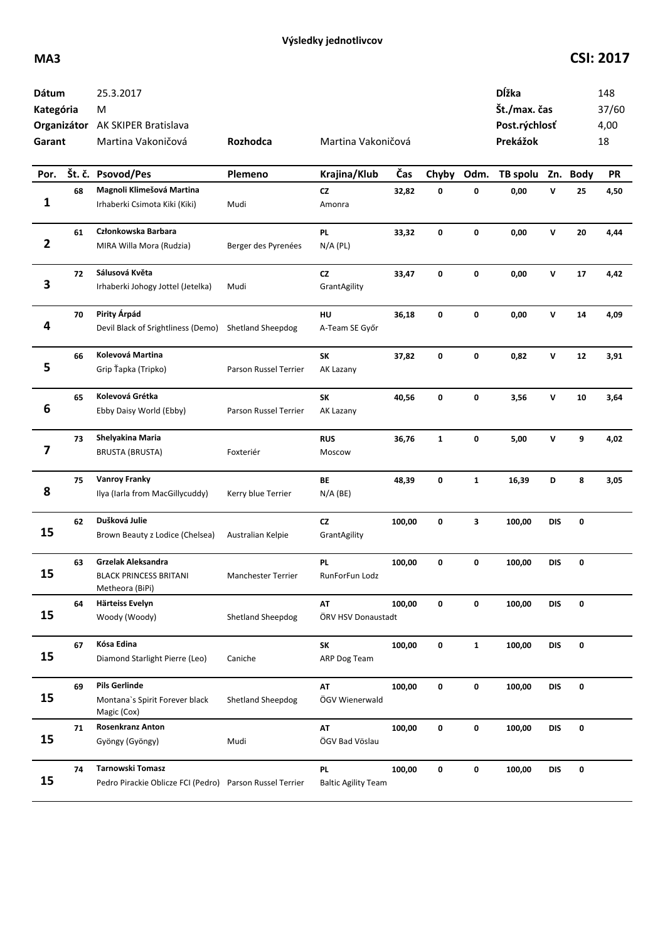## **MA3 CSI: 2017**

| Dátum<br>Kategória<br>Garant |    | 25.3.2017<br>M<br>Organizátor AK SKIPER Bratislava<br>Martina Vakoničová     | Rozhodca                  | Martina Vakoničová               |        |              |              | Dĺžka<br>Št./max. čas<br>Post.rýchlosť<br>Prekážok |              |             | 148<br>37/60<br>4,00<br>18 |
|------------------------------|----|------------------------------------------------------------------------------|---------------------------|----------------------------------|--------|--------------|--------------|----------------------------------------------------|--------------|-------------|----------------------------|
| Por.                         |    | Št. č. Psovod/Pes                                                            | Plemeno                   | Krajina/Klub                     | Čas    | Chyby        | Odm.         | TB spolu                                           | Zn.          | <b>Body</b> | <b>PR</b>                  |
| 1                            | 68 | Magnoli Klimešová Martina<br>Irhaberki Csimota Kiki (Kiki)                   | Mudi                      | cz<br>Amonra                     | 32,82  | 0            | 0            | 0,00                                               | v            | 25          | 4,50                       |
| $\overline{2}$               | 61 | Członkowska Barbara<br>MIRA Willa Mora (Rudzia)                              | Berger des Pyrenées       | PL<br>$N/A$ (PL)                 | 33,32  | 0            | 0            | 0,00                                               | $\mathsf{v}$ | 20          | 4,44                       |
| 3                            | 72 | Sálusová Květa<br>Irhaberki Johogy Jottel (Jetelka)                          | Mudi                      | cz<br>GrantAgility               | 33,47  | 0            | $\mathbf 0$  | 0,00                                               | $\mathsf{v}$ | 17          | 4,42                       |
| 4                            | 70 | Pirity Árpád<br>Devil Black of Srightliness (Demo)                           | Shetland Sheepdog         | HU<br>A-Team SE Győr             | 36,18  | 0            | 0            | 0,00                                               | v            | 14          | 4,09                       |
| 5                            | 66 | Kolevová Martina<br>Grip Ťapka (Tripko)                                      | Parson Russel Terrier     | <b>SK</b><br>AK Lazany           | 37,82  | 0            | 0            | 0,82                                               | v            | 12          | 3,91                       |
| 6                            | 65 | Kolevová Grétka<br>Ebby Daisy World (Ebby)                                   | Parson Russel Terrier     | <b>SK</b><br>AK Lazany           | 40,56  | 0            | 0            | 3,56                                               | v            | 10          | 3,64                       |
| 7                            | 73 | Shelyakina Maria<br><b>BRUSTA (BRUSTA)</b>                                   | Foxteriér                 | <b>RUS</b><br>Moscow             | 36,76  | $\mathbf{1}$ | 0            | 5,00                                               | V            | 9           | 4,02                       |
| 8                            | 75 | <b>Vanroy Franky</b><br>Ilya (Iarla from MacGillycuddy)                      | Kerry blue Terrier        | BE<br>$N/A$ (BE)                 | 48,39  | 0            | $\mathbf{1}$ | 16,39                                              | D            | 8           | 3,05                       |
| 15                           | 62 | Dušková Julie<br>Brown Beauty z Lodice (Chelsea)                             | Australian Kelpie         | cz<br>GrantAgility               | 100,00 | 0            | 3            | 100,00                                             | <b>DIS</b>   | 0           |                            |
| 15                           | 63 | Grzelak Aleksandra<br><b>BLACK PRINCESS BRITANI</b><br>Metheora (BiPi)       | <b>Manchester Terrier</b> | <b>PL</b><br>RunForFun Lodz      | 100,00 | 0            | $\mathbf 0$  | 100,00                                             | <b>DIS</b>   | 0           |                            |
| 15                           | 64 | Härteiss Evelyn<br>Woody (Woody)                                             | <b>Shetland Sheepdog</b>  | AT<br>ÖRV HSV Donaustadt         | 100,00 | 0            | 0            | 100,00                                             | <b>DIS</b>   | 0           |                            |
| 15                           | 67 | Kósa Edina<br>Diamond Starlight Pierre (Leo)                                 | Caniche                   | <b>SK</b><br>ARP Dog Team        | 100,00 | 0            | $\mathbf 1$  | 100,00                                             | <b>DIS</b>   | 0           |                            |
| 15                           | 69 | <b>Pils Gerlinde</b><br>Montana's Spirit Forever black<br>Magic (Cox)        | Shetland Sheepdog         | AT<br>ÖGV Wienerwald             | 100,00 | 0            | 0            | 100,00                                             | <b>DIS</b>   | 0           |                            |
| 15                           | 71 | <b>Rosenkranz Anton</b><br>Gyöngy (Gyöngy)                                   | Mudi                      | AT<br>ÖGV Bad Vöslau             | 100,00 | 0            | 0            | 100,00                                             | <b>DIS</b>   | 0           |                            |
| 15                           | 74 | Tarnowski Tomasz<br>Pedro Pirackie Oblicze FCI (Pedro) Parson Russel Terrier |                           | PL<br><b>Baltic Agility Team</b> | 100,00 | 0            | 0            | 100,00                                             | DIS          | 0           |                            |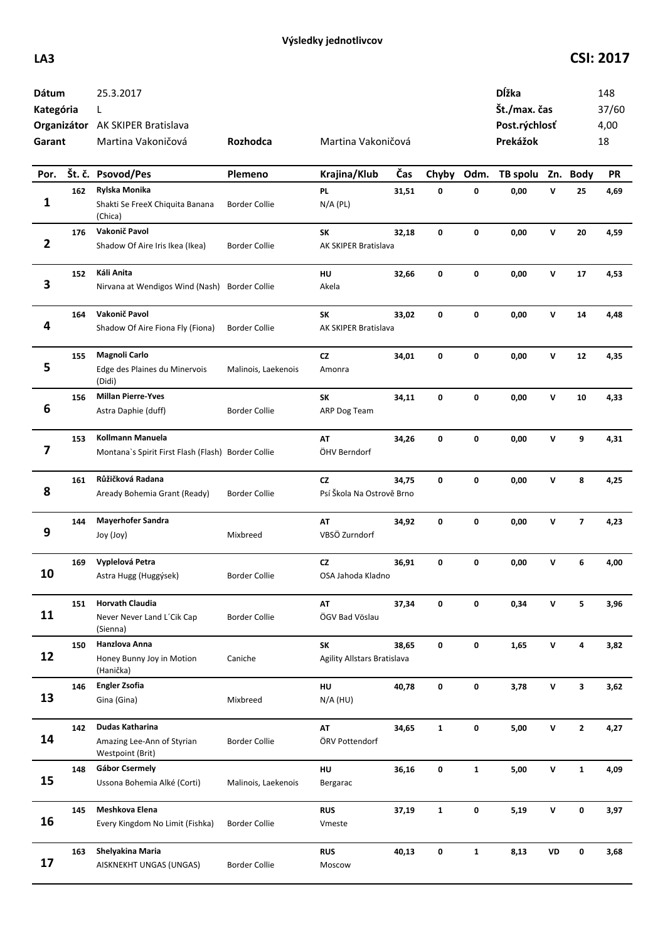## **LA3 CSI: 2017**

| Dátum<br>Kategória<br>Garant |        | 25.3.2017<br>L<br>Organizátor AK SKIPER Bratislava<br>Martina Vakoničová | Rozhodca             | Martina Vakoničová                     |       |              |              | Dĺžka<br>Št./max. čas<br>Post.rýchlosť<br>Prekážok |              |                         | 148<br>37/60<br>4,00<br>18 |
|------------------------------|--------|--------------------------------------------------------------------------|----------------------|----------------------------------------|-------|--------------|--------------|----------------------------------------------------|--------------|-------------------------|----------------------------|
| Por.                         | Št. č. | <b>Psovod/Pes</b>                                                        | Plemeno              | Krajina/Klub                           | Čas   | Chyby        | Odm.         | TB spolu                                           |              | Zn. Body                | <b>PR</b>                  |
| 1                            | 162    | Rylska Monika<br>Shakti Se FreeX Chiquita Banana<br>(Chica)              | <b>Border Collie</b> | <b>PL</b><br>$N/A$ (PL)                | 31,51 | 0            | 0            | 0,00                                               | V            | 25                      | 4,69                       |
| 2                            | 176    | Vakonič Pavol<br>Shadow Of Aire Iris Ikea (Ikea)                         | <b>Border Collie</b> | SK<br>AK SKIPER Bratislava             | 32,18 | 0            | 0            | 0,00                                               | v            | 20                      | 4,59                       |
| 3                            | 152    | Káli Anita<br>Nirvana at Wendigos Wind (Nash)                            | <b>Border Collie</b> | HU<br>Akela                            | 32,66 | 0            | 0            | 0,00                                               | v            | 17                      | 4,53                       |
| 4                            | 164    | Vakonič Pavol<br>Shadow Of Aire Fiona Fly (Fiona)                        | <b>Border Collie</b> | <b>SK</b><br>AK SKIPER Bratislava      | 33,02 | 0            | 0            | 0,00                                               | v            | 14                      | 4,48                       |
| 5                            | 155    | Magnoli Carlo<br>Edge des Plaines du Minervois<br>(Didi)                 | Malinois, Laekenois  | <b>CZ</b><br>Amonra                    | 34,01 | 0            | 0            | 0,00                                               | V            | 12                      | 4,35                       |
| 6                            | 156    | <b>Millan Pierre-Yves</b><br>Astra Daphie (duff)                         | <b>Border Collie</b> | SK<br>ARP Dog Team                     | 34,11 | 0            | 0            | 0,00                                               | V            | 10                      | 4,33                       |
| 7                            | 153    | Kollmann Manuela<br>Montana's Spirit First Flash (Flash) Border Collie   |                      | <b>AT</b><br>ÖHV Berndorf              | 34,26 | 0            | 0            | 0,00                                               | v            | 9                       | 4,31                       |
| 8                            | 161    | Růžičková Radana<br>Aready Bohemia Grant (Ready)                         | <b>Border Collie</b> | <b>CZ</b><br>Psí Škola Na Ostrově Brno | 34,75 | 0            | 0            | 0,00                                               | v            | 8                       | 4,25                       |
| 9                            | 144    | <b>Mayerhofer Sandra</b><br>Joy (Joy)                                    | Mixbreed             | AT<br>VBSÖ Zurndorf                    | 34,92 | 0            | 0            | 0,00                                               | v            | $\overline{\mathbf{z}}$ | 4,23                       |
| 10                           | 169    | Vyplelová Petra<br>Astra Hugg (Huggýsek)                                 | <b>Border Collie</b> | CZ<br>OSA Jahoda Kladno                | 36,91 | 0            | 0            | 0,00                                               | v            | 6                       | 4,00                       |
| 11                           | 151    | <b>Horvath Claudia</b><br>Never Never Land L'Cik Cap<br>(Sienna)         | <b>Border Collie</b> | AT<br>ÖGV Bad Vöslau                   | 37,34 | 0            | 0            | 0,34                                               | v            | 5                       | 3,96                       |
| 12                           | 150    | Hanzlova Anna<br>Honey Bunny Joy in Motion<br>(Hanička)                  | Caniche              | SK<br>Agility Allstars Bratislava      | 38,65 | 0            | 0            | 1,65                                               | $\mathsf{v}$ | 4                       | 3,82                       |
| 13                           | 146    | <b>Engler Zsofia</b><br>Gina (Gina)                                      | Mixbreed             | HU<br>$N/A$ (HU)                       | 40,78 | 0            | 0            | 3,78                                               | $\mathsf{v}$ | 3                       | 3,62                       |
| 14                           | 142    | Dudas Katharina<br>Amazing Lee-Ann of Styrian<br>Westpoint (Brit)        | <b>Border Collie</b> | AT<br>ÖRV Pottendorf                   | 34,65 | $\mathbf{1}$ | 0            | 5,00                                               | $\mathsf{v}$ | $\overline{2}$          | 4,27                       |
| 15                           | 148    | Gábor Csermely<br>Ussona Bohemia Alké (Corti)                            | Malinois, Laekenois  | HU<br>Bergarac                         | 36,16 | 0            | $\mathbf{1}$ | 5,00                                               | $\mathsf{v}$ | $\mathbf{1}$            | 4,09                       |
| 16                           | 145    | Meshkova Elena<br>Every Kingdom No Limit (Fishka)                        | <b>Border Collie</b> | <b>RUS</b><br>Vmeste                   | 37,19 | $\mathbf{1}$ | 0            | 5,19                                               | V            | 0                       | 3,97                       |
| 17                           | 163    | Shelyakina Maria<br>AISKNEKHT UNGAS (UNGAS)                              | <b>Border Collie</b> | <b>RUS</b><br>Moscow                   | 40,13 | 0            | $\mathbf{1}$ | 8,13                                               | VD           | 0                       | 3,68                       |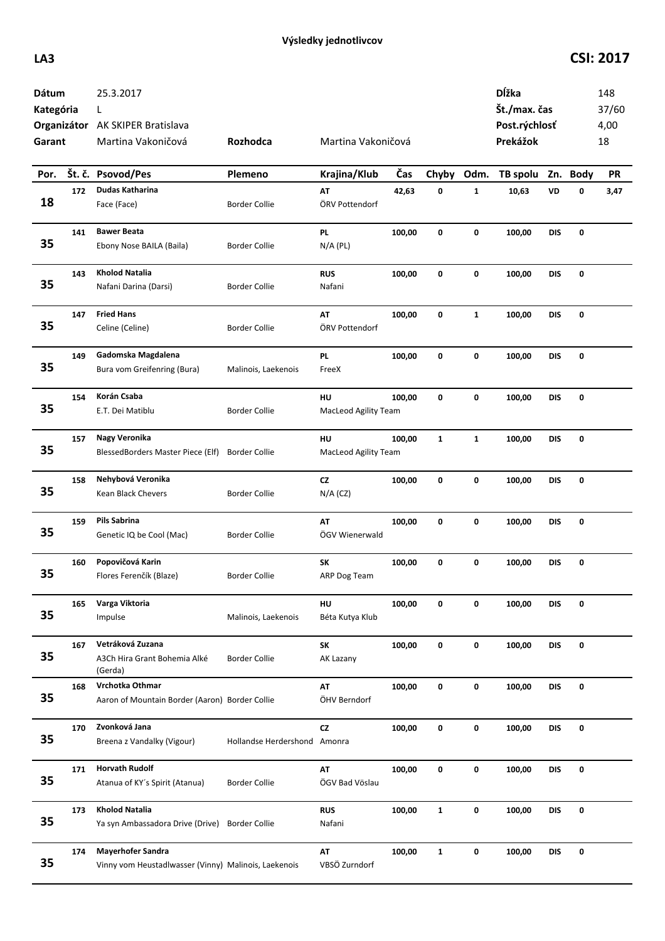## **LA3 CSI: 2017**

| Dátum<br>Kategória<br>Garant |        | 25.3.2017<br>L<br>Organizátor AK SKIPER Bratislava<br>Martina Vakoničová         | Rozhodca                     | Martina Vakoničová         |        |              |              | Dĺžka<br>Št./max. čas<br>Post.rýchlosť<br>Prekážok |            |          | 148<br>37/60<br>4,00<br>18 |
|------------------------------|--------|----------------------------------------------------------------------------------|------------------------------|----------------------------|--------|--------------|--------------|----------------------------------------------------|------------|----------|----------------------------|
| Por.                         | Št. č. | Psovod/Pes                                                                       | Plemeno                      | Krajina/Klub               | Čas    | Chyby        | Odm.         | TB spolu                                           |            | Zn. Body | <b>PR</b>                  |
| 18                           | 172    | Dudas Katharina<br>Face (Face)                                                   | <b>Border Collie</b>         | AT<br>ÖRV Pottendorf       | 42,63  | $\pmb{0}$    | $\mathbf 1$  | 10,63                                              | VD         | 0        | 3,47                       |
| 35                           | 141    | <b>Bawer Beata</b><br>Ebony Nose BAILA (Baila)                                   | <b>Border Collie</b>         | PL<br>$N/A$ (PL)           | 100,00 | $\mathbf 0$  | $\pmb{0}$    | 100,00                                             | <b>DIS</b> | 0        |                            |
| 35                           | 143    | <b>Kholod Natalia</b><br>Nafani Darina (Darsi)                                   | <b>Border Collie</b>         | <b>RUS</b><br>Nafani       | 100,00 | $\mathbf 0$  | 0            | 100,00                                             | <b>DIS</b> | 0        |                            |
| 35                           | 147    | <b>Fried Hans</b><br>Celine (Celine)                                             | <b>Border Collie</b>         | AT<br>ÖRV Pottendorf       | 100,00 | 0            | $\mathbf{1}$ | 100,00                                             | <b>DIS</b> | 0        |                            |
| 35                           | 149    | Gadomska Magdalena<br>Bura vom Greifenring (Bura)                                | Malinois, Laekenois          | PL<br>FreeX                | 100,00 | 0            | 0            | 100,00                                             | <b>DIS</b> | 0        |                            |
| 35                           | 154    | Korán Csaba<br>E.T. Dei Matiblu                                                  | <b>Border Collie</b>         | HU<br>MacLeod Agility Team | 100,00 | 0            | $\pmb{0}$    | 100,00                                             | <b>DIS</b> | 0        |                            |
| 35                           | 157    | Nagy Veronika<br>BlessedBorders Master Piece (Elf)                               | <b>Border Collie</b>         | HU<br>MacLeod Agility Team | 100,00 | $\mathbf{1}$ | $\mathbf{1}$ | 100,00                                             | <b>DIS</b> | 0        |                            |
| 35                           | 158    | Nehybová Veronika<br>Kean Black Chevers                                          | <b>Border Collie</b>         | <b>CZ</b><br>$N/A$ (CZ)    | 100,00 | 0            | 0            | 100,00                                             | <b>DIS</b> | 0        |                            |
| 35                           | 159    | <b>Pils Sabrina</b><br>Genetic IQ be Cool (Mac)                                  | <b>Border Collie</b>         | AT<br>ÖGV Wienerwald       | 100,00 | $\mathbf 0$  | $\pmb{0}$    | 100,00                                             | <b>DIS</b> | 0        |                            |
| 35                           | 160    | Popovičová Karin<br>Flores Ferenčík (Blaze)                                      | <b>Border Collie</b>         | SΚ<br>ARP Dog Team         | 100,00 | 0            | 0            | 100,00                                             | <b>DIS</b> | 0        |                            |
| 35                           | 165    | Varga Viktoria<br>Impulse                                                        | Malinois, Laekenois          | HU<br>Béta Kutya Klub      | 100,00 | 0            | 0            | 100,00                                             | <b>DIS</b> | 0        |                            |
| 35                           | 167    | Vetráková Zuzana<br>A3Ch Hira Grant Bohemia Alké<br>(Gerda)                      | <b>Border Collie</b>         | SK<br>AK Lazany            | 100,00 | 0            | 0            | 100,00                                             | <b>DIS</b> | 0        |                            |
| 35                           | 168    | Vrchotka Othmar<br>Aaron of Mountain Border (Aaron) Border Collie                |                              | AT<br>ÖHV Berndorf         | 100,00 | 0            | 0            | 100,00                                             | <b>DIS</b> | 0        |                            |
| 35                           | 170    | Zvonková Jana<br>Breena z Vandalky (Vigour)                                      | Hollandse Herdershond Amonra | <b>CZ</b>                  | 100,00 | 0            | 0            | 100,00                                             | DIS        | 0        |                            |
| 35                           | 171    | <b>Horvath Rudolf</b><br>Atanua of KY's Spirit (Atanua)                          | <b>Border Collie</b>         | AT<br>ÖGV Bad Vöslau       | 100,00 | 0            | 0            | 100,00                                             | <b>DIS</b> | 0        |                            |
| 35                           | 173    | <b>Kholod Natalia</b><br>Ya syn Ambassadora Drive (Drive) Border Collie          |                              | <b>RUS</b><br>Nafani       | 100,00 | $\mathbf{1}$ | 0            | 100,00                                             | <b>DIS</b> | 0        |                            |
| 35                           | 174    | <b>Mayerhofer Sandra</b><br>Vinny vom Heustadlwasser (Vinny) Malinois, Laekenois |                              | AT<br>VBSÖ Zurndorf        | 100,00 | $\mathbf{1}$ | 0            | 100,00                                             | DIS        | 0        |                            |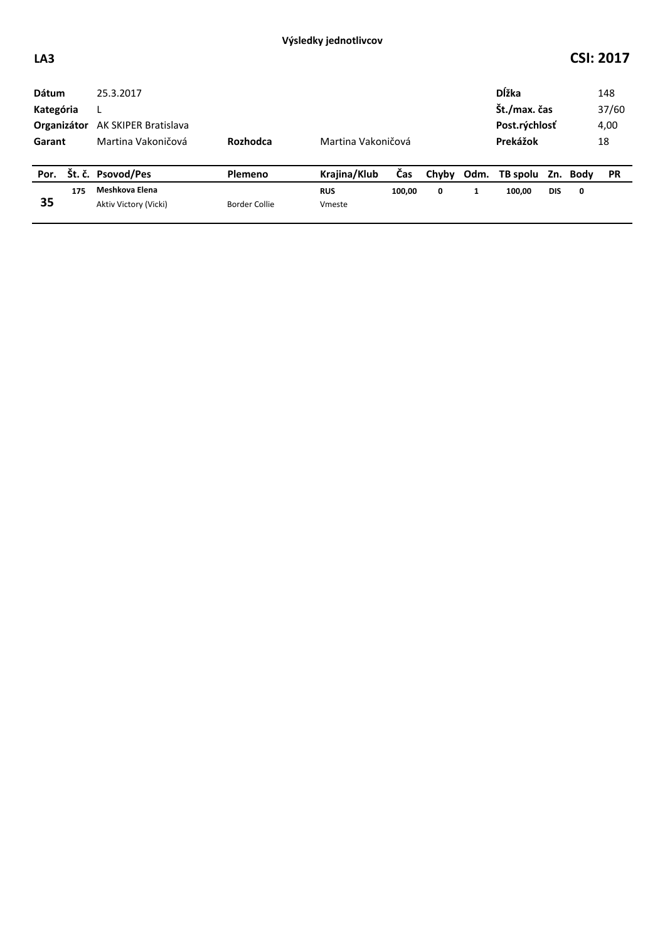## **LA3 CSI: 2017**

| <b>Dátum</b><br>Kategória |     | 25.3.2017             |               |                    |        |   |   | <b>D</b> ĺžka<br>Št./max. čas |            | 148<br>37/60 |           |
|---------------------------|-----|-----------------------|---------------|--------------------|--------|---|---|-------------------------------|------------|--------------|-----------|
| Organizátor               |     | AK SKIPER Bratislava  |               |                    |        |   |   | Post.rýchlosť                 |            |              | 4,00      |
| Garant                    |     | Martina Vakoničová    | Rozhodca      | Martina Vakoničová |        |   |   | Prekážok                      |            |              | 18        |
| Por.                      |     | Št. č. Psovod/Pes     | Plemeno       | Krajina/Klub       | Čas    |   |   | Chyby Odm. TB spolu Zn. Body  |            |              | <b>PR</b> |
|                           | 175 | Meshkova Elena        |               | <b>RUS</b>         | 100,00 | 0 | 1 | 100,00                        | <b>DIS</b> | 0            |           |
| 35                        |     | Aktiv Victory (Vicki) | Border Collie | Vmeste             |        |   |   |                               |            |              |           |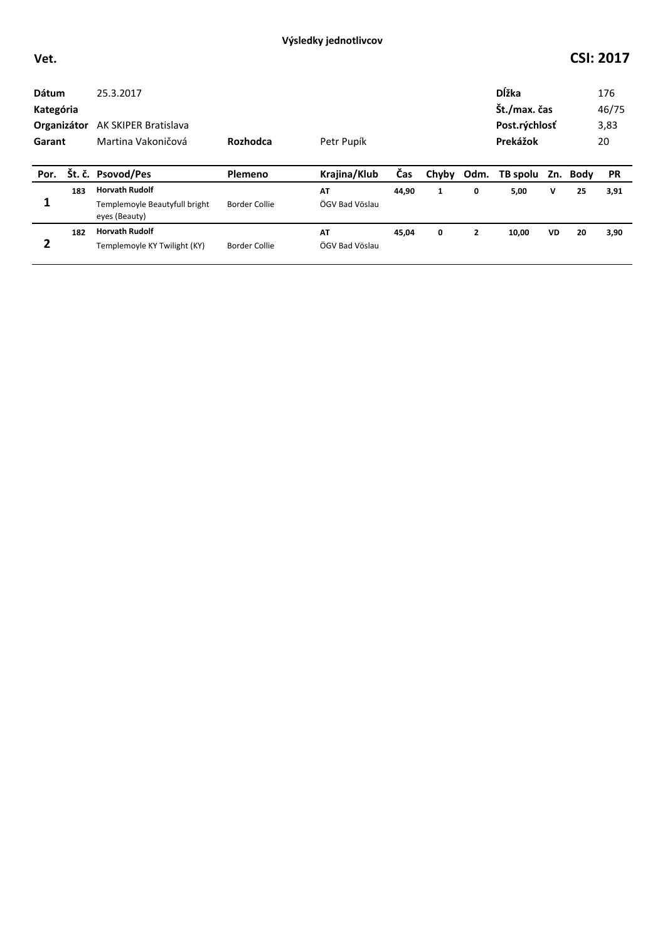## **Vet. CSI: 2017**

| <b>Dátum</b><br>Kategória<br>Organizátor<br>Garant |     | 25.3.2017<br>AK SKIPER Bratislava<br>Martina Vakoničová | Rozhodca<br>Petr Pupík |                |            |       | <b>D</b> ĺžka<br>Št./max. čas<br>Post.rýchlosť<br>Prekážok |          |   | 176<br>46/75<br>3,83<br>20 |           |
|----------------------------------------------------|-----|---------------------------------------------------------|------------------------|----------------|------------|-------|------------------------------------------------------------|----------|---|----------------------------|-----------|
| Por.                                               |     | Št. č. Psovod/Pes                                       | Plemeno                | Krajina/Klub   | <b>Čas</b> | Chyby | Odm.                                                       | TB spolu |   | Zn. Body                   | <b>PR</b> |
| 1                                                  | 183 | <b>Horvath Rudolf</b>                                   |                        | AT             | 44,90      | 1     | 0                                                          | 5,00     | v | 25                         | 3,91      |
|                                                    |     | Templemoyle Beautyfull bright<br>eyes (Beauty)          | Border Collie          | ÖGV Bad Vöslau |            |       |                                                            |          |   |                            |           |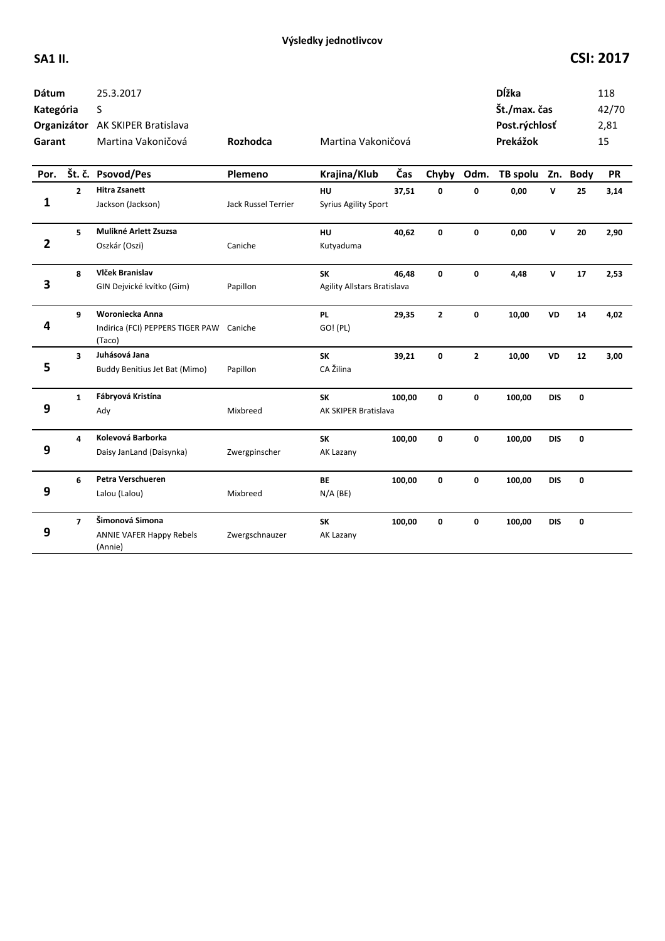| <b>Dátum</b><br>Kategória<br>Garant |                | 25.3.2017<br>S<br>Organizátor AK SKIPER Bratislava<br>Martina Vakoničová | Rozhodca            | Martina Vakoničová                       |        |              |                | <b>D</b> ĺžka<br>Št./max. čas<br>Post.rýchlosť<br>Prekážok |            |    | 118<br>42/70<br>2,81<br>15 |
|-------------------------------------|----------------|--------------------------------------------------------------------------|---------------------|------------------------------------------|--------|--------------|----------------|------------------------------------------------------------|------------|----|----------------------------|
| Por.                                |                | Št. č. Psovod/Pes                                                        | Plemeno             | Krajina/Klub                             | Čas    | Chyby        | Odm.           | TB spolu Zn. Body                                          |            |    | PR                         |
| 1                                   | $\mathbf{2}$   | <b>Hitra Zsanett</b><br>Jackson (Jackson)                                | Jack Russel Terrier | <b>HU</b><br><b>Syrius Agility Sport</b> | 37,51  | 0            | 0              | 0,00                                                       | V          | 25 | 3,14                       |
| $\overline{\mathbf{2}}$             | 5              | Mulikné Arlett Zsuzsa<br>Oszkár (Oszi)                                   | Caniche             | HU<br>Kutyaduma                          | 40,62  | 0            | 0              | 0,00                                                       | V          | 20 | 2,90                       |
| 3                                   | 8              | Vlček Branislav<br>GIN Dejvické kvítko (Gim)                             | Papillon            | <b>SK</b><br>Agility Allstars Bratislava | 46,48  | 0            | 0              | 4,48                                                       | V          | 17 | 2,53                       |
| 4                                   | 9              | Woroniecka Anna<br>Indirica (FCI) PEPPERS TIGER PAW Caniche<br>(Taco)    |                     | <b>PL</b><br>GO! (PL)                    | 29,35  | $\mathbf{2}$ | 0              | 10,00                                                      | VD         | 14 | 4,02                       |
| 5                                   | 3              | Juhásová Jana<br>Buddy Benitius Jet Bat (Mimo)                           | Papillon            | <b>SK</b><br>CA Žilina                   | 39,21  | 0            | $\overline{2}$ | 10,00                                                      | <b>VD</b>  | 12 | 3,00                       |
| 9                                   | $\mathbf{1}$   | Fábryová Kristína<br>Ady                                                 | Mixbreed            | <b>SK</b><br>AK SKIPER Bratislava        | 100,00 | 0            | 0              | 100,00                                                     | <b>DIS</b> | 0  |                            |
| 9                                   | 4              | Kolevová Barborka<br>Daisy JanLand (Daisynka)                            | Zwergpinscher       | <b>SK</b><br>AK Lazany                   | 100,00 | 0            | 0              | 100,00                                                     | <b>DIS</b> | 0  |                            |
| 9                                   | 6              | Petra Verschueren<br>Lalou (Lalou)                                       | Mixbreed            | BE<br>$N/A$ (BE)                         | 100,00 | 0            | 0              | 100,00                                                     | <b>DIS</b> | 0  |                            |
| 9                                   | $\overline{ }$ | Šimonová Simona<br><b>ANNIE VAFER Happy Rebels</b><br>(Annie)            | Zwergschnauzer      | SK<br>AK Lazany                          | 100,00 | 0            | 0              | 100,00                                                     | <b>DIS</b> | 0  |                            |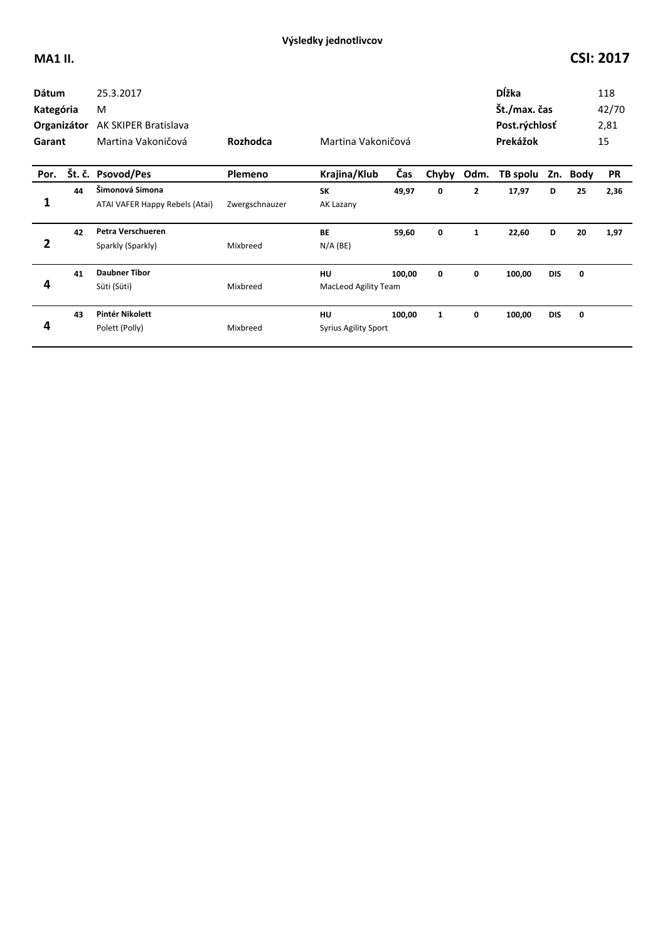| <b>Dátum</b><br>Kategória<br>Organizátor<br>Garant |    | 25.3.2017<br>M<br><b>AK SKIPER Bratislava</b><br>Martina Vakoničová | Rozhodca       | Martina Vakoničová                |        |              |                | <b>D</b> ĺžka<br>Št./max. čas<br>Post.rýchlosť<br>Prekážok |            |          | 118<br>42/70<br>2,81<br>15 |
|----------------------------------------------------|----|---------------------------------------------------------------------|----------------|-----------------------------------|--------|--------------|----------------|------------------------------------------------------------|------------|----------|----------------------------|
| Por.                                               |    | Št. č. Psovod/Pes                                                   | Plemeno        | Krajina/Klub                      | Čas    | Chyby        | Odm.           | TB spolu                                                   |            | Zn. Body | <b>PR</b>                  |
| 1                                                  | 44 | Šimonová Simona<br>ATAI VAFER Happy Rebels (Atai)                   | Zwergschnauzer | <b>SK</b><br>AK Lazany            | 49,97  | 0            | $\overline{2}$ | 17,97                                                      | D          | 25       | 2,36                       |
| 2                                                  | 42 | Petra Verschueren<br>Sparkly (Sparkly)                              | Mixbreed       | <b>BE</b><br>$N/A$ (BE)           | 59,60  | 0            | $\mathbf{1}$   | 22,60                                                      | D          | 20       | 1,97                       |
| 4                                                  | 41 | <b>Daubner Tibor</b><br>Süti (Süti)                                 | Mixbreed       | HU<br><b>MacLeod Agility Team</b> | 100,00 | 0            | 0              | 100,00                                                     | <b>DIS</b> | 0        |                            |
| 4                                                  | 43 | Pintér Nikolett<br>Polett (Polly)                                   | Mixbreed       | HU<br><b>Syrius Agility Sport</b> | 100,00 | $\mathbf{1}$ | 0              | 100,00                                                     | <b>DIS</b> | 0        |                            |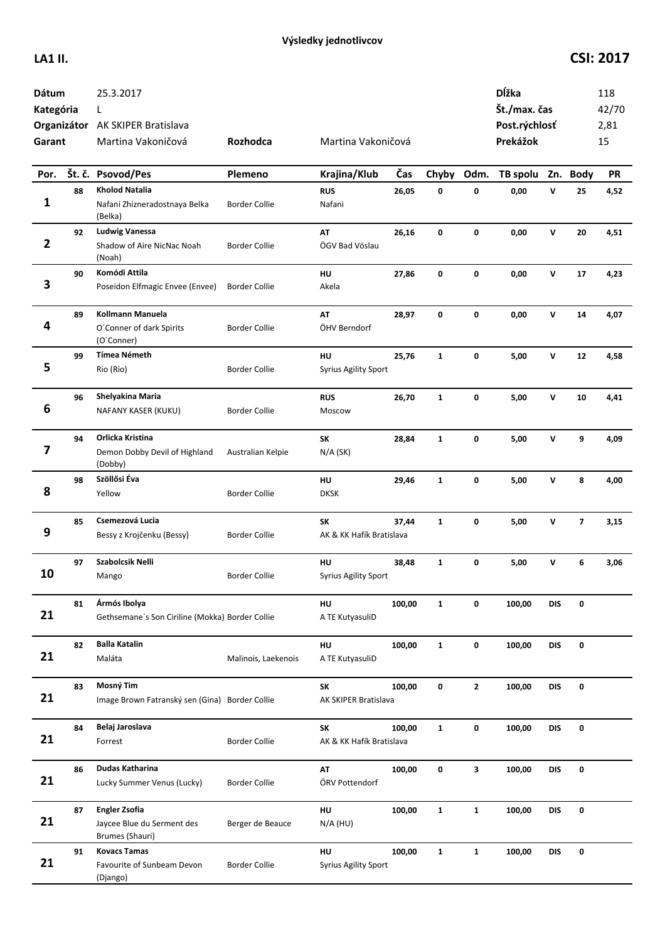| Dátum<br>Kategória<br>Garant |    | 25.3.2017<br>L<br>Organizátor AK SKIPER Bratislava<br>Martina Vakoničová | Rozhodca             | Martina Vakoničová                |        |              |              | Dĺžka<br>Št./max. čas<br>Post.rýchlosť<br>Prekážok |              |                         | 118<br>42/70<br>2,81<br>15 |
|------------------------------|----|--------------------------------------------------------------------------|----------------------|-----------------------------------|--------|--------------|--------------|----------------------------------------------------|--------------|-------------------------|----------------------------|
| Por.                         |    | Št. č. Psovod/Pes                                                        | Plemeno              | Krajina/Klub                      | Čas    | Chyby        | Odm.         | TB spolu                                           |              | Zn. Body                | <b>PR</b>                  |
| 1                            | 88 | <b>Kholod Natalia</b><br>Nafani Zhizneradostnaya Belka<br>(Belka)        | <b>Border Collie</b> | <b>RUS</b><br>Nafani              | 26,05  | 0            | 0            | 0,00                                               | $\mathsf{v}$ | 25                      | 4,52                       |
| $\overline{\mathbf{2}}$      | 92 | <b>Ludwig Vanessa</b><br>Shadow of Aire NicNac Noah<br>(Noah)            | <b>Border Collie</b> | AT<br>ÖGV Bad Vöslau              | 26,16  | 0            | $\mathbf 0$  | 0,00                                               | $\mathbf v$  | 20                      | 4,51                       |
| 3                            | 90 | Komódi Attila<br>Poseidon Elfmagic Envee (Envee)                         | <b>Border Collie</b> | HU<br>Akela                       | 27,86  | 0            | 0            | 0,00                                               | $\mathsf{v}$ | 17                      | 4,23                       |
| 4                            | 89 | Kollmann Manuela<br>O'Conner of dark Spirits<br>(O'Conner)               | Border Collie        | AT<br>ÖHV Berndorf                | 28,97  | 0            | 0            | 0,00                                               | v            | 14                      | 4,07                       |
| 5                            | 99 | <b>Tímea Németh</b><br>Rio (Rio)                                         | <b>Border Collie</b> | HU<br><b>Syrius Agility Sport</b> | 25,76  | $\mathbf{1}$ | 0            | 5,00                                               | v            | 12                      | 4,58                       |
| 6                            | 96 | Shelyakina Maria<br>NAFANY KASER (KUKU)                                  | Border Collie        | <b>RUS</b><br>Moscow              | 26,70  | $\mathbf{1}$ | 0            | 5,00                                               | v            | 10                      | 4,41                       |
| 7                            | 94 | Orlicka Kristina<br>Demon Dobby Devil of Highland<br>(Dobby)             | Australian Kelpie    | SK<br>$N/A$ (SK)                  | 28,84  | $\mathbf{1}$ | 0            | 5,00                                               | v            | 9                       | 4,09                       |
| 8                            | 98 | Szöllősi Éva<br>Yellow                                                   | <b>Border Collie</b> | HU<br><b>DKSK</b>                 | 29,46  | $\mathbf{1}$ | 0            | 5,00                                               | $\mathsf{v}$ | 8                       | 4,00                       |
| 9                            | 85 | Csemezová Lucia<br>Bessy z Krojčenku (Bessy)                             | <b>Border Collie</b> | SK<br>AK & KK Hafík Bratislava    | 37,44  | $\mathbf{1}$ | 0            | 5,00                                               | $\mathsf{v}$ | $\overline{\mathbf{z}}$ | 3,15                       |
| 10                           | 97 | Szabolcsik Nelli<br>Mango                                                | <b>Border Collie</b> | HU<br><b>Syrius Agility Sport</b> | 38,48  | $\mathbf{1}$ | 0            | 5,00                                               | v            | 6                       | 3,06                       |
| 21                           | 81 | Ármós Ibolya<br>Gethsemane's Son Ciriline (Mokka) Border Collie          |                      | HU<br>A TE KutyasuliD             | 100,00 | $\mathbf{1}$ | 0            | 100,00                                             | <b>DIS</b>   | 0                       |                            |
| 21                           | 82 | <b>Balla Katalin</b><br>Maláta                                           | Malinois, Laekenois  | HU<br>A TE KutyasuliD             | 100,00 | $\mathbf{1}$ | 0            | 100,00                                             | <b>DIS</b>   | 0                       |                            |
| 21                           | 83 | Mosný Tim<br>Image Brown Fatranský sen (Gina) Border Collie              |                      | SK<br>AK SKIPER Bratislava        | 100,00 | 0            | $\mathbf{2}$ | 100,00                                             | <b>DIS</b>   | 0                       |                            |
| 21                           | 84 | Belaj Jaroslava<br>Forrest                                               | <b>Border Collie</b> | SK<br>AK & KK Hafík Bratislava    | 100,00 | $\mathbf{1}$ | 0            | 100,00                                             | <b>DIS</b>   | 0                       |                            |
| 21                           | 86 | Dudas Katharina<br>Lucky Summer Venus (Lucky)                            | <b>Border Collie</b> | AT<br>ÖRV Pottendorf              | 100,00 | 0            | 3            | 100,00                                             | DIS          | 0                       |                            |
| 21                           | 87 | <b>Engler Zsofia</b><br>Jaycee Blue du Serment des<br>Brumes (Shauri)    | Berger de Beauce     | HU<br>$N/A$ (HU)                  | 100,00 | $\mathbf{1}$ | $\mathbf{1}$ | 100,00                                             | <b>DIS</b>   | 0                       |                            |
| 21                           | 91 | <b>Kovacs Tamas</b><br>Favourite of Sunbeam Devon<br>(Django)            | <b>Border Collie</b> | HU<br><b>Syrius Agility Sport</b> | 100,00 | $\mathbf{1}$ | $\mathbf{1}$ | 100,00                                             | <b>DIS</b>   | 0                       |                            |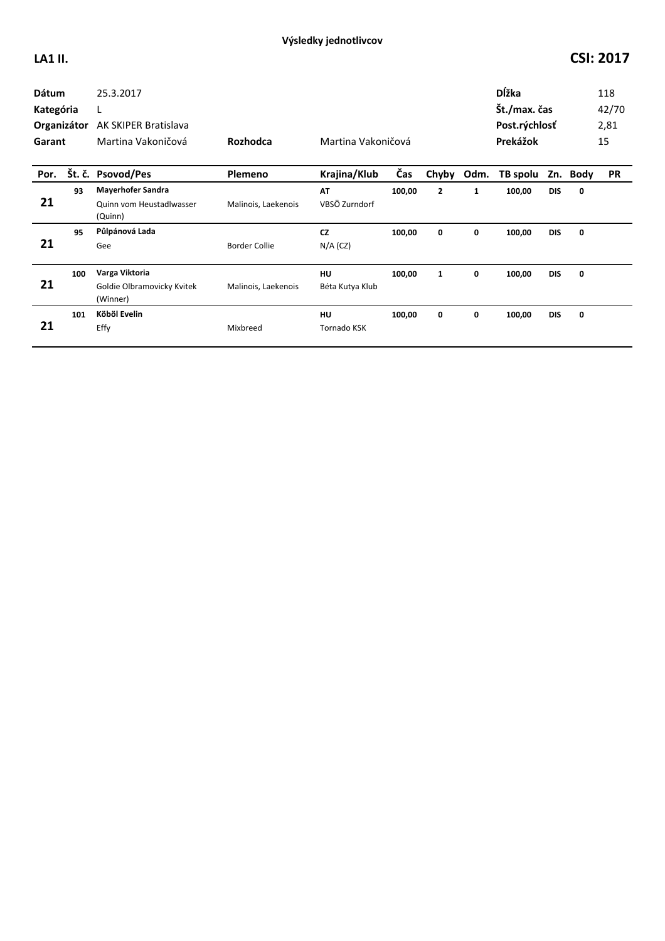| <b>Dátum</b><br>Kategória<br>Organizátor<br>Garant<br>Por. |     | 25.3.2017<br>L<br><b>AK SKIPER Bratislava</b><br>Martina Vakoničová | Rozhodca             | Martina Vakoničová       |        |                |              | <b>D</b> ĺžka<br>Št./max. čas<br>Post.rýchlosť<br>Prekážok |            | 118<br>42/70<br>2,81<br>15 |           |
|------------------------------------------------------------|-----|---------------------------------------------------------------------|----------------------|--------------------------|--------|----------------|--------------|------------------------------------------------------------|------------|----------------------------|-----------|
|                                                            |     | Št. č. Psovod/Pes                                                   | Plemeno              | Krajina/Klub             | Čas    | Chyby          | Odm.         | TB spolu                                                   |            | Zn. Body                   | <b>PR</b> |
| 21                                                         | 93  | <b>Mayerhofer Sandra</b><br>Quinn vom Heustadlwasser<br>(Quinn)     | Malinois, Laekenois  | AT<br>VBSÖ Zurndorf      | 100,00 | $\overline{2}$ | $\mathbf{1}$ | 100,00                                                     | <b>DIS</b> | $\mathbf 0$                |           |
| 21                                                         | 95  | Půlpánová Lada<br>Gee                                               | <b>Border Collie</b> | <b>CZ</b><br>$N/A$ (CZ)  | 100,00 | 0              | 0            | 100,00                                                     | <b>DIS</b> | 0                          |           |
| 21                                                         | 100 | Varga Viktoria<br>Goldie Olbramovicky Kvitek<br>(Winner)            | Malinois, Laekenois  | HU<br>Béta Kutya Klub    | 100,00 | $\mathbf{1}$   | 0            | 100,00                                                     | <b>DIS</b> | 0                          |           |
| 21                                                         | 101 | Köböl Evelin<br>Effy                                                | Mixbreed             | HU<br><b>Tornado KSK</b> | 100,00 | 0              | 0            | 100,00                                                     | <b>DIS</b> | 0                          |           |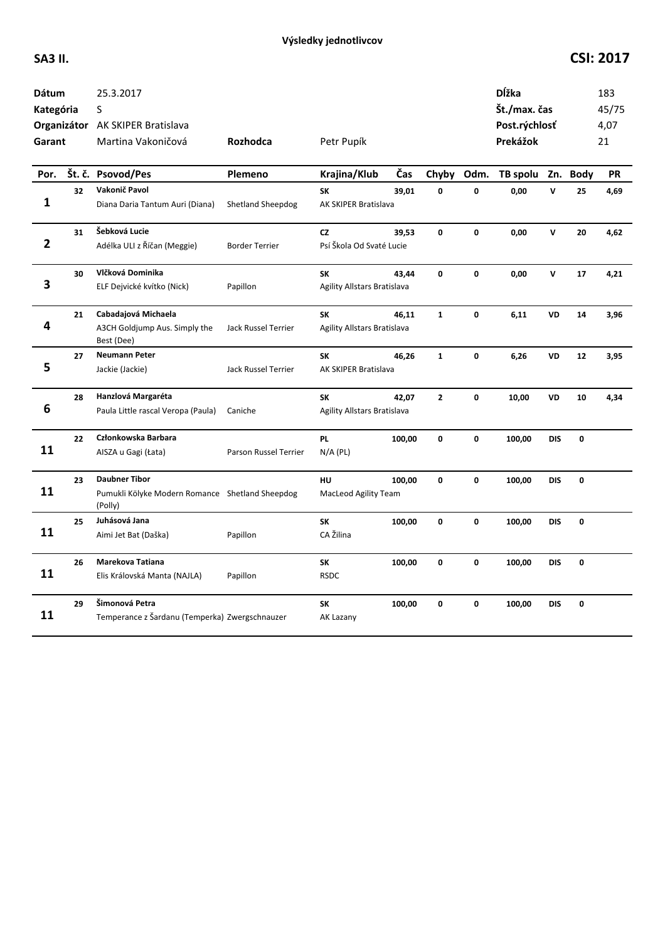| <b>Dátum</b><br>Kategória<br>Garant |    | 25.3.2017<br>S<br>Organizátor AK SKIPER Bratislava<br>Martina Vakoničová           | Rozhodca              | Petr Pupík                               |        |                |              | <b>D</b> ĺžka<br>Št./max. čas<br>Post.rýchlosť<br>Prekážok |              |             | 183<br>45/75<br>4,07<br>21 |
|-------------------------------------|----|------------------------------------------------------------------------------------|-----------------------|------------------------------------------|--------|----------------|--------------|------------------------------------------------------------|--------------|-------------|----------------------------|
| Por.                                |    | Št. č. Psovod/Pes                                                                  | Plemeno               | Krajina/Klub                             | Čas    | Chyby          | Odm.         | TB spolu                                                   | Zn.          | <b>Body</b> | PR                         |
| 1                                   | 32 | Vakonič Pavol<br>Diana Daria Tantum Auri (Diana)                                   | Shetland Sheepdog     | <b>SK</b><br>AK SKIPER Bratislava        | 39,01  | 0              | 0            | 0,00                                                       | $\mathsf{v}$ | 25          | 4,69                       |
| $\overline{\mathbf{2}}$             | 31 | Šebková Lucie<br>Adélka ULI z Říčan (Meggie)                                       | <b>Border Terrier</b> | <b>CZ</b><br>Psí Škola Od Svaté Lucie    | 39.53  | $\mathbf{0}$   | $\mathbf 0$  | 0,00                                                       | $\mathbf{v}$ | 20          | 4,62                       |
| 3                                   | 30 | Vlčková Dominika<br>ELF Dejvické kvítko (Nick)                                     | Papillon              | <b>SK</b><br>Agility Allstars Bratislava | 43,44  | 0              | 0            | 0,00                                                       | V            | 17          | 4,21                       |
| 4                                   | 21 | Cabadajová Michaela<br>A3CH Goldjump Aus. Simply the<br>Best (Dee)                 | Jack Russel Terrier   | SK<br>Agility Allstars Bratislava        | 46,11  | $\mathbf{1}$   | $\mathbf{0}$ | 6,11                                                       | VD           | 14          | 3,96                       |
| 5                                   | 27 | <b>Neumann Peter</b><br>Jackie (Jackie)                                            | Jack Russel Terrier   | SK<br>AK SKIPER Bratislava               | 46,26  | $\mathbf{1}$   | 0            | 6,26                                                       | VD           | 12          | 3,95                       |
| 6                                   | 28 | Hanzlová Margaréta<br>Paula Little rascal Veropa (Paula)                           | Caniche               | <b>SK</b><br>Agility Allstars Bratislava | 42,07  | $\overline{2}$ | 0            | 10,00                                                      | <b>VD</b>    | 10          | 4,34                       |
| 11                                  | 22 | Członkowska Barbara<br>AISZA u Gagi (Łata)                                         | Parson Russel Terrier | <b>PL</b><br>$N/A$ (PL)                  | 100,00 | $\mathbf{0}$   | 0            | 100,00                                                     | <b>DIS</b>   | 0           |                            |
| 11                                  | 23 | <b>Daubner Tibor</b><br>Pumukli Kölyke Modern Romance Shetland Sheepdog<br>(Polly) |                       | HU<br>MacLeod Agility Team               | 100,00 | 0              | 0            | 100,00                                                     | <b>DIS</b>   | 0           |                            |
| 11                                  | 25 | Juhásová Jana<br>Aimi Jet Bat (Daška)                                              | Papillon              | <b>SK</b><br>CA Žilina                   | 100,00 | $\mathbf{0}$   | 0            | 100,00                                                     | <b>DIS</b>   | 0           |                            |
| 11                                  | 26 | Marekova Tatiana<br>Elis Královská Manta (NAJLA)                                   | Papillon              | SK<br><b>RSDC</b>                        | 100,00 | 0              | 0            | 100,00                                                     | <b>DIS</b>   | 0           |                            |
| 11                                  | 29 | Šimonová Petra<br>Temperance z Šardanu (Temperka) Zwergschnauzer                   |                       | SK<br>AK Lazany                          | 100,00 | 0              | 0            | 100,00                                                     | <b>DIS</b>   | 0           |                            |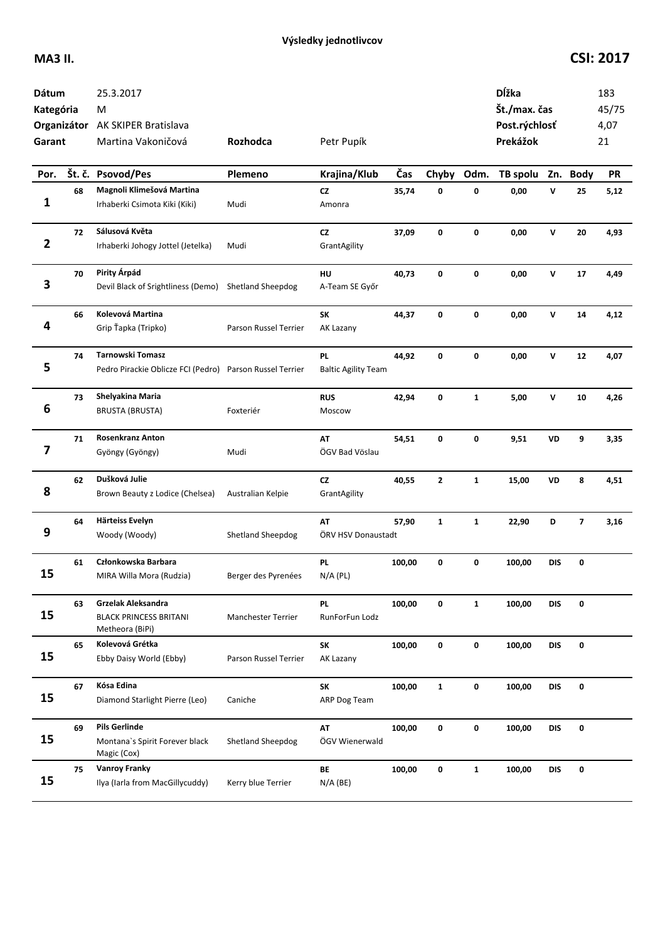| Dátum<br>Kategória<br>Garant |    | 25.3.2017<br>M<br>Organizátor AK SKIPER Bratislava<br>Martina Vakoničová            | Rozhodca                 | Petr Pupík                       |        |              |              | Dĺžka<br>Št./max. čas<br>Post.rýchlosť<br>Prekážok |              |          | 183<br>45/75<br>4,07<br>21 |
|------------------------------|----|-------------------------------------------------------------------------------------|--------------------------|----------------------------------|--------|--------------|--------------|----------------------------------------------------|--------------|----------|----------------------------|
| Por.                         |    | Št. č. Psovod/Pes                                                                   | Plemeno                  | Krajina/Klub                     | Čas    | Chyby        | Odm.         | TB spolu                                           |              | Zn. Body | <b>PR</b>                  |
| 1                            | 68 | Magnoli Klimešová Martina<br>Irhaberki Csimota Kiki (Kiki)                          | Mudi                     | <b>CZ</b><br>Amonra              | 35,74  | 0            | 0            | 0,00                                               | v            | 25       | 5,12                       |
| $\overline{\mathbf{2}}$      | 72 | Sálusová Květa<br>Irhaberki Johogy Jottel (Jetelka)                                 | Mudi                     | CZ<br>GrantAgility               | 37,09  | 0            | 0            | 0,00                                               | $\mathsf{v}$ | 20       | 4,93                       |
| 3                            | 70 | Pirity Árpád<br>Devil Black of Srightliness (Demo)                                  | <b>Shetland Sheepdog</b> | HU<br>A-Team SE Győr             | 40,73  | 0            | 0            | 0,00                                               | ${\bf v}$    | 17       | 4,49                       |
| 4                            | 66 | Kolevová Martina<br>Grip Ťapka (Tripko)                                             | Parson Russel Terrier    | SK<br>AK Lazany                  | 44,37  | 0            | 0            | 0,00                                               | $\mathsf{v}$ | 14       | 4,12                       |
| 5                            | 74 | <b>Tarnowski Tomasz</b><br>Pedro Pirackie Oblicze FCI (Pedro) Parson Russel Terrier |                          | PL<br><b>Baltic Agility Team</b> | 44,92  | 0            | 0            | 0,00                                               | v            | 12       | 4,07                       |
| 6                            | 73 | Shelyakina Maria<br><b>BRUSTA (BRUSTA)</b>                                          | Foxteriér                | <b>RUS</b><br>Moscow             | 42,94  | 0            | $\mathbf{1}$ | 5,00                                               | V            | 10       | 4,26                       |
| 7                            | 71 | <b>Rosenkranz Anton</b><br>Gyöngy (Gyöngy)                                          | Mudi                     | AT<br>ÖGV Bad Vöslau             | 54,51  | 0            | 0            | 9,51                                               | VD           | 9        | 3,35                       |
| 8                            | 62 | Dušková Julie<br>Brown Beauty z Lodice (Chelsea)                                    | Australian Kelpie        | <b>CZ</b><br>GrantAgility        | 40,55  | $\mathbf{2}$ | $\mathbf{1}$ | 15,00                                              | VD           | 8        | 4,51                       |
| 9                            | 64 | <b>Härteiss Evelyn</b><br>Woody (Woody)                                             | Shetland Sheepdog        | AT<br>ÖRV HSV Donaustadt         | 57,90  | $\mathbf{1}$ | $\mathbf{1}$ | 22,90                                              | D            | 7        | 3,16                       |
| 15                           | 61 | Członkowska Barbara<br>MIRA Willa Mora (Rudzia)                                     | Berger des Pyrenées      | PL<br>$N/A$ (PL)                 | 100,00 | 0            | 0            | 100,00                                             | <b>DIS</b>   | 0        |                            |
| 15                           | 63 | Grzelak Aleksandra<br><b>BLACK PRINCESS BRITANI</b><br>Metheora (BiPi)              | Manchester Terrier       | PL<br>RunForFun Lodz             | 100,00 | 0            | $\mathbf{1}$ | 100,00                                             | <b>DIS</b>   | 0        |                            |
| 15                           | 65 | Kolevová Grétka<br>Ebby Daisy World (Ebby)                                          | Parson Russel Terrier    | SK<br>AK Lazany                  | 100,00 | 0            | 0            | 100,00                                             | <b>DIS</b>   | 0        |                            |
| 15                           | 67 | Kósa Edina<br>Diamond Starlight Pierre (Leo)                                        | Caniche                  | SK<br>ARP Dog Team               | 100,00 | $\mathbf{1}$ | 0            | 100,00                                             | <b>DIS</b>   | 0        |                            |
| 15                           | 69 | <b>Pils Gerlinde</b><br>Montana's Spirit Forever black<br>Magic (Cox)               | <b>Shetland Sheepdog</b> | AT<br>ÖGV Wienerwald             | 100,00 | 0            | $\pmb{0}$    | 100,00                                             | <b>DIS</b>   | 0        |                            |
| 15                           | 75 | <b>Vanroy Franky</b><br>Ilya (Iarla from MacGillycuddy)                             | Kerry blue Terrier       | BE<br>$N/A$ (BE)                 | 100,00 | 0            | $\mathbf{1}$ | 100,00                                             | DIS          | 0        |                            |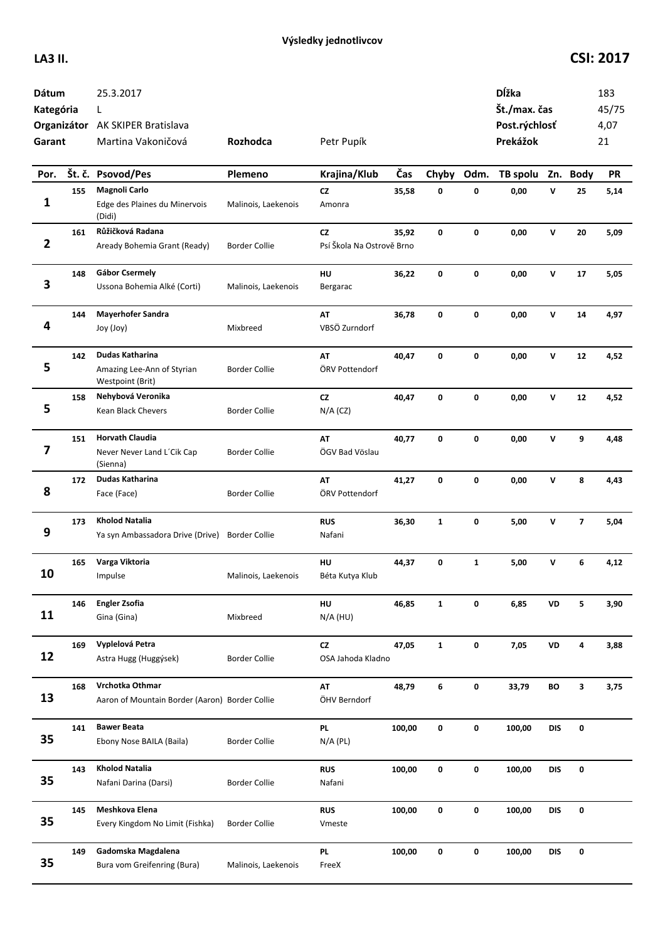| Dátum<br>Kategória<br>Garant |     | 25.3.2017<br>L<br>Organizátor AK SKIPER Bratislava<br>Martina Vakoničová | Rozhodca             | Petr Pupík                      |        |              |              | Dĺžka<br>Št./max. čas<br>Post.rýchlosť<br>Prekážok |              |                         | 183<br>45/75<br>4,07<br>21 |
|------------------------------|-----|--------------------------------------------------------------------------|----------------------|---------------------------------|--------|--------------|--------------|----------------------------------------------------|--------------|-------------------------|----------------------------|
| Por.                         |     | Št. č. Psovod/Pes                                                        | Plemeno              | Krajina/Klub                    | Čas    | Chyby        | Odm.         | TB spolu                                           |              | Zn. Body                | <b>PR</b>                  |
| 1                            | 155 | Magnoli Carlo<br>Edge des Plaines du Minervois<br>(Didi)                 | Malinois, Laekenois  | CZ<br>Amonra                    | 35,58  | 0            | 0            | 0,00                                               | $\mathsf{v}$ | 25                      | 5,14                       |
| $\overline{2}$               | 161 | Růžičková Radana<br>Aready Bohemia Grant (Ready)                         | <b>Border Collie</b> | CZ<br>Psí Škola Na Ostrově Brno | 35,92  | 0            | 0            | 0,00                                               | v            | 20                      | 5,09                       |
| 3                            | 148 | <b>Gábor Csermely</b><br>Ussona Bohemia Alké (Corti)                     | Malinois, Laekenois  | HU<br>Bergarac                  | 36,22  | 0            | 0            | 0,00                                               | v            | 17                      | 5,05                       |
| 4                            | 144 | <b>Mayerhofer Sandra</b><br>Joy (Joy)                                    | Mixbreed             | AT<br>VBSÖ Zurndorf             | 36,78  | 0            | 0            | 0,00                                               | v            | 14                      | 4,97                       |
| 5                            | 142 | Dudas Katharina<br>Amazing Lee-Ann of Styrian<br>Westpoint (Brit)        | <b>Border Collie</b> | AT<br>ÖRV Pottendorf            | 40,47  | 0            | 0            | 0,00                                               | V            | 12                      | 4,52                       |
| 5                            | 158 | Nehybová Veronika<br>Kean Black Chevers                                  | <b>Border Collie</b> | CZ<br>$N/A$ (CZ)                | 40,47  | 0            | 0            | 0,00                                               | v            | 12                      | 4,52                       |
| 7                            | 151 | <b>Horvath Claudia</b><br>Never Never Land L'Cik Cap<br>(Sienna)         | <b>Border Collie</b> | AT<br>ÖGV Bad Vöslau            | 40,77  | 0            | 0            | 0,00                                               | V            | 9                       | 4,48                       |
| 8                            | 172 | Dudas Katharina<br>Face (Face)                                           | Border Collie        | AT<br>ÖRV Pottendorf            | 41,27  | 0            | 0            | 0,00                                               | v            | 8                       | 4,43                       |
| 9                            | 173 | <b>Kholod Natalia</b><br>Ya syn Ambassadora Drive (Drive)                | <b>Border Collie</b> | <b>RUS</b><br>Nafani            | 36,30  | $\mathbf{1}$ | 0            | 5,00                                               | v            | $\overline{\mathbf{z}}$ | 5,04                       |
| 10                           | 165 | Varga Viktoria<br>Impulse                                                | Malinois, Laekenois  | HU<br>Béta Kutya Klub           | 44,37  | 0            | $\mathbf{1}$ | 5,00                                               | v            | 6                       | 4,12                       |
| 11                           | 146 | <b>Engler Zsofia</b><br>Gina (Gina)                                      | Mixbreed             | HU<br>$N/A$ (HU)                | 46,85  | $\mathbf{1}$ | 0            | 6,85                                               | VD           | 5                       | 3,90                       |
| 12                           | 169 | Vyplelová Petra<br>Astra Hugg (Huggýsek)                                 | <b>Border Collie</b> | CZ<br>OSA Jahoda Kladno         | 47,05  | $\mathbf{1}$ | 0            | 7,05                                               | VD           | 4                       | 3,88                       |
| 13                           | 168 | Vrchotka Othmar<br>Aaron of Mountain Border (Aaron) Border Collie        |                      | AT<br>ÖHV Berndorf              | 48,79  | 6            | 0            | 33,79                                              | BO           | 3                       | 3,75                       |
| 35                           | 141 | <b>Bawer Beata</b><br>Ebony Nose BAILA (Baila)                           | Border Collie        | <b>PL</b><br>$N/A$ (PL)         | 100,00 | 0            | 0            | 100,00                                             | DIS          | 0                       |                            |
| 35                           | 143 | <b>Kholod Natalia</b><br>Nafani Darina (Darsi)                           | <b>Border Collie</b> | <b>RUS</b><br>Nafani            | 100,00 | 0            | 0            | 100,00                                             | <b>DIS</b>   | 0                       |                            |
| 35                           | 145 | Meshkova Elena<br>Every Kingdom No Limit (Fishka)                        | Border Collie        | <b>RUS</b><br>Vmeste            | 100,00 | 0            | 0            | 100,00                                             | DIS          | 0                       |                            |
| 35                           | 149 | Gadomska Magdalena<br>Bura vom Greifenring (Bura)                        | Malinois, Laekenois  | <b>PL</b><br>FreeX              | 100,00 | 0            | 0            | 100,00                                             | DIS          | 0                       |                            |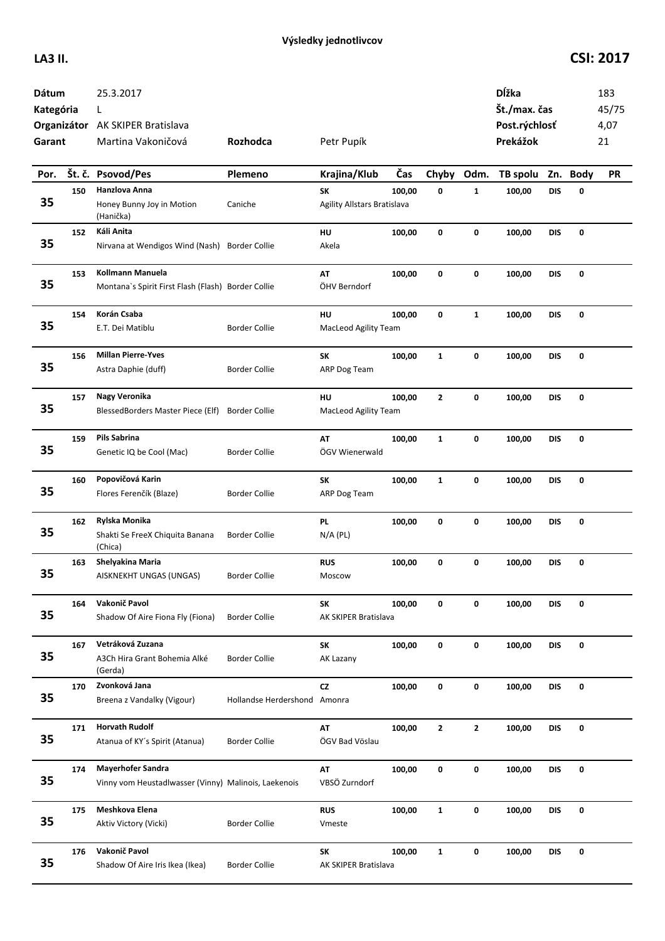| Dátum<br>Kategória<br>Garant |        | 25.3.2017<br>L<br>Organizátor AK SKIPER Bratislava<br>Martina Vakoničová         | Rozhodca                     | Petr Pupík                        |        |              |              | Dĺžka<br>Št./max. čas<br>Post.rýchlosť<br>Prekážok |            |          | 183<br>45/75<br>4,07<br>21 |
|------------------------------|--------|----------------------------------------------------------------------------------|------------------------------|-----------------------------------|--------|--------------|--------------|----------------------------------------------------|------------|----------|----------------------------|
| Por.                         | Št. č. | <b>Psovod/Pes</b>                                                                | Plemeno                      | Krajina/Klub                      | Čas    | Chyby        | Odm.         | TB spolu                                           |            | Zn. Body | <b>PR</b>                  |
| 35                           | 150    | Hanzlova Anna<br>Honey Bunny Joy in Motion                                       | Caniche                      | SK<br>Agility Allstars Bratislava | 100,00 | 0            | $\mathbf{1}$ | 100,00                                             | <b>DIS</b> | 0        |                            |
|                              |        | (Hanička)                                                                        |                              |                                   |        |              |              |                                                    |            |          |                            |
| 35                           | 152    | Káli Anita<br>Nirvana at Wendigos Wind (Nash)                                    | <b>Border Collie</b>         | HU<br>Akela                       | 100,00 | 0            | 0            | 100,00                                             | <b>DIS</b> | 0        |                            |
| 35                           | 153    | Kollmann Manuela<br>Montana's Spirit First Flash (Flash) Border Collie           |                              | AT<br>ÖHV Berndorf                | 100,00 | 0            | 0            | 100,00                                             | <b>DIS</b> | 0        |                            |
| 35                           | 154    | Korán Csaba<br>E.T. Dei Matiblu                                                  | <b>Border Collie</b>         | HU<br><b>MacLeod Agility Team</b> | 100,00 | 0            | $\mathbf{1}$ | 100,00                                             | <b>DIS</b> | 0        |                            |
| 35                           | 156    | <b>Millan Pierre-Yves</b><br>Astra Daphie (duff)                                 | <b>Border Collie</b>         | SK<br>ARP Dog Team                | 100,00 | $\mathbf{1}$ | 0            | 100,00                                             | <b>DIS</b> | 0        |                            |
| 35                           | 157    | Nagy Veronika<br>BlessedBorders Master Piece (Elf)                               | <b>Border Collie</b>         | HU<br>MacLeod Agility Team        | 100,00 | $\mathbf{z}$ | 0            | 100,00                                             | <b>DIS</b> | 0        |                            |
| 35                           | 159    | Pils Sabrina<br>Genetic IQ be Cool (Mac)                                         | <b>Border Collie</b>         | AT<br>ÖGV Wienerwald              | 100,00 | $\mathbf{1}$ | 0            | 100,00                                             | <b>DIS</b> | 0        |                            |
| 35                           | 160    | Popovičová Karin<br>Flores Ferenčík (Blaze)                                      | <b>Border Collie</b>         | SK<br>ARP Dog Team                | 100,00 | $\mathbf{1}$ | 0            | 100,00                                             | <b>DIS</b> | 0        |                            |
| 35                           | 162    | Rylska Monika<br>Shakti Se FreeX Chiquita Banana<br>(Chica)                      | <b>Border Collie</b>         | PL.<br>$N/A$ (PL)                 | 100,00 | 0            | 0            | 100,00                                             | DIS        | 0        |                            |
| 35                           | 163    | Shelyakina Maria<br>AISKNEKHT UNGAS (UNGAS)                                      | <b>Border Collie</b>         | <b>RUS</b><br>Moscow              | 100,00 | 0            | 0            | 100,00                                             | <b>DIS</b> | 0        |                            |
| 35                           | 164    | Vakonič Pavol<br>Shadow Of Aire Fiona Fly (Fiona)                                | <b>Border Collie</b>         | SΚ<br>AK SKIPER Bratislava        | 100,00 | 0            | 0            | 100,00                                             | <b>DIS</b> | 0        |                            |
| 35                           | 167    | Vetráková Zuzana<br>A3Ch Hira Grant Bohemia Alké<br>(Gerda)                      | <b>Border Collie</b>         | SK<br>AK Lazany                   | 100,00 | 0            | 0            | 100,00                                             | DIS        | 0        |                            |
| 35                           | 170    | Zvonková Jana<br>Breena z Vandalky (Vigour)                                      | Hollandse Herdershond Amonra | <b>CZ</b>                         | 100,00 | 0            | 0            | 100,00                                             | <b>DIS</b> | 0        |                            |
| 35                           | 171    | <b>Horvath Rudolf</b><br>Atanua of KY's Spirit (Atanua)                          | <b>Border Collie</b>         | AT<br>ÖGV Bad Vöslau              | 100,00 | $\mathbf{2}$ | $\mathbf{2}$ | 100,00                                             | DIS        | 0        |                            |
| 35                           | 174    | <b>Mayerhofer Sandra</b><br>Vinny vom Heustadlwasser (Vinny) Malinois, Laekenois |                              | AT<br>VBSÖ Zurndorf               | 100,00 | 0            | 0            | 100,00                                             | <b>DIS</b> | 0        |                            |
| 35                           | 175    | Meshkova Elena<br>Aktiv Victory (Vicki)                                          | <b>Border Collie</b>         | <b>RUS</b><br>Vmeste              | 100,00 | $\mathbf{1}$ | 0            | 100,00                                             | DIS        | 0        |                            |
| 35                           | 176    | Vakonič Pavol<br>Shadow Of Aire Iris Ikea (Ikea)                                 | <b>Border Collie</b>         | SΚ<br>AK SKIPER Bratislava        | 100,00 | $\mathbf{1}$ | 0            | 100,00                                             | DIS        | 0        |                            |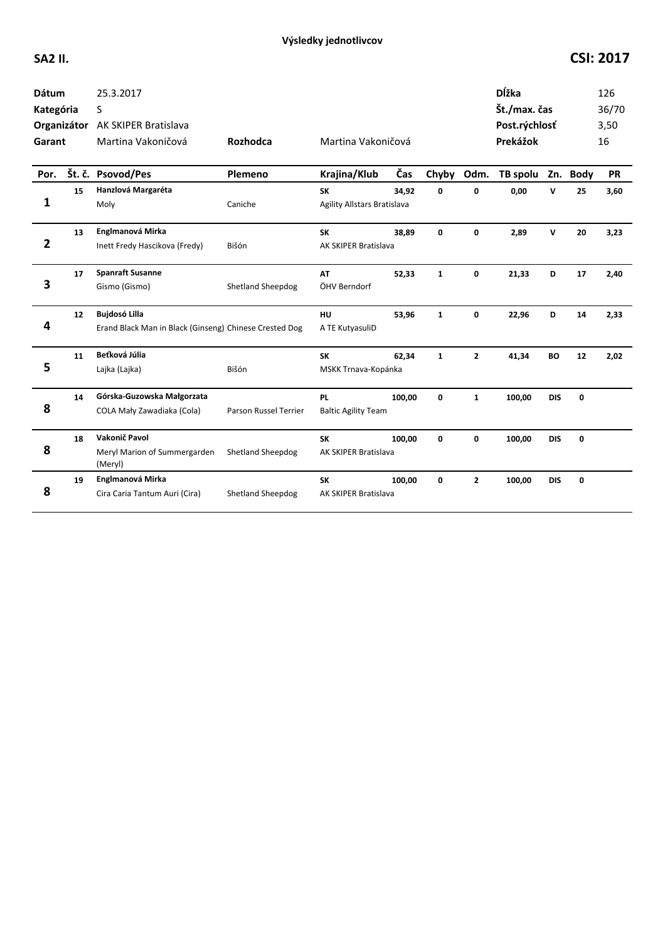| <b>Dátum</b><br>Kategória<br>Garant |    | 25.3.2017<br>S<br>Organizátor AK SKIPER Bratislava<br>Martina Vakoničová       | Rozhodca                 | Martina Vakoničová                       |        |              |              | <b>D</b> ĺžka<br>Št./max. čas<br>Post.rýchlosť<br>Prekážok |            |    | 126<br>36/70<br>3,50<br>16 |
|-------------------------------------|----|--------------------------------------------------------------------------------|--------------------------|------------------------------------------|--------|--------------|--------------|------------------------------------------------------------|------------|----|----------------------------|
| Por.                                |    | Št. č. Psovod/Pes                                                              | Plemeno                  | Krajina/Klub                             | Čas    | Chyby        | Odm.         | TB spolu Zn. Body                                          |            |    | <b>PR</b>                  |
| 1                                   | 15 | Hanzlová Margaréta<br>Moly                                                     | Caniche                  | <b>SK</b><br>Agility Allstars Bratislava | 34,92  | 0            | 0            | 0,00                                                       | v          | 25 | 3,60                       |
| $\overline{\mathbf{2}}$             | 13 | Englmanová Mirka<br>Inett Fredy Hascikova (Fredy)                              | Bišón                    | <b>SK</b><br><b>AK SKIPER Bratislava</b> | 38,89  | $\mathbf 0$  | 0            | 2,89                                                       | V          | 20 | 3,23                       |
| 3                                   | 17 | <b>Spanraft Susanne</b><br>Gismo (Gismo)                                       | Shetland Sheepdog        | AT<br>ÖHV Berndorf                       | 52,33  | $\mathbf{1}$ | 0            | 21,33                                                      | D          | 17 | 2,40                       |
| 4                                   | 12 | <b>Bujdosó Lilla</b><br>Erand Black Man in Black (Ginseng) Chinese Crested Dog |                          | <b>HU</b><br>A TE KutyasuliD             | 53,96  | $\mathbf{1}$ | 0            | 22,96                                                      | D          | 14 | 2,33                       |
| 5                                   | 11 | Beťková Júlia<br>Lajka (Lajka)                                                 | Bišón                    | <b>SK</b><br>MSKK Trnava-Kopánka         | 62,34  | $\mathbf{1}$ | $\mathbf{2}$ | 41,34                                                      | BO         | 12 | 2,02                       |
| 8                                   | 14 | Górska-Guzowska Małgorzata<br>COLA Mały Zawadiaka (Cola)                       | Parson Russel Terrier    | <b>PL</b><br><b>Baltic Agility Team</b>  | 100,00 | 0            | $\mathbf{1}$ | 100,00                                                     | <b>DIS</b> | 0  |                            |
| 8                                   | 18 | Vakonič Pavol<br>Meryl Marion of Summergarden<br>(Meryl)                       | Shetland Sheepdog        | <b>SK</b><br>AK SKIPER Bratislava        | 100,00 | 0            | 0            | 100,00                                                     | <b>DIS</b> | 0  |                            |
| 8                                   | 19 | Englmanová Mirka<br>Cira Caria Tantum Auri (Cira)                              | <b>Shetland Sheepdog</b> | <b>SK</b><br>AK SKIPER Bratislava        | 100,00 | 0            | $\mathbf{z}$ | 100,00                                                     | <b>DIS</b> | 0  |                            |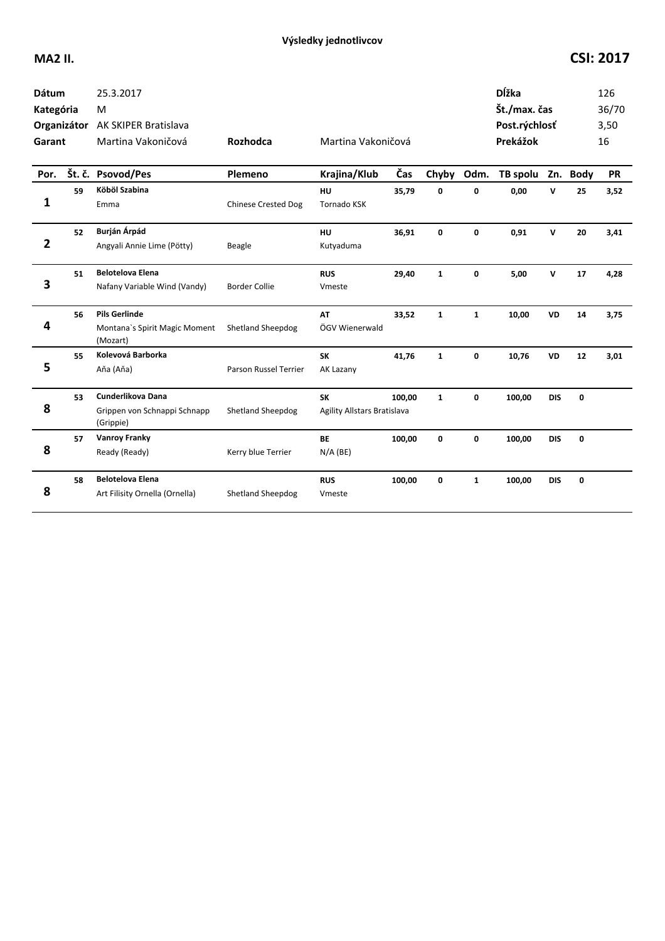## **MA2 II. CSI: 2017**

| <b>Dátum</b><br>Kategória<br>Garant |    | 25.3.2017<br>M<br>Organizátor AK SKIPER Bratislava<br>Martina Vakoničová | Rozhodca                   | Martina Vakoničová                       |        |              |              | <b>D</b> ĺžka<br>Št./max. čas<br>Post.rýchlosť<br>Prekážok |             |    | 126<br>36/70<br>3,50<br>16 |
|-------------------------------------|----|--------------------------------------------------------------------------|----------------------------|------------------------------------------|--------|--------------|--------------|------------------------------------------------------------|-------------|----|----------------------------|
| Por.                                |    | Št. č. Psovod/Pes                                                        | Plemeno                    | Krajina/Klub                             | Čas    | Chyby        | Odm.         | TB spolu Zn. Body                                          |             |    | <b>PR</b>                  |
| 1                                   | 59 | Köböl Szabina<br>Emma                                                    | <b>Chinese Crested Dog</b> | HU<br><b>Tornado KSK</b>                 | 35,79  | 0            | 0            | 0,00                                                       | v           | 25 | 3,52                       |
| 2                                   | 52 | Burján Árpád<br>Angyali Annie Lime (Pötty)                               | Beagle                     | HU<br>Kutyaduma                          | 36,91  | 0            | 0            | 0,91                                                       | $\mathbf v$ | 20 | 3,41                       |
| 3                                   | 51 | <b>Belotelova Elena</b><br>Nafany Variable Wind (Vandy)                  | <b>Border Collie</b>       | <b>RUS</b><br>Vmeste                     | 29,40  | $\mathbf{1}$ | 0            | 5,00                                                       | v           | 17 | 4,28                       |
| 4                                   | 56 | <b>Pils Gerlinde</b><br>Montana's Spirit Magic Moment<br>(Mozart)        | <b>Shetland Sheepdog</b>   | <b>AT</b><br>ÖGV Wienerwald              | 33,52  | $\mathbf{1}$ | $\mathbf{1}$ | 10,00                                                      | <b>VD</b>   | 14 | 3,75                       |
| 5                                   | 55 | Kolevová Barborka<br>Aňa (Aňa)                                           | Parson Russel Terrier      | <b>SK</b><br>AK Lazany                   | 41,76  | $\mathbf{1}$ | 0            | 10,76                                                      | VD          | 12 | 3,01                       |
| 8                                   | 53 | Cunderlikova Dana<br>Grippen von Schnappi Schnapp<br>(Grippie)           | <b>Shetland Sheepdog</b>   | <b>SK</b><br>Agility Allstars Bratislava | 100,00 | $\mathbf{1}$ | 0            | 100,00                                                     | <b>DIS</b>  | 0  |                            |
| 8                                   | 57 | <b>Vanroy Franky</b><br>Ready (Ready)                                    | Kerry blue Terrier         | <b>BE</b><br>$N/A$ (BE)                  | 100,00 | 0            | 0            | 100,00                                                     | <b>DIS</b>  | 0  |                            |
| 8                                   | 58 | <b>Belotelova Elena</b><br>Art Filisity Ornella (Ornella)                | <b>Shetland Sheepdog</b>   | <b>RUS</b><br>Vmeste                     | 100,00 | 0            | $\mathbf{1}$ | 100,00                                                     | <b>DIS</b>  | 0  |                            |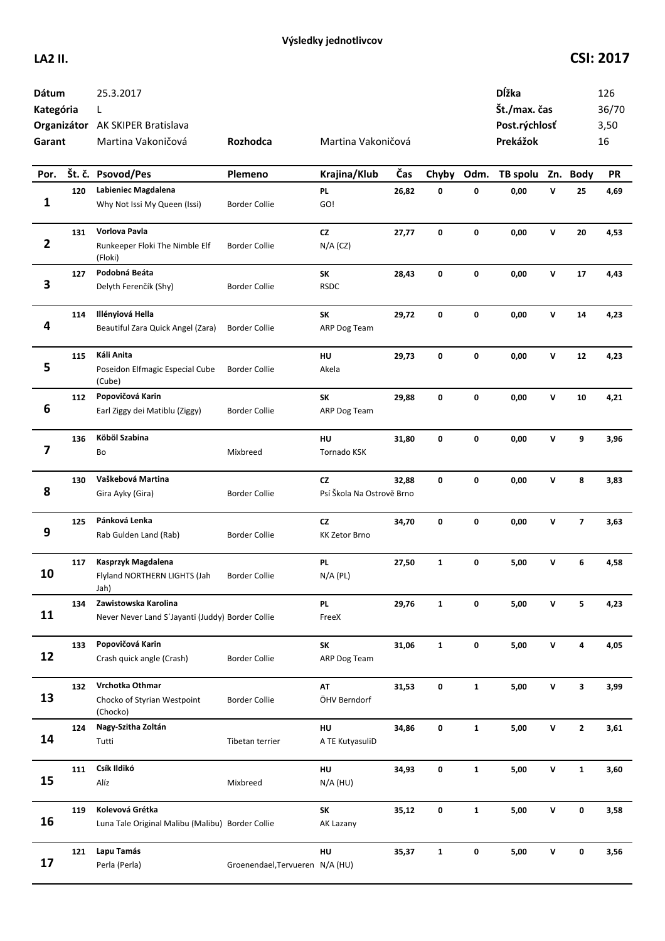| Dátum<br>Kategória<br>Garant |     | 25.3.2017<br>L<br>Organizátor AK SKIPER Bratislava<br>Martina Vakoničová | Rozhodca                        | Martina Vakoničová                     |       |              |              | Dĺžka<br>Št./max. čas<br>Post.rýchlosť<br>Prekážok |              |                          | 126<br>36/70<br>3,50<br>16 |
|------------------------------|-----|--------------------------------------------------------------------------|---------------------------------|----------------------------------------|-------|--------------|--------------|----------------------------------------------------|--------------|--------------------------|----------------------------|
| Por.                         |     | Št. č. Psovod/Pes                                                        | Plemeno                         | Krajina/Klub                           | Čas   | Chyby        | Odm.         | TB spolu                                           |              | Zn. Body                 | <b>PR</b>                  |
| 1                            | 120 | Labieniec Magdalena<br>Why Not Issi My Queen (Issi)                      | <b>Border Collie</b>            | <b>PL</b><br>GO!                       | 26,82 | 0            | 0            | 0,00                                               | v            | 25                       | 4,69                       |
| $\mathbf{2}$                 | 131 | Vorlova Pavla<br>Runkeeper Floki The Nimble Elf<br>(Floki)               | <b>Border Collie</b>            | cz<br>$N/A$ (CZ)                       | 27,77 | 0            | $\mathbf 0$  | 0,00                                               | ${\bf v}$    | 20                       | 4,53                       |
| 3                            | 127 | Podobná Beáta<br>Delyth Ferenčík (Shy)                                   | <b>Border Collie</b>            | SK<br><b>RSDC</b>                      | 28,43 | 0            | 0            | 0,00                                               | $\mathsf{v}$ | 17                       | 4,43                       |
| 4                            | 114 | Illényiová Hella<br>Beautiful Zara Quick Angel (Zara)                    | <b>Border Collie</b>            | SK<br>ARP Dog Team                     | 29,72 | 0            | 0            | 0,00                                               | $\mathsf{v}$ | 14                       | 4,23                       |
| 5                            | 115 | Káli Anita<br>Poseidon Elfmagic Especial Cube<br>(Cube)                  | <b>Border Collie</b>            | HU<br>Akela                            | 29,73 | 0            | 0            | 0,00                                               | V            | 12                       | 4,23                       |
| 6                            | 112 | Popovičová Karin<br>Earl Ziggy dei Matiblu (Ziggy)                       | <b>Border Collie</b>            | <b>SK</b><br>ARP Dog Team              | 29,88 | 0            | 0            | 0,00                                               | V            | 10                       | 4,21                       |
| 7                            | 136 | Köböl Szabina<br>Bo                                                      | Mixbreed                        | HU<br>Tornado KSK                      | 31,80 | 0            | $\mathbf 0$  | 0,00                                               | v            | 9                        | 3,96                       |
| 8                            | 130 | Vaškebová Martina<br>Gira Ayky (Gira)                                    | <b>Border Collie</b>            | <b>CZ</b><br>Psí Škola Na Ostrově Brno | 32,88 | 0            | $\mathbf 0$  | 0,00                                               | V            | 8                        | 3,83                       |
| 9                            | 125 | Pánková Lenka<br>Rab Gulden Land (Rab)                                   | <b>Border Collie</b>            | CZ<br><b>KK Zetor Brno</b>             | 34,70 | 0            | 0            | 0,00                                               | v            | $\overline{\phantom{a}}$ | 3,63                       |
| 10                           | 117 | Kasprzyk Magdalena<br>Flyland NORTHERN LIGHTS (Jah<br>Jah)               | <b>Border Collie</b>            | <b>PL</b><br>$N/A$ (PL)                | 27,50 | $\mathbf{1}$ | $\mathbf 0$  | 5,00                                               | V            | 6                        | 4,58                       |
| 11                           | 134 | Zawistowska Karolina<br>Never Never Land S'Jayanti (Juddy) Border Collie |                                 | <b>PL</b><br>FreeX                     | 29,76 | $\mathbf{1}$ | 0            | 5,00                                               | V            | 5                        | 4,23                       |
| 12                           | 133 | Popovičová Karin<br>Crash quick angle (Crash)                            | <b>Border Collie</b>            | <b>SK</b><br>ARP Dog Team              | 31,06 | $\mathbf{1}$ | 0            | 5,00                                               | V            | 4                        | 4,05                       |
| 13                           | 132 | Vrchotka Othmar<br>Chocko of Styrian Westpoint<br>(Chocko)               | <b>Border Collie</b>            | AT<br>ÖHV Berndorf                     | 31,53 | 0            | $\mathbf{1}$ | 5,00                                               | ${\sf v}$    | 3                        | 3,99                       |
| 14                           | 124 | Nagy-Szitha Zoltán<br>Tutti                                              | Tibetan terrier                 | HU<br>A TE KutyasuliD                  | 34,86 | 0            | $\mathbf{1}$ | 5,00                                               | $\mathsf{v}$ | $\mathbf{2}$             | 3,61                       |
| 15                           | 111 | Csík Ildikó<br>Alíz                                                      | Mixbreed                        | HU<br>$N/A$ (HU)                       | 34,93 | 0            | $\mathbf{1}$ | 5,00                                               | ${\sf v}$    | $\mathbf{1}$             | 3,60                       |
| 16                           | 119 | Kolevová Grétka<br>Luna Tale Original Malibu (Malibu) Border Collie      |                                 | <b>SK</b><br>AK Lazany                 | 35,12 | 0            | $\mathbf{1}$ | 5,00                                               | V            | 0                        | 3,58                       |
| 17                           | 121 | Lapu Tamás<br>Perla (Perla)                                              | Groenendael, Tervueren N/A (HU) | HU                                     | 35,37 | $\mathbf{1}$ | 0            | 5,00                                               | v            | 0                        | 3,56                       |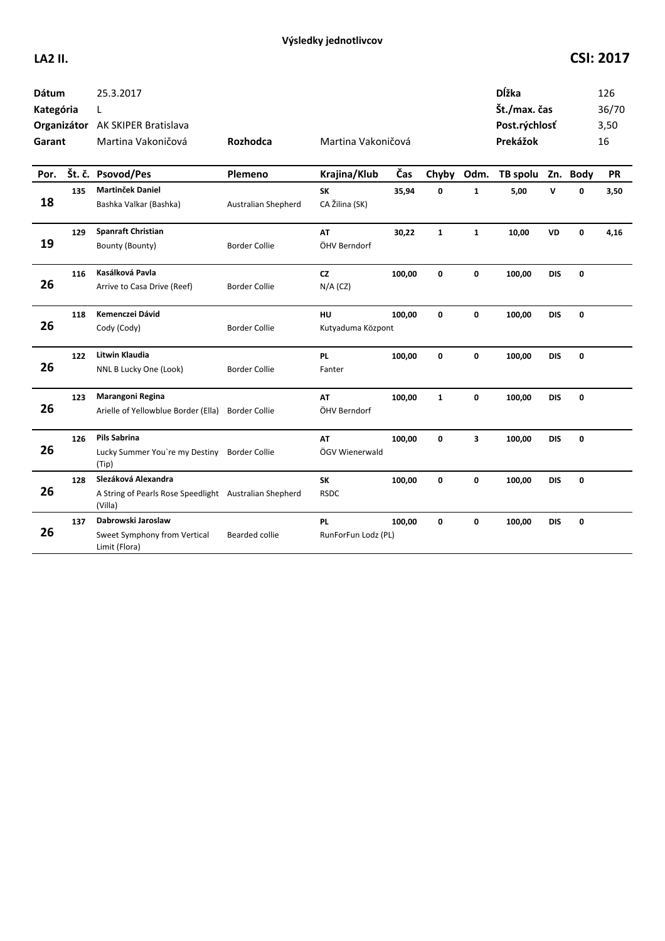| <b>Dátum</b><br>Kategória<br>Garant |     | 25.3.2017<br>L<br>Organizátor AK SKIPER Bratislava<br>Martina Vakoničová                 | Rozhodca                   | Martina Vakoničová          |        |              |              | <b>D</b> ĺžka<br>Št./max. čas<br>Post.rýchlosť<br>Prekážok |            |             | 126<br>36/70<br>3,50<br>16 |
|-------------------------------------|-----|------------------------------------------------------------------------------------------|----------------------------|-----------------------------|--------|--------------|--------------|------------------------------------------------------------|------------|-------------|----------------------------|
| Por.                                |     | Št. č. Psovod/Pes                                                                        | Plemeno                    | Krajina/Klub                | Čas    | Chyby        | Odm.         | TB spolu Zn. Body                                          |            |             | <b>PR</b>                  |
| 18                                  | 135 | <b>Martinček Daniel</b><br>Bashka Valkar (Bashka)                                        | <b>Australian Shepherd</b> | <b>SK</b><br>CA Žilina (SK) | 35,94  | 0            | $\mathbf{1}$ | 5,00                                                       | v          | 0           | 3,50                       |
| 19                                  | 129 | <b>Spanraft Christian</b><br>Bounty (Bounty)                                             | <b>Border Collie</b>       | AT<br>ÖHV Berndorf          | 30,22  | $\mathbf{1}$ | $\mathbf{1}$ | 10,00                                                      | VD         | 0           | 4,16                       |
| 26                                  | 116 | Kasálková Pavla<br>Arrive to Casa Drive (Reef)                                           | <b>Border Collie</b>       | <b>CZ</b><br>$N/A$ (CZ)     | 100,00 | 0            | 0            | 100,00                                                     | <b>DIS</b> | 0           |                            |
| 26                                  | 118 | Kemenczei Dávid<br>Cody (Cody)                                                           | <b>Border Collie</b>       | HU<br>Kutyaduma Központ     | 100.00 | 0            | 0            | 100,00                                                     | <b>DIS</b> | $\mathbf 0$ |                            |
| 26                                  | 122 | Litwin Klaudia<br>NNL B Lucky One (Look)                                                 | <b>Border Collie</b>       | <b>PL</b><br>Fanter         | 100,00 | 0            | 0            | 100,00                                                     | <b>DIS</b> | $\mathbf 0$ |                            |
| 26                                  | 123 | Marangoni Regina<br>Arielle of Yellowblue Border (Ella) Border Collie                    |                            | AT<br>ÖHV Berndorf          | 100,00 | $\mathbf{1}$ | 0            | 100,00                                                     | <b>DIS</b> | $\mathbf 0$ |                            |
| 26                                  | 126 | <b>Pils Sabrina</b><br>Lucky Summer You're my Destiny Border Collie<br>(Tip)             |                            | AT<br>ÖGV Wienerwald        | 100,00 | 0            | 3            | 100,00                                                     | <b>DIS</b> | $\mathbf 0$ |                            |
| 26                                  | 128 | Slezáková Alexandra<br>A String of Pearls Rose Speedlight Australian Shepherd<br>(Villa) |                            | <b>SK</b><br><b>RSDC</b>    | 100,00 | 0            | 0            | 100,00                                                     | <b>DIS</b> | $\mathbf 0$ |                            |
| 26                                  | 137 | Dabrowski Jaroslaw<br>Sweet Symphony from Vertical<br>Limit (Flora)                      | <b>Bearded collie</b>      | PL<br>RunForFun Lodz (PL)   | 100,00 | 0            | 0            | 100,00                                                     | <b>DIS</b> | $\mathbf 0$ |                            |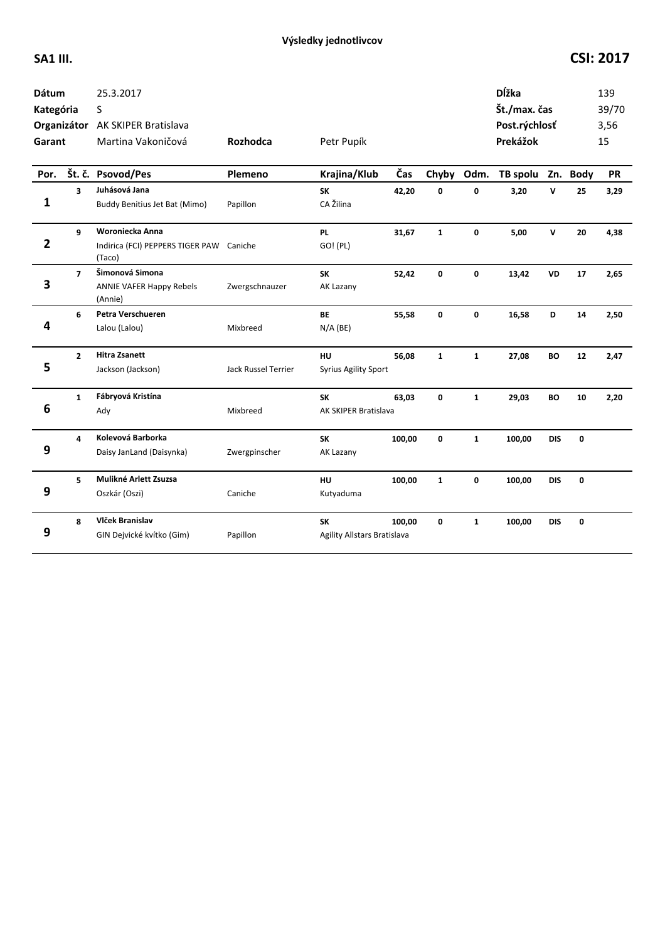| <b>Dátum</b><br>Kategória<br>Garant |                         | 25.3.2017<br>S<br>Organizátor AK SKIPER Bratislava<br>Martina Vakoničová | Rozhodca            | Petr Pupík                        |        |              |              | <b>D</b> ĺžka<br>Št./max. čas<br>Post.rýchlosť<br>Prekážok |             |             | 139<br>39/70<br>3,56<br>15 |
|-------------------------------------|-------------------------|--------------------------------------------------------------------------|---------------------|-----------------------------------|--------|--------------|--------------|------------------------------------------------------------|-------------|-------------|----------------------------|
| Por.                                |                         | Št. č. Psovod/Pes                                                        | Plemeno             | Krajina/Klub                      | Čas    | Chyby        | Odm.         | TB spolu Zn. Body                                          |             |             | <b>PR</b>                  |
| 1                                   | $\overline{\mathbf{3}}$ | Juhásová Jana<br>Buddy Benitius Jet Bat (Mimo)                           | Papillon            | <b>SK</b><br>CA Žilina            | 42,20  | 0            | 0            | 3,20                                                       | V           | 25          | 3,29                       |
| $\overline{2}$                      | 9                       | Woroniecka Anna<br>Indirica (FCI) PEPPERS TIGER PAW Caniche<br>(Taco)    |                     | <b>PL</b><br>GO! (PL)             | 31,67  | $\mathbf{1}$ | $\mathbf 0$  | 5,00                                                       | $\mathbf v$ | 20          | 4,38                       |
| 3                                   | $\overline{7}$          | Šimonová Simona<br><b>ANNIE VAFER Happy Rebels</b><br>(Annie)            | Zwergschnauzer      | <b>SK</b><br>AK Lazany            | 52,42  | 0            | $\mathbf 0$  | 13,42                                                      | <b>VD</b>   | 17          | 2,65                       |
| 4                                   | 6                       | Petra Verschueren<br>Lalou (Lalou)                                       | Mixbreed            | <b>BE</b><br>$N/A$ (BE)           | 55,58  | 0            | 0            | 16,58                                                      | D           | 14          | 2,50                       |
| 5                                   | $\mathbf{2}$            | <b>Hitra Zsanett</b><br>Jackson (Jackson)                                | Jack Russel Terrier | HU<br><b>Syrius Agility Sport</b> | 56,08  | $\mathbf{1}$ | $\mathbf{1}$ | 27,08                                                      | <b>BO</b>   | 12          | 2,47                       |
| 6                                   | $\mathbf{1}$            | Fábryová Kristína<br>Ady                                                 | Mixbreed            | <b>SK</b><br>AK SKIPER Bratislava | 63,03  | 0            | $\mathbf{1}$ | 29,03                                                      | <b>BO</b>   | 10          | 2,20                       |
| 9                                   | 4                       | Kolevová Barborka<br>Daisy JanLand (Daisynka)                            | Zwergpinscher       | <b>SK</b><br>AK Lazany            | 100,00 | $\mathbf{0}$ | $\mathbf{1}$ | 100,00                                                     | <b>DIS</b>  | $\mathbf 0$ |                            |
| 9                                   | 5                       | Mulikné Arlett Zsuzsa<br>Oszkár (Oszi)                                   | Caniche             | HU<br>Kutyaduma                   | 100,00 | $\mathbf{1}$ | 0            | 100,00                                                     | <b>DIS</b>  | 0           |                            |
| 9                                   | 8                       | Vlček Branislav<br>GIN Dejvické kvítko (Gim)                             | Papillon            | SK<br>Agility Allstars Bratislava | 100,00 | $\mathbf 0$  | $\mathbf{1}$ | 100,00                                                     | <b>DIS</b>  | 0           |                            |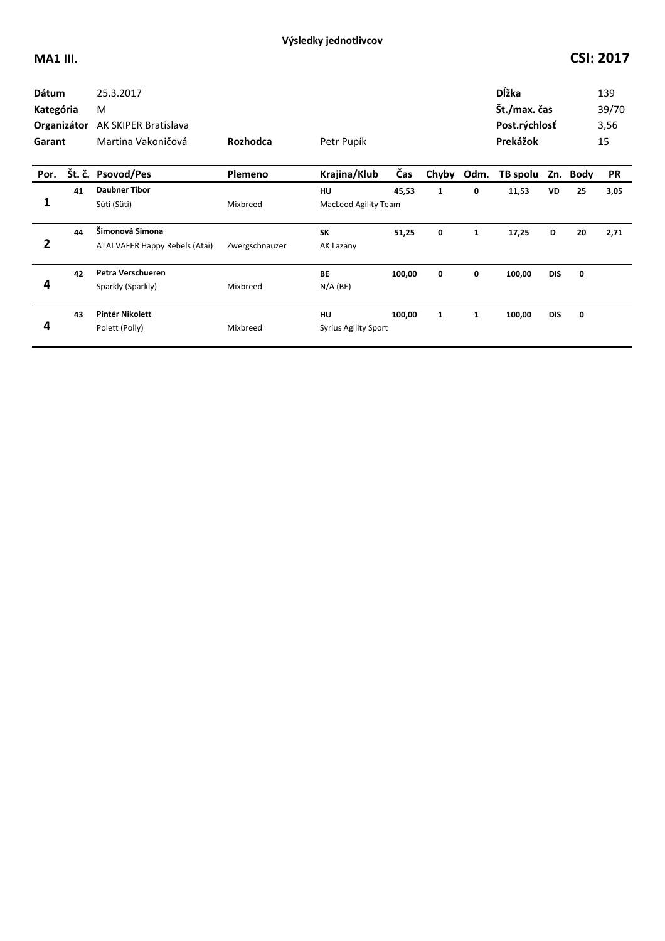| <b>Dátum</b><br>Kategória<br>Organizátor<br>Garant |    | 25.3.2017<br>M<br><b>AK SKIPER Bratislava</b><br>Martina Vakoničová | <b>Rozhodca</b> | Petr Pupík                  |        |       |              | Dĺžka<br>Št./max. čas<br>Post.rýchlosť<br>Prekážok |            |          | 139<br>39/70<br>3,56<br>15 |
|----------------------------------------------------|----|---------------------------------------------------------------------|-----------------|-----------------------------|--------|-------|--------------|----------------------------------------------------|------------|----------|----------------------------|
| Por.                                               |    | Št. č. Psovod/Pes                                                   | Plemeno         | Krajina/Klub                | Čas    | Chyby | Odm.         | TB spolu                                           |            | Zn. Body | <b>PR</b>                  |
|                                                    | 41 | <b>Daubner Tibor</b>                                                |                 | HU                          | 45,53  | 1     | 0            | 11,53                                              | VD         | 25       | 3,05                       |
| 1                                                  |    | Süti (Süti)                                                         | Mixbreed        | <b>MacLeod Agility Team</b> |        |       |              |                                                    |            |          |                            |
|                                                    | 44 | Šimonová Simona                                                     |                 | <b>SK</b>                   | 51,25  | 0     | $\mathbf{1}$ | 17,25                                              | D          | 20       | 2,71                       |
| 2                                                  |    | ATAI VAFER Happy Rebels (Atai)                                      | Zwergschnauzer  | AK Lazany                   |        |       |              |                                                    |            |          |                            |
|                                                    | 42 | Petra Verschueren                                                   |                 | <b>BE</b>                   | 100,00 | 0     | 0            | 100,00                                             | <b>DIS</b> | 0        |                            |
| 4                                                  |    | Sparkly (Sparkly)                                                   | Mixbreed        | $N/A$ (BE)                  |        |       |              |                                                    |            |          |                            |
|                                                    | 43 | Pintér Nikolett                                                     |                 | HU                          | 100,00 | 1     | 1            | 100,00                                             | <b>DIS</b> | 0        |                            |
| 4                                                  |    | Polett (Polly)                                                      | Mixbreed        | <b>Syrius Agility Sport</b> |        |       |              |                                                    |            |          |                            |
|                                                    |    |                                                                     |                 |                             |        |       |              |                                                    |            |          |                            |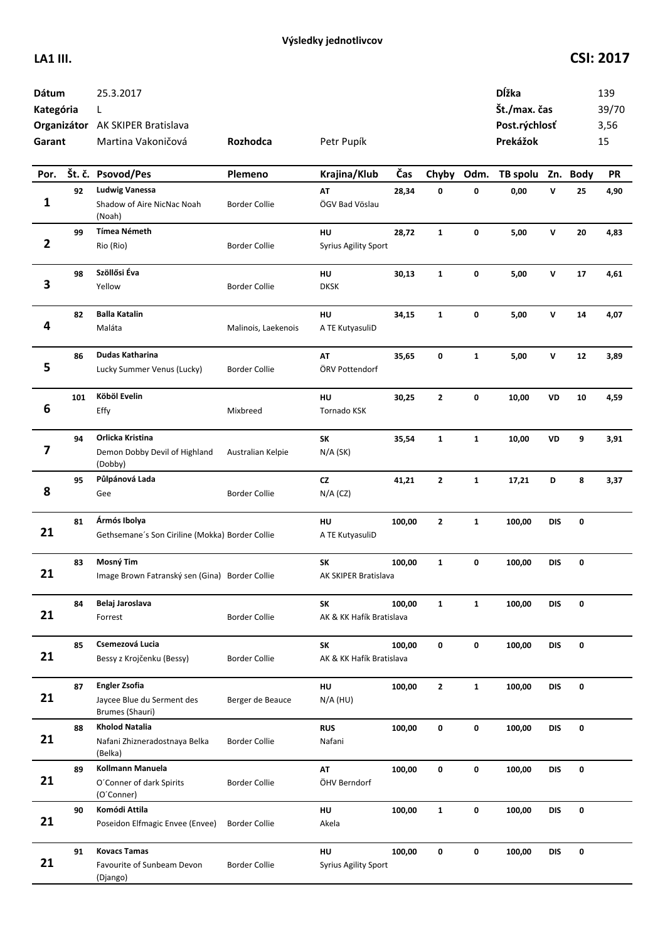| Dátum<br>Kategória<br>Garant |        | 25.3.2017<br>L<br>Organizátor AK SKIPER Bratislava<br>Martina Vakoničová | <b>Rozhodca</b>      | Petr Pupík                        |        |              |              | Dĺžka<br>Št./max. čas<br>Post.rýchlosť<br>Prekážok |              |          | 139<br>39/70<br>3,56<br>15 |
|------------------------------|--------|--------------------------------------------------------------------------|----------------------|-----------------------------------|--------|--------------|--------------|----------------------------------------------------|--------------|----------|----------------------------|
| Por.                         | Št. č. | <b>Psovod/Pes</b>                                                        | Plemeno              | Krajina/Klub                      | Čas    | Chyby        | Odm.         | TB spolu                                           |              | Zn. Body | <b>PR</b>                  |
| 1                            | 92     | <b>Ludwig Vanessa</b><br>Shadow of Aire NicNac Noah<br>(Noah)            | <b>Border Collie</b> | AT<br>ÖGV Bad Vöslau              | 28,34  | 0            | 0            | 0,00                                               | $\mathsf{v}$ | 25       | 4,90                       |
| $\overline{2}$               | 99     | <b>Tímea Németh</b><br>Rio (Rio)                                         | <b>Border Collie</b> | HU<br>Syrius Agility Sport        | 28,72  | $\mathbf{1}$ | 0            | 5,00                                               | V            | 20       | 4,83                       |
| 3                            | 98     | Szöllősi Éva<br>Yellow                                                   | <b>Border Collie</b> | HU<br><b>DKSK</b>                 | 30,13  | $\mathbf{1}$ | 0            | 5,00                                               | V            | 17       | 4,61                       |
| 4                            | 82     | <b>Balla Katalin</b><br>Maláta                                           | Malinois, Laekenois  | HU<br>A TE KutyasuliD             | 34,15  | $\mathbf{1}$ | 0            | 5,00                                               | V            | 14       | 4,07                       |
| 5                            | 86     | <b>Dudas Katharina</b><br>Lucky Summer Venus (Lucky)                     | <b>Border Collie</b> | AT<br>ÖRV Pottendorf              | 35,65  | 0            | $\mathbf{1}$ | 5,00                                               | V            | 12       | 3,89                       |
| 6                            | 101    | Köböl Evelin<br>Effy                                                     | Mixbreed             | HU<br>Tornado KSK                 | 30,25  | $\mathbf{2}$ | 0            | 10,00                                              | VD           | 10       | 4,59                       |
| 7                            | 94     | Orlicka Kristina<br>Demon Dobby Devil of Highland<br>(Dobby)             | Australian Kelpie    | <b>SK</b><br>$N/A$ (SK)           | 35,54  | $\mathbf{1}$ | $\mathbf{1}$ | 10,00                                              | VD           | 9        | 3,91                       |
| 8                            | 95     | Půlpánová Lada<br>Gee                                                    | <b>Border Collie</b> | CZ<br>$N/A$ (CZ)                  | 41,21  | $\mathbf{2}$ | $\mathbf{1}$ | 17,21                                              | D            | 8        | 3,37                       |
| 21                           | 81     | Ármós Ibolya<br>Gethsemane's Son Ciriline (Mokka) Border Collie          |                      | HU<br>A TE KutyasuliD             | 100,00 | $\mathbf{2}$ | $\mathbf{1}$ | 100,00                                             | <b>DIS</b>   | 0        |                            |
| 21                           | 83     | Mosný Tim<br>Image Brown Fatranský sen (Gina) Border Collie              |                      | SK<br>AK SKIPER Bratislava        | 100,00 | $\mathbf{1}$ | 0            | 100,00                                             | <b>DIS</b>   | 0        |                            |
| 21                           | 84     | Belaj Jaroslava<br>Forrest                                               | <b>Border Collie</b> | SK<br>AK & KK Hafík Bratislava    | 100.00 | $\mathbf{1}$ | $\mathbf{1}$ | 100,00                                             | <b>DIS</b>   | 0        |                            |
| 21                           | 85     | Csemezová Lucia<br>Bessy z Krojčenku (Bessy)                             | <b>Border Collie</b> | SK<br>AK & KK Hafík Bratislava    | 100,00 | 0            | 0            | 100,00                                             | <b>DIS</b>   | 0        |                            |
| 21                           | 87     | <b>Engler Zsofia</b><br>Jaycee Blue du Serment des<br>Brumes (Shauri)    | Berger de Beauce     | HU<br>$N/A$ (HU)                  | 100,00 | $\mathbf{2}$ | $\mathbf{1}$ | 100,00                                             | <b>DIS</b>   | 0        |                            |
| 21                           | 88     | <b>Kholod Natalia</b><br>Nafani Zhizneradostnaya Belka<br>(Belka)        | <b>Border Collie</b> | <b>RUS</b><br>Nafani              | 100,00 | 0            | 0            | 100,00                                             | <b>DIS</b>   | 0        |                            |
| 21                           | 89     | Kollmann Manuela<br>O'Conner of dark Spirits<br>(O'Conner)               | <b>Border Collie</b> | AT<br>ÖHV Berndorf                | 100,00 | 0            | 0            | 100,00                                             | <b>DIS</b>   | 0        |                            |
| 21                           | 90     | Komódi Attila<br>Poseidon Elfmagic Envee (Envee)                         | <b>Border Collie</b> | HU<br>Akela                       | 100,00 | $\mathbf{1}$ | 0            | 100,00                                             | <b>DIS</b>   | 0        |                            |
| 21                           | 91     | <b>Kovacs Tamas</b><br>Favourite of Sunbeam Devon<br>(Django)            | <b>Border Collie</b> | HU<br><b>Syrius Agility Sport</b> | 100,00 | 0            | 0            | 100,00                                             | <b>DIS</b>   | 0        |                            |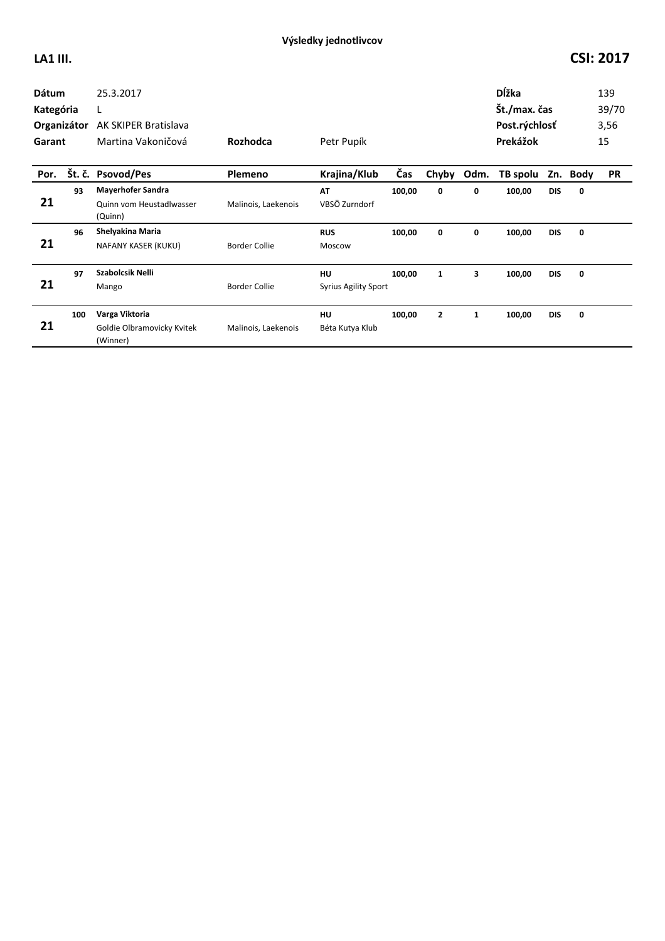| <b>Dátum</b><br>Kategória<br>Organizátor<br>Garant |     | 25.3.2017<br>L<br>AK SKIPER Bratislava<br>Martina Vakoničová    | Rozhodca             | Petr Pupík                        |        |                |              | <b>D</b> ĺžka<br>Št./max. čas<br>Post.rýchlosť<br>Prekážok |            |          | 139<br>39/70<br>3,56<br>15 |
|----------------------------------------------------|-----|-----------------------------------------------------------------|----------------------|-----------------------------------|--------|----------------|--------------|------------------------------------------------------------|------------|----------|----------------------------|
| Por.                                               |     | Št. č. Psovod/Pes                                               | Plemeno              | Krajina/Klub                      | Čas    | Chyby          | Odm.         | TB spolu                                                   |            | Zn. Body | <b>PR</b>                  |
| 21                                                 | 93  | <b>Mayerhofer Sandra</b><br>Quinn vom Heustadlwasser<br>(Quinn) | Malinois, Laekenois  | AT<br>VBSÖ Zurndorf               | 100,00 | 0              | 0            | 100,00                                                     | <b>DIS</b> | 0        |                            |
| 21                                                 | 96  | Shelyakina Maria<br>NAFANY KASER (KUKU)                         | <b>Border Collie</b> | <b>RUS</b><br>Moscow              | 100,00 | 0              | 0            | 100,00                                                     | <b>DIS</b> | 0        |                            |
| 21                                                 | 97  | Szabolcsik Nelli<br>Mango                                       | <b>Border Collie</b> | HU<br><b>Syrius Agility Sport</b> | 100,00 | $\mathbf{1}$   | 3            | 100,00                                                     | <b>DIS</b> | 0        |                            |
| 21                                                 | 100 | Varga Viktoria<br>Goldie Olbramovicky Kvitek<br>(Winner)        | Malinois, Laekenois  | HU<br>Béta Kutya Klub             | 100,00 | $\overline{2}$ | $\mathbf{1}$ | 100,00                                                     | <b>DIS</b> | 0        |                            |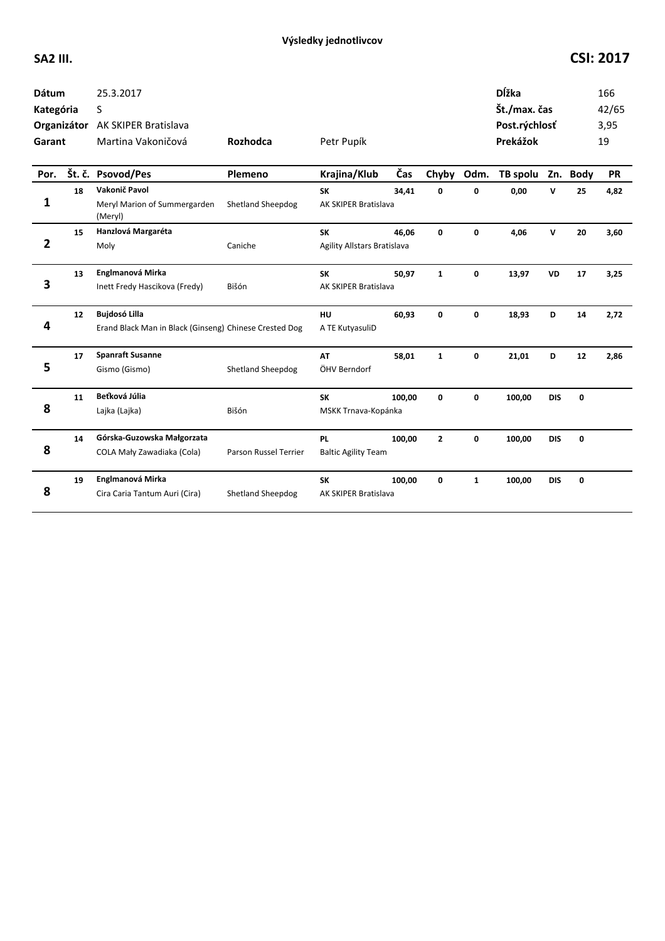| <b>Dátum</b><br>Kategória<br>Garant |        | 25.3.2017<br>S<br>Organizátor AK SKIPER Bratislava<br>Martina Vakoničová       | Rozhodca                 | Petr Pupík                               |        |                |              | Dĺžka<br>Št./max. čas<br>Post.rýchlosť<br>Prekážok |            |             | 166<br>42/65<br>3,95<br>19 |
|-------------------------------------|--------|--------------------------------------------------------------------------------|--------------------------|------------------------------------------|--------|----------------|--------------|----------------------------------------------------|------------|-------------|----------------------------|
| Por.                                | Št. č. | <b>Psovod/Pes</b>                                                              | Plemeno                  | Krajina/Klub                             | Čas    | Chyby          | Odm.         | TB spolu                                           |            | Zn. Body    | <b>PR</b>                  |
| 1                                   | 18     | Vakonič Pavol<br>Meryl Marion of Summergarden<br>(Meryl)                       | Shetland Sheepdog        | <b>SK</b><br>AK SKIPER Bratislava        | 34,41  | 0              | 0            | 0,00                                               | v          | 25          | 4,82                       |
| $\overline{2}$                      | 15     | Hanzlová Margaréta<br>Moly                                                     | Caniche                  | <b>SK</b><br>Agility Allstars Bratislava | 46.06  | $\mathbf{0}$   | $\mathbf{0}$ | 4,06                                               | v          | 20          | 3,60                       |
| 3                                   | 13     | Englmanová Mirka<br>Inett Fredy Hascikova (Fredy)                              | Bišón                    | <b>SK</b><br>AK SKIPER Bratislava        | 50,97  | $\mathbf{1}$   | 0            | 13,97                                              | <b>VD</b>  | 17          | 3,25                       |
| 4                                   | 12     | <b>Bujdosó Lilla</b><br>Erand Black Man in Black (Ginseng) Chinese Crested Dog |                          | <b>HU</b><br>A TE KutyasuliD             | 60,93  | $\mathbf 0$    | 0            | 18,93                                              | D          | 14          | 2,72                       |
| 5                                   | 17     | <b>Spanraft Susanne</b><br>Gismo (Gismo)                                       | <b>Shetland Sheepdog</b> | <b>AT</b><br>ÖHV Berndorf                | 58,01  | $\mathbf{1}$   | 0            | 21,01                                              | D          | 12          | 2,86                       |
| 8                                   | 11     | Beťková Júlia<br>Lajka (Lajka)                                                 | Bišón                    | <b>SK</b><br>MSKK Trnava-Kopánka         | 100,00 | 0              | 0            | 100,00                                             | <b>DIS</b> | $\mathbf 0$ |                            |
| 8                                   | 14     | Górska-Guzowska Małgorzata<br>COLA Mały Zawadiaka (Cola)                       | Parson Russel Terrier    | <b>PL</b><br><b>Baltic Agility Team</b>  | 100,00 | $\overline{2}$ | $\mathbf{0}$ | 100,00                                             | <b>DIS</b> | $\mathbf 0$ |                            |
| 8                                   | 19     | Englmanová Mirka<br>Cira Caria Tantum Auri (Cira)                              | Shetland Sheepdog        | <b>SK</b><br>AK SKIPER Bratislava        | 100,00 | 0              | $\mathbf{1}$ | 100,00                                             | <b>DIS</b> | $\mathbf 0$ |                            |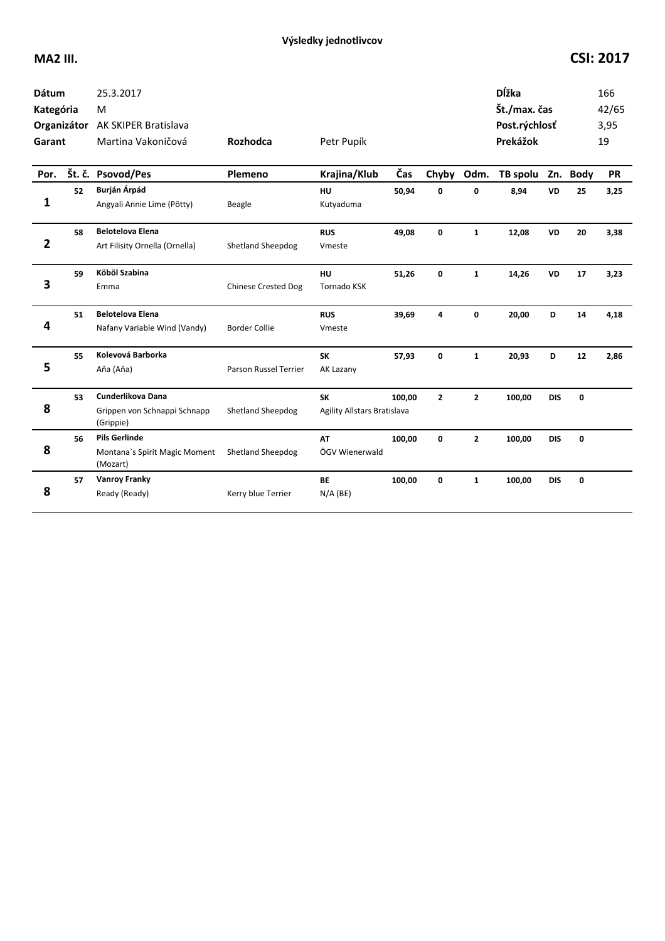| <b>Dátum</b><br>Kategória<br>Garant |    | 25.3.2017<br>M<br>Organizátor AK SKIPER Bratislava<br>Martina Vakoničová | <b>Rozhodca</b>              | Petr Pupík                               |        |                |                | <b>D</b> ĺžka<br>Št./max. čas<br>Post.rýchlosť<br>Prekážok |            |             | 166<br>42/65<br>3,95<br>19 |
|-------------------------------------|----|--------------------------------------------------------------------------|------------------------------|------------------------------------------|--------|----------------|----------------|------------------------------------------------------------|------------|-------------|----------------------------|
| Por.                                |    | Št. č. Psovod/Pes                                                        | Plemeno                      | Krajina/Klub                             | Čas    | Chyby          | Odm.           | TB spolu Zn. Body                                          |            |             | <b>PR</b>                  |
| 1                                   | 52 | Burján Árpád<br>Angyali Annie Lime (Pötty)                               | Beagle                       | HU<br>Kutyaduma                          | 50,94  | 0              | 0              | 8,94                                                       | <b>VD</b>  | 25          | 3,25                       |
| $\overline{2}$                      | 58 | <b>Belotelova Elena</b><br>Art Filisity Ornella (Ornella)                | Shetland Sheepdog            | <b>RUS</b><br>Vmeste                     | 49,08  | $\mathbf{0}$   | $\mathbf{1}$   | 12,08                                                      | <b>VD</b>  | 20          | 3,38                       |
| 3                                   | 59 | Köböl Szabina<br>Emma                                                    | <b>Chinese Crested Dog</b>   | HU<br><b>Tornado KSK</b>                 | 51,26  | $\mathbf{0}$   | $\mathbf{1}$   | 14,26                                                      | <b>VD</b>  | 17          | 3,23                       |
| 4                                   | 51 | <b>Belotelova Elena</b><br>Nafany Variable Wind (Vandy)                  | <b>Border Collie</b>         | <b>RUS</b><br>Vmeste                     | 39,69  | 4              | $\mathbf{0}$   | 20,00                                                      | D          | 14          | 4,18                       |
| 5                                   | 55 | Kolevová Barborka<br>Aňa (Aňa)                                           | <b>Parson Russel Terrier</b> | <b>SK</b><br>AK Lazany                   | 57,93  | 0              | $\mathbf{1}$   | 20,93                                                      | D          | 12          | 2,86                       |
| 8                                   | 53 | Cunderlikova Dana<br>Grippen von Schnappi Schnapp<br>(Grippie)           | <b>Shetland Sheepdog</b>     | <b>SK</b><br>Agility Allstars Bratislava | 100,00 | $\overline{2}$ | $\overline{2}$ | 100,00                                                     | <b>DIS</b> | $\mathbf 0$ |                            |
| 8                                   | 56 | <b>Pils Gerlinde</b><br>Montana's Spirit Magic Moment<br>(Mozart)        | <b>Shetland Sheepdog</b>     | <b>AT</b><br>ÖGV Wienerwald              | 100,00 | $\mathbf{0}$   | $\overline{2}$ | 100,00                                                     | <b>DIS</b> | $\mathbf 0$ |                            |
| 8                                   | 57 | <b>Vanroy Franky</b><br>Ready (Ready)                                    | Kerry blue Terrier           | <b>BE</b><br>$N/A$ (BE)                  | 100,00 | 0              | $\mathbf{1}$   | 100,00                                                     | <b>DIS</b> | 0           |                            |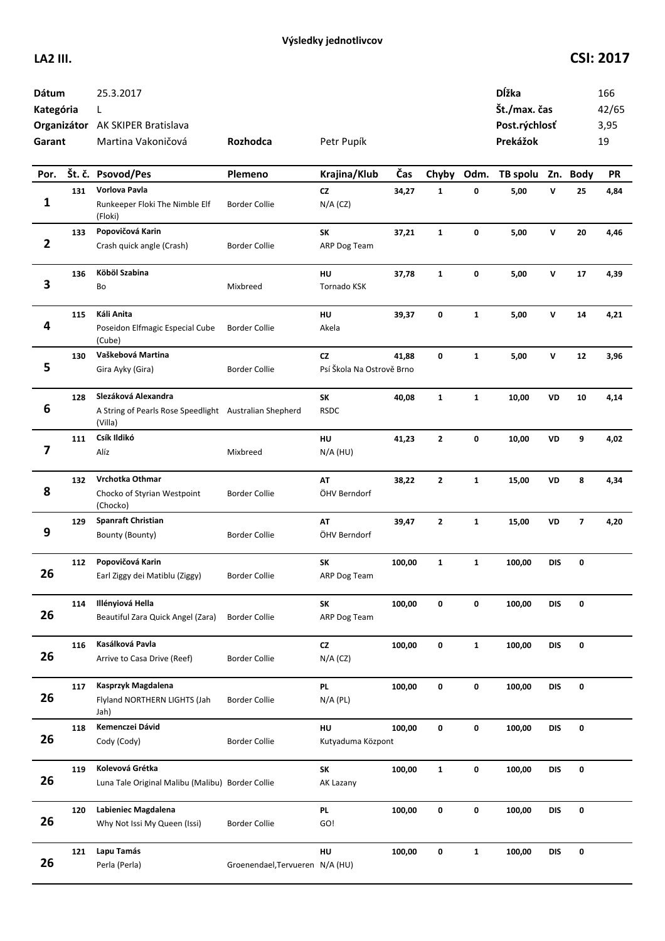| Dátum<br>Kategória<br>Garant |     | 25.3.2017<br>L<br>Organizátor AK SKIPER Bratislava<br>Martina Vakoničová                 | Rozhodca                        | Petr Pupík                             |        |              |              | Dĺžka<br>Št./max. čas<br>Post.rýchlosť<br>Prekážok |              |                         | 166<br>42/65<br>3,95<br>19 |
|------------------------------|-----|------------------------------------------------------------------------------------------|---------------------------------|----------------------------------------|--------|--------------|--------------|----------------------------------------------------|--------------|-------------------------|----------------------------|
| Por.                         |     | Št. č. Psovod/Pes                                                                        | Plemeno                         | Krajina/Klub                           | Čas    | Chyby        | Odm.         | TB spolu Zn. Body                                  |              |                         | PR                         |
| $\mathbf{1}$                 | 131 | Vorlova Pavla<br>Runkeeper Floki The Nimble Elf<br>(Floki)                               | <b>Border Collie</b>            | cz<br>$N/A$ (CZ)                       | 34,27  | $\mathbf{1}$ | 0            | 5,00                                               | V            | 25                      | 4,84                       |
| $\overline{\mathbf{2}}$      | 133 | Popovičová Karin<br>Crash quick angle (Crash)                                            | <b>Border Collie</b>            | SK<br>ARP Dog Team                     | 37,21  | $\mathbf{1}$ | 0            | 5,00                                               | $\mathsf{v}$ | 20                      | 4,46                       |
| 3                            | 136 | Köböl Szabina<br>Bo                                                                      | Mixbreed                        | HU<br>Tornado KSK                      | 37,78  | $\mathbf{1}$ | 0            | 5,00                                               | V            | 17                      | 4,39                       |
| 4                            | 115 | Káli Anita<br>Poseidon Elfmagic Especial Cube<br>(Cube)                                  | <b>Border Collie</b>            | HU<br>Akela                            | 39,37  | 0            | $\mathbf{1}$ | 5,00                                               | V            | 14                      | 4,21                       |
| 5                            | 130 | Vaškebová Martina<br>Gira Ayky (Gira)                                                    | <b>Border Collie</b>            | <b>CZ</b><br>Psí Škola Na Ostrově Brno | 41,88  | 0            | $\mathbf{1}$ | 5,00                                               | V            | 12                      | 3,96                       |
| 6                            | 128 | Slezáková Alexandra<br>A String of Pearls Rose Speedlight Australian Shepherd<br>(Villa) |                                 | SK<br><b>RSDC</b>                      | 40,08  | $\mathbf{1}$ | $\mathbf{1}$ | 10,00                                              | VD           | 10                      | 4,14                       |
| 7                            | 111 | Csík Ildikó<br>Alíz                                                                      | Mixbreed                        | HU<br>$N/A$ (HU)                       | 41,23  | $\mathbf{z}$ | 0            | 10,00                                              | VD           | 9                       | 4,02                       |
| 8                            | 132 | Vrchotka Othmar<br>Chocko of Styrian Westpoint<br>(Chocko)                               | <b>Border Collie</b>            | AT<br>ÖHV Berndorf                     | 38,22  | $\mathbf{2}$ | $\mathbf{1}$ | 15,00                                              | VD           | 8                       | 4,34                       |
| 9                            | 129 | <b>Spanraft Christian</b><br>Bounty (Bounty)                                             | <b>Border Collie</b>            | AT<br>ÖHV Berndorf                     | 39,47  | $\mathbf{2}$ | $\mathbf{1}$ | 15,00                                              | VD           | $\overline{\mathbf{z}}$ | 4,20                       |
| 26                           | 112 | Popovičová Karin<br>Earl Ziggy dei Matiblu (Ziggy)                                       | <b>Border Collie</b>            | SK<br>ARP Dog Team                     | 100,00 | $\mathbf{1}$ | $\mathbf{1}$ | 100,00                                             | DIS          | 0                       |                            |
| 26                           | 114 | Illényiová Hella<br>Beautiful Zara Quick Angel (Zara)                                    | <b>Border Collie</b>            | SK<br>ARP Dog Team                     | 100,00 | 0            | 0            | 100,00                                             | <b>DIS</b>   | 0                       |                            |
| 26                           | 116 | Kasálková Pavla<br>Arrive to Casa Drive (Reef)                                           | <b>Border Collie</b>            | CZ<br>$N/A$ (CZ)                       | 100,00 | 0            | $\mathbf{1}$ | 100,00                                             | <b>DIS</b>   | 0                       |                            |
| 26                           | 117 | Kasprzyk Magdalena<br>Flyland NORTHERN LIGHTS (Jah<br>Jah)                               | <b>Border Collie</b>            | <b>PL</b><br>$N/A$ (PL)                | 100,00 | 0            | 0            | 100,00                                             | <b>DIS</b>   | 0                       |                            |
| 26                           | 118 | Kemenczei Dávid<br>Cody (Cody)                                                           | <b>Border Collie</b>            | HU<br>Kutyaduma Központ                | 100,00 | 0            | 0            | 100,00                                             | <b>DIS</b>   | 0                       |                            |
| 26                           | 119 | Kolevová Grétka<br>Luna Tale Original Malibu (Malibu) Border Collie                      |                                 | SK<br>AK Lazany                        | 100,00 | $\mathbf{1}$ | 0            | 100,00                                             | <b>DIS</b>   | 0                       |                            |
| 26                           | 120 | Labieniec Magdalena<br>Why Not Issi My Queen (Issi)                                      | <b>Border Collie</b>            | <b>PL</b><br>GO!                       | 100,00 | 0            | 0            | 100,00                                             | DIS          | 0                       |                            |
| 26                           | 121 | Lapu Tamás<br>Perla (Perla)                                                              | Groenendael, Tervueren N/A (HU) | HU                                     | 100,00 | 0            | $\mathbf{1}$ | 100,00                                             | <b>DIS</b>   | 0                       |                            |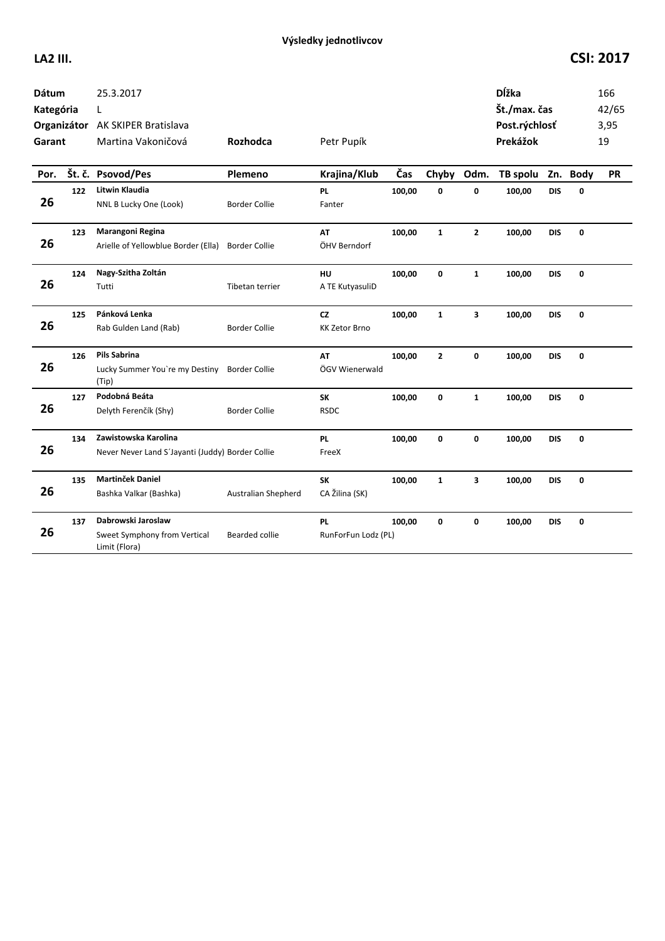| <b>Dátum</b><br>Kategória<br>Garant |     | 25.3.2017<br>L<br>Organizátor AK SKIPER Bratislava<br>Martina Vakoničová | Rozhodca                   | Petr Pupík                       |        |              |                         | <b>D</b> ĺžka<br>Št./max. čas<br>Post.rýchlosť<br>Prekážok |            |             | 166<br>42/65<br>3,95<br>19 |
|-------------------------------------|-----|--------------------------------------------------------------------------|----------------------------|----------------------------------|--------|--------------|-------------------------|------------------------------------------------------------|------------|-------------|----------------------------|
| Por.                                |     | Št. č. Psovod/Pes                                                        | Plemeno                    | Krajina/Klub                     | Čas    | Chyby        | Odm.                    | TB spolu Zn. Body                                          |            |             | <b>PR</b>                  |
| 26                                  | 122 | Litwin Klaudia<br>NNL B Lucky One (Look)                                 | <b>Border Collie</b>       | <b>PL</b><br>Fanter              | 100,00 | 0            | $\mathbf 0$             | 100,00                                                     | <b>DIS</b> | 0           |                            |
| 26                                  | 123 | Marangoni Regina<br>Arielle of Yellowblue Border (Ella)                  | <b>Border Collie</b>       | AT<br>ÖHV Berndorf               | 100,00 | $\mathbf{1}$ | $\mathbf{2}$            | 100,00                                                     | <b>DIS</b> | 0           |                            |
| 26                                  | 124 | Nagy-Szitha Zoltán<br>Tutti                                              | Tibetan terrier            | HU<br>A TE KutyasuliD            | 100,00 | $\mathbf 0$  | $\mathbf{1}$            | 100,00                                                     | <b>DIS</b> | $\mathbf 0$ |                            |
| 26                                  | 125 | Pánková Lenka<br>Rab Gulden Land (Rab)                                   | <b>Border Collie</b>       | cz<br><b>KK Zetor Brno</b>       | 100,00 | $\mathbf{1}$ | $\overline{\mathbf{3}}$ | 100,00                                                     | <b>DIS</b> | 0           |                            |
| 26                                  | 126 | Pils Sabrina<br>Lucky Summer You're my Destiny<br>(Tip)                  | <b>Border Collie</b>       | AT<br>ÖGV Wienerwald             | 100,00 | 2            | 0                       | 100,00                                                     | <b>DIS</b> | 0           |                            |
| 26                                  | 127 | Podobná Beáta<br>Delyth Ferenčík (Shy)                                   | <b>Border Collie</b>       | <b>SK</b><br><b>RSDC</b>         | 100,00 | $\mathbf 0$  | $\mathbf{1}$            | 100,00                                                     | <b>DIS</b> | 0           |                            |
| 26                                  | 134 | Zawistowska Karolina<br>Never Never Land S'Jayanti (Juddy) Border Collie |                            | <b>PL</b><br>FreeX               | 100,00 | $\mathbf 0$  | $\mathbf 0$             | 100,00                                                     | <b>DIS</b> | $\mathbf 0$ |                            |
| 26                                  | 135 | <b>Martinček Daniel</b><br>Bashka Valkar (Bashka)                        | <b>Australian Shepherd</b> | <b>SK</b><br>CA Žilina (SK)      | 100,00 | $\mathbf{1}$ | 3                       | 100,00                                                     | <b>DIS</b> | 0           |                            |
| 26                                  | 137 | Dabrowski Jaroslaw<br>Sweet Symphony from Vertical<br>Limit (Flora)      | Bearded collie             | <b>PL</b><br>RunForFun Lodz (PL) | 100,00 | 0            | 0                       | 100,00                                                     | <b>DIS</b> | 0           |                            |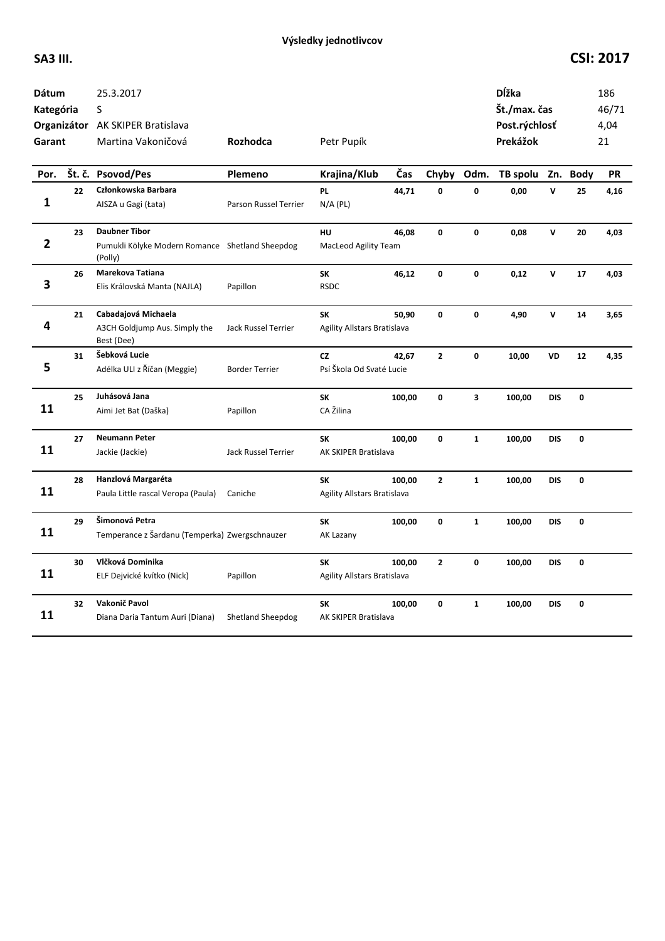| Dátum<br>Kategória<br>Garant |    | 25.3.2017<br>S<br>Organizátor AK SKIPER Bratislava<br>Martina Vakoničová           | Rozhodca                 | Petr Pupík                                      |        |                |                         | <b>D</b> ĺžka<br>Št./max. čas<br>Post.rýchlosť<br>Prekážok |              |              | 186<br>46/71<br>4,04<br>21 |
|------------------------------|----|------------------------------------------------------------------------------------|--------------------------|-------------------------------------------------|--------|----------------|-------------------------|------------------------------------------------------------|--------------|--------------|----------------------------|
| Por.                         |    | Št. č. Psovod/Pes                                                                  | Plemeno                  | Krajina/Klub                                    | Čas    | Chyby          | Odm.                    | TB spolu                                                   |              | Zn. Body     | PR                         |
| 1                            | 22 | Członkowska Barbara<br>AISZA u Gagi (Łata)                                         | Parson Russel Terrier    | PL<br>$N/A$ (PL)                                | 44,71  | O              | O                       | 0,00                                                       | v            | 25           | 4,16                       |
| 2                            | 23 | <b>Daubner Tibor</b><br>Pumukli Kölyke Modern Romance Shetland Sheepdog<br>(Polly) |                          | <b>HU</b><br>MacLeod Agility Team               | 46,08  | 0              | 0                       | 0,08                                                       | $\mathsf{v}$ | 20           | 4,03                       |
| 3                            | 26 | Marekova Tatiana<br>Elis Královská Manta (NAJLA)                                   | Papillon                 | SK<br><b>RSDC</b>                               | 46,12  | 0              | 0                       | 0,12                                                       | $\mathsf{v}$ | 17           | 4,03                       |
| 4                            | 21 | Cabadajová Michaela<br>A3CH Goldjump Aus. Simply the<br>Best (Dee)                 | Jack Russel Terrier      | SK<br>Agility Allstars Bratislava               | 50,90  | 0              | $\mathbf{0}$            | 4,90                                                       | $\mathsf{v}$ | 14           | 3,65                       |
| 5                            | 31 | Šebková Lucie<br>Adélka ULI z Říčan (Meggie)                                       | <b>Border Terrier</b>    | <b>CZ</b><br>Psí Škola Od Svaté Lucie           | 42,67  | $\mathbf{2}$   | 0                       | 10,00                                                      | VD           | 12           | 4,35                       |
| 11                           | 25 | Juhásová Jana<br>Aimi Jet Bat (Daška)                                              | Papillon                 | <b>SK</b><br>CA Žilina                          | 100,00 | 0              | $\overline{\mathbf{3}}$ | 100,00                                                     | <b>DIS</b>   | 0            |                            |
| 11                           | 27 | <b>Neumann Peter</b><br>Jackie (Jackie)                                            | Jack Russel Terrier      | <b>SK</b><br>AK SKIPER Bratislava               | 100,00 | $\mathbf{0}$   | $\mathbf{1}$            | 100,00                                                     | <b>DIS</b>   | $\mathbf{0}$ |                            |
| 11                           | 28 | Hanzlová Margaréta<br>Paula Little rascal Veropa (Paula)                           | Caniche                  | <b>SK</b><br><b>Agility Allstars Bratislava</b> | 100,00 | $\mathbf{2}$   | $\mathbf{1}$            | 100,00                                                     | <b>DIS</b>   | 0            |                            |
| 11                           | 29 | Šimonová Petra<br>Temperance z Šardanu (Temperka) Zwergschnauzer                   |                          | SK<br>AK Lazany                                 | 100,00 | $\mathbf{0}$   | $\mathbf{1}$            | 100,00                                                     | <b>DIS</b>   | 0            |                            |
| 11                           | 30 | Vlčková Dominika<br>ELF Dejvické kvítko (Nick)                                     | Papillon                 | SK<br>Agility Allstars Bratislava               | 100,00 | $\overline{2}$ | 0                       | 100,00                                                     | <b>DIS</b>   | 0            |                            |
| 11                           | 32 | Vakonič Pavol<br>Diana Daria Tantum Auri (Diana)                                   | <b>Shetland Sheepdog</b> | SK<br>AK SKIPER Bratislava                      | 100,00 | 0              | $\mathbf{1}$            | 100,00                                                     | <b>DIS</b>   | 0            |                            |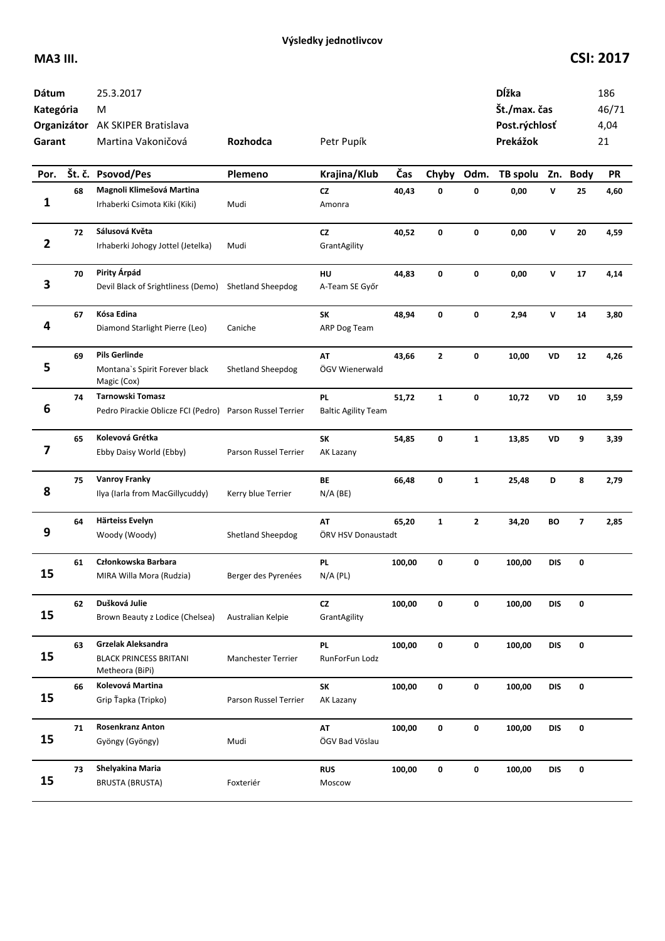| Dátum<br>Kategória<br>Garant |    | 25.3.2017<br>M<br>Organizátor AK SKIPER Bratislava<br>Martina Vakoničová | Rozhodca                 | Petr Pupík                              |        |              |              | Dĺžka<br>Št./max. čas<br>Post.rýchlosť<br>Prekážok |              |             | 186<br>46/71<br>4,04<br>21 |
|------------------------------|----|--------------------------------------------------------------------------|--------------------------|-----------------------------------------|--------|--------------|--------------|----------------------------------------------------|--------------|-------------|----------------------------|
| Por.                         |    | Št. č. Psovod/Pes                                                        | Plemeno                  | Krajina/Klub                            | Čas    | Chyby        | Odm.         | TB spolu                                           |              | Zn. Body    | <b>PR</b>                  |
| 1                            | 68 | Magnoli Klimešová Martina<br>Irhaberki Csimota Kiki (Kiki)               | Mudi                     | <b>CZ</b><br>Amonra                     | 40,43  | 0            | 0            | 0,00                                               | V            | 25          | 4,60                       |
| $\mathbf{2}$                 | 72 | Sálusová Květa<br>Irhaberki Johogy Jottel (Jetelka)                      | Mudi                     | cz<br>GrantAgility                      | 40,52  | 0            | 0            | 0,00                                               | $\mathsf{v}$ | 20          | 4,59                       |
| 3                            | 70 | Pirity Árpád<br>Devil Black of Srightliness (Demo)                       | <b>Shetland Sheepdog</b> | HU<br>A-Team SE Győr                    | 44,83  | 0            | 0            | 0,00                                               | V            | 17          | 4,14                       |
| 4                            | 67 | Kósa Edina<br>Diamond Starlight Pierre (Leo)                             | Caniche                  | SK<br>ARP Dog Team                      | 48,94  | 0            | 0            | 2,94                                               | v            | 14          | 3,80                       |
| 5                            | 69 | <b>Pils Gerlinde</b><br>Montana's Spirit Forever black<br>Magic (Cox)    | <b>Shetland Sheepdog</b> | AT<br>ÖGV Wienerwald                    | 43,66  | 2            | 0            | 10,00                                              | VD           | 12          | 4,26                       |
| 6                            | 74 | Tarnowski Tomasz<br>Pedro Pirackie Oblicze FCI (Pedro)                   | Parson Russel Terrier    | <b>PL</b><br><b>Baltic Agility Team</b> | 51,72  | $\mathbf{1}$ | 0            | 10,72                                              | VD           | 10          | 3,59                       |
| 7                            | 65 | Kolevová Grétka<br>Ebby Daisy World (Ebby)                               | Parson Russel Terrier    | SK<br>AK Lazany                         | 54,85  | 0            | $\mathbf{1}$ | 13,85                                              | VD           | 9           | 3,39                       |
| 8                            | 75 | <b>Vanroy Franky</b><br>Ilya (Iarla from MacGillycuddy)                  | Kerry blue Terrier       | BE<br>$N/A$ (BE)                        | 66,48  | 0            | $\mathbf{1}$ | 25,48                                              | D            | 8           | 2,79                       |
| 9                            | 64 | Härteiss Evelyn<br>Woody (Woody)                                         | Shetland Sheepdog        | AT<br>ÖRV HSV Donaustadt                | 65,20  | $\mathbf{1}$ | $\mathbf{z}$ | 34,20                                              | BO           | 7           | 2,85                       |
| 15                           | 61 | Członkowska Barbara<br>MIRA Willa Mora (Rudzia)                          | Berger des Pyrenées      | <b>PL</b><br>$N/A$ (PL)                 | 100,00 | 0            | 0            | 100,00                                             | DIS          | 0           |                            |
| 15                           | 62 | Dušková Julie<br>Brown Beauty z Lodice (Chelsea)                         | Australian Kelpie        | ${\sf CZ}$<br>GrantAgility              | 100,00 | 0            | 0            | 100,00                                             | <b>DIS</b>   | 0           |                            |
| 15                           | 63 | Grzelak Aleksandra<br><b>BLACK PRINCESS BRITANI</b><br>Metheora (BiPi)   | Manchester Terrier       | <b>PL</b><br>RunForFun Lodz             | 100,00 | 0            | 0            | 100,00                                             | <b>DIS</b>   | $\mathbf 0$ |                            |
| 15                           | 66 | Kolevová Martina<br>Grip Ťapka (Tripko)                                  | Parson Russel Terrier    | SK<br>AK Lazany                         | 100,00 | 0            | 0            | 100,00                                             | <b>DIS</b>   | 0           |                            |
| 15                           | 71 | <b>Rosenkranz Anton</b><br>Gyöngy (Gyöngy)                               | Mudi                     | AT<br>ÖGV Bad Vöslau                    | 100,00 | 0            | 0            | 100,00                                             | <b>DIS</b>   | 0           |                            |
| 15                           | 73 | Shelyakina Maria<br><b>BRUSTA (BRUSTA)</b>                               | Foxteriér                | <b>RUS</b><br>Moscow                    | 100,00 | 0            | 0            | 100,00                                             | <b>DIS</b>   | 0           |                            |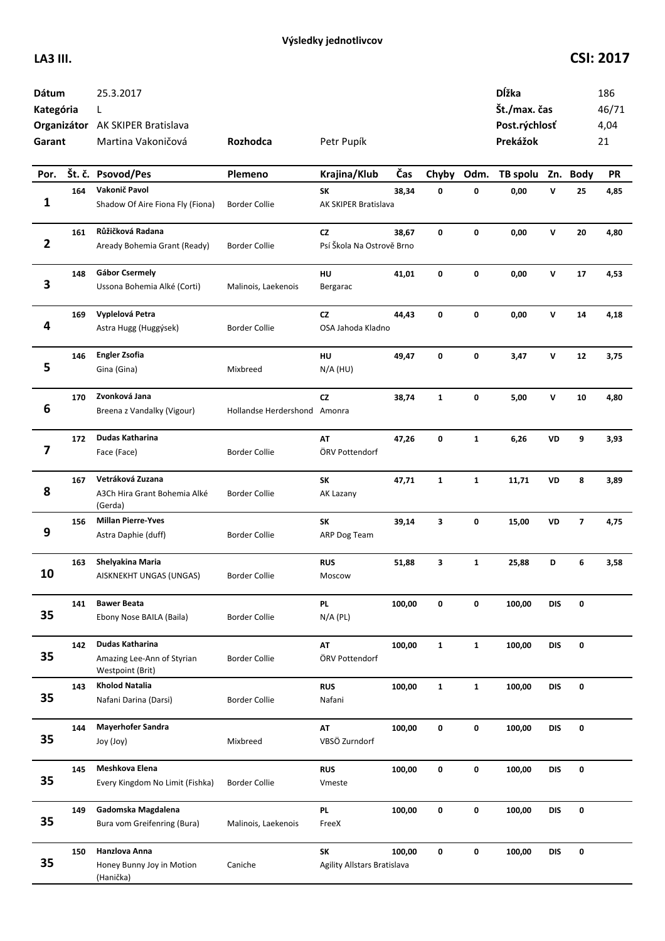| Dátum<br>Kategória<br>Garant |     | 25.3.2017<br>L<br>Organizátor AK SKIPER Bratislava<br>Martina Vakoničová | Rozhodca                     | Petr Pupík                        |        |              |              | Dĺžka<br>Št./max. čas<br>Post.rýchlosť<br>Prekážok |              |          | 186<br>46/71<br>4,04<br>21 |
|------------------------------|-----|--------------------------------------------------------------------------|------------------------------|-----------------------------------|--------|--------------|--------------|----------------------------------------------------|--------------|----------|----------------------------|
| Por.                         |     | Št. č. Psovod/Pes                                                        | Plemeno                      | Krajina/Klub                      | Čas    | Chyby        | Odm.         | TB spolu                                           |              | Zn. Body | <b>PR</b>                  |
| 1                            | 164 | Vakonič Pavol<br>Shadow Of Aire Fiona Fly (Fiona)                        | <b>Border Collie</b>         | SK<br><b>AK SKIPER Bratislava</b> | 38,34  | 0            | 0            | 0,00                                               | V            | 25       | 4,85                       |
| $\mathbf{2}$                 | 161 | Růžičková Radana<br>Aready Bohemia Grant (Ready)                         | <b>Border Collie</b>         | CZ<br>Psí Škola Na Ostrově Brno   | 38,67  | 0            | 0            | 0,00                                               | $\mathsf{v}$ | 20       | 4,80                       |
| 3                            | 148 | <b>Gábor Csermely</b><br>Ussona Bohemia Alké (Corti)                     | Malinois, Laekenois          | HU<br>Bergarac                    | 41,01  | 0            | 0            | 0,00                                               | V            | 17       | 4,53                       |
| 4                            | 169 | Vyplelová Petra<br>Astra Hugg (Huggýsek)                                 | <b>Border Collie</b>         | <b>CZ</b><br>OSA Jahoda Kladno    | 44,43  | 0            | 0            | 0,00                                               | v            | 14       | 4,18                       |
| 5                            | 146 | <b>Engler Zsofia</b><br>Gina (Gina)                                      | Mixbreed                     | HU<br>$N/A$ (HU)                  | 49,47  | 0            | 0            | 3,47                                               | V            | 12       | 3,75                       |
| 6                            | 170 | Zvonková Jana<br>Breena z Vandalky (Vigour)                              | Hollandse Herdershond Amonra | <b>CZ</b>                         | 38,74  | $\mathbf{1}$ | 0            | 5,00                                               | V            | 10       | 4,80                       |
| 7                            | 172 | Dudas Katharina<br>Face (Face)                                           | <b>Border Collie</b>         | AT<br>ÖRV Pottendorf              | 47,26  | 0            | $\mathbf{1}$ | 6,26                                               | VD           | 9        | 3,93                       |
| 8                            | 167 | Vetráková Zuzana<br>A3Ch Hira Grant Bohemia Alké<br>(Gerda)              | <b>Border Collie</b>         | SK<br>AK Lazany                   | 47,71  | $\mathbf{1}$ | $\mathbf{1}$ | 11,71                                              | VD           | 8        | 3,89                       |
| 9                            | 156 | <b>Millan Pierre-Yves</b><br>Astra Daphie (duff)                         | <b>Border Collie</b>         | SK<br>ARP Dog Team                | 39,14  | 3            | 0            | 15,00                                              | VD           | 7        | 4,75                       |
| 10                           | 163 | Shelyakina Maria<br>AISKNEKHT UNGAS (UNGAS)                              | Border Collie                | <b>RUS</b><br>Moscow              | 51,88  | 3            | $\mathbf{1}$ | 25,88                                              | D            | 6        | 3,58                       |
| 35                           | 141 | <b>Bawer Beata</b><br>Ebony Nose BAILA (Baila)                           | <b>Border Collie</b>         | PL<br>$N/A$ (PL)                  | 100,00 | 0            | 0            | 100,00                                             | <b>DIS</b>   | 0        |                            |
| 35                           | 142 | Dudas Katharina<br>Amazing Lee-Ann of Styrian<br>Westpoint (Brit)        | <b>Border Collie</b>         | AT<br>ÖRV Pottendorf              | 100,00 | $\mathbf{1}$ | $\mathbf{1}$ | 100,00                                             | <b>DIS</b>   | 0        |                            |
| 35                           | 143 | <b>Kholod Natalia</b><br>Nafani Darina (Darsi)                           | <b>Border Collie</b>         | <b>RUS</b><br>Nafani              | 100,00 | $\mathbf{1}$ | $\mathbf{1}$ | 100,00                                             | <b>DIS</b>   | 0        |                            |
| 35                           | 144 | <b>Mayerhofer Sandra</b><br>Joy (Joy)                                    | Mixbreed                     | AT<br>VBSÖ Zurndorf               | 100,00 | 0            | 0            | 100,00                                             | <b>DIS</b>   | 0        |                            |
| 35                           | 145 | Meshkova Elena<br>Every Kingdom No Limit (Fishka)                        | <b>Border Collie</b>         | <b>RUS</b><br>Vmeste              | 100,00 | 0            | 0            | 100,00                                             | <b>DIS</b>   | 0        |                            |
| 35                           | 149 | Gadomska Magdalena<br>Bura vom Greifenring (Bura)                        | Malinois, Laekenois          | <b>PL</b><br>FreeX                | 100,00 | 0            | 0            | 100,00                                             | DIS          | 0        |                            |
| 35                           | 150 | Hanzlova Anna<br>Honey Bunny Joy in Motion<br>(Hanička)                  | Caniche                      | SK<br>Agility Allstars Bratislava | 100,00 | 0            | 0            | 100,00                                             | DIS          | 0        |                            |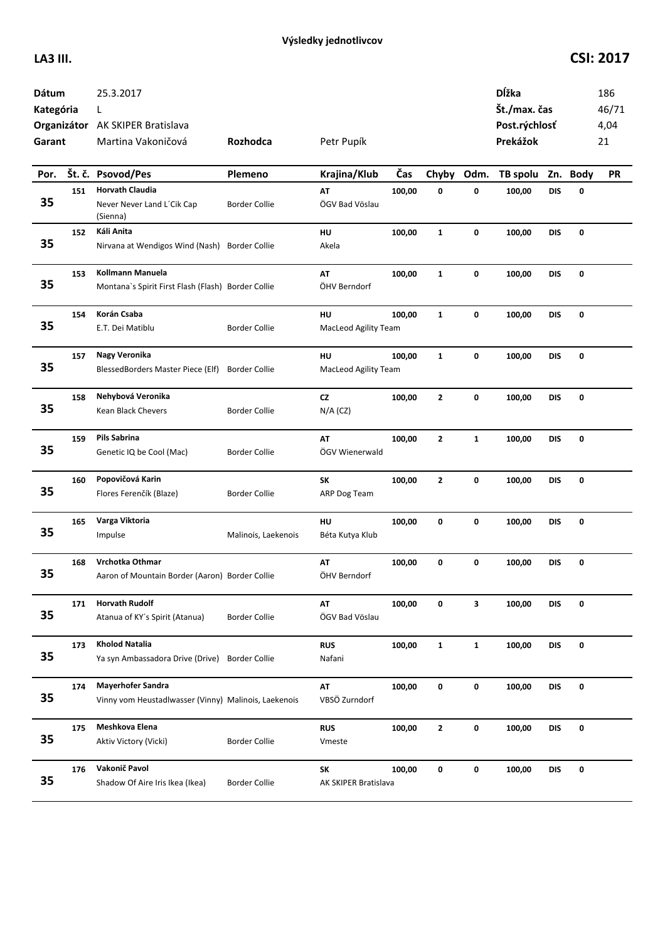| Dátum<br>Kategória<br>Garant |     | 25.3.2017<br>L<br>Organizátor AK SKIPER Bratislava<br>Martina Vakoničová         | Rozhodca             | Petr Pupík                        |        |              |              | Dĺžka<br>Št./max. čas<br>Post.rýchlosť<br>Prekážok |            |          | 186<br>46/71<br>4,04<br>21 |
|------------------------------|-----|----------------------------------------------------------------------------------|----------------------|-----------------------------------|--------|--------------|--------------|----------------------------------------------------|------------|----------|----------------------------|
| Por.                         |     | Št. č. Psovod/Pes                                                                | Plemeno              | Krajina/Klub                      | Čas    | Chyby        | Odm.         | TB spolu                                           |            | Zn. Body | <b>PR</b>                  |
| 35                           | 151 | <b>Horvath Claudia</b><br>Never Never Land L'Cik Cap<br>(Sienna)                 | <b>Border Collie</b> | AT<br>ÖGV Bad Vöslau              | 100,00 | 0            | 0            | 100,00                                             | <b>DIS</b> | 0        |                            |
| 35                           | 152 | Káli Anita<br>Nirvana at Wendigos Wind (Nash)                                    | <b>Border Collie</b> | HU<br>Akela                       | 100,00 | $\mathbf{1}$ | 0            | 100,00                                             | <b>DIS</b> | 0        |                            |
| 35                           | 153 | Kollmann Manuela<br>Montana's Spirit First Flash (Flash) Border Collie           |                      | AT<br>ÖHV Berndorf                | 100,00 | $\mathbf{1}$ | 0            | 100,00                                             | <b>DIS</b> | 0        |                            |
| 35                           | 154 | Korán Csaba<br>E.T. Dei Matiblu                                                  | <b>Border Collie</b> | HU<br>MacLeod Agility Team        | 100,00 | $\mathbf{1}$ | 0            | 100,00                                             | <b>DIS</b> | 0        |                            |
| 35                           | 157 | Nagy Veronika<br>BlessedBorders Master Piece (Elf)                               | <b>Border Collie</b> | HU<br>MacLeod Agility Team        | 100,00 | $\mathbf{1}$ | 0            | 100,00                                             | DIS        | 0        |                            |
| 35                           | 158 | Nehybová Veronika<br>Kean Black Chevers                                          | Border Collie        | <b>CZ</b><br>$N/A$ (CZ)           | 100,00 | $\mathbf{2}$ | 0            | 100,00                                             | <b>DIS</b> | 0        |                            |
| 35                           | 159 | Pils Sabrina<br>Genetic IQ be Cool (Mac)                                         | <b>Border Collie</b> | AT<br>ÖGV Wienerwald              | 100,00 | $\mathbf{2}$ | $\mathbf{1}$ | 100,00                                             | <b>DIS</b> | 0        |                            |
| 35                           | 160 | Popovičová Karin<br>Flores Ferenčík (Blaze)                                      | <b>Border Collie</b> | SK<br>ARP Dog Team                | 100,00 | $\mathbf{2}$ | 0            | 100,00                                             | <b>DIS</b> | 0        |                            |
| 35                           | 165 | Varga Viktoria<br>Impulse                                                        | Malinois, Laekenois  | HU<br>Béta Kutya Klub             | 100,00 | 0            | 0            | 100,00                                             | <b>DIS</b> | 0        |                            |
| 35                           | 168 | Vrchotka Othmar<br>Aaron of Mountain Border (Aaron) Border Collie                |                      | AT<br>ÖHV Berndorf                | 100,00 | 0            | 0            | 100,00                                             | <b>DIS</b> | 0        |                            |
| 35                           | 171 | <b>Horvath Rudolf</b><br>Atanua of KY's Spirit (Atanua)                          | <b>Border Collie</b> | AT<br>ÖGV Bad Vöslau              | 100,00 | 0            | 3            | 100,00                                             | <b>DIS</b> | 0        |                            |
| 35                           | 173 | <b>Kholod Natalia</b><br>Ya syn Ambassadora Drive (Drive)                        | <b>Border Collie</b> | <b>RUS</b><br>Nafani              | 100,00 | $\mathbf{1}$ | $\mathbf{1}$ | 100,00                                             | <b>DIS</b> | 0        |                            |
| 35                           | 174 | <b>Mayerhofer Sandra</b><br>Vinny vom Heustadlwasser (Vinny) Malinois, Laekenois |                      | AT<br>VBSÖ Zurndorf               | 100,00 | 0            | $\pmb{0}$    | 100,00                                             | <b>DIS</b> | 0        |                            |
| 35                           | 175 | Meshkova Elena<br>Aktiv Victory (Vicki)                                          | <b>Border Collie</b> | <b>RUS</b><br>Vmeste              | 100,00 | $\mathbf{2}$ | $\mathbf 0$  | 100,00                                             | <b>DIS</b> | 0        |                            |
| 35                           | 176 | Vakonič Pavol<br>Shadow Of Aire Iris Ikea (Ikea)                                 | <b>Border Collie</b> | <b>SK</b><br>AK SKIPER Bratislava | 100,00 | $\mathbf 0$  | $\pmb{0}$    | 100,00                                             | <b>DIS</b> | 0        |                            |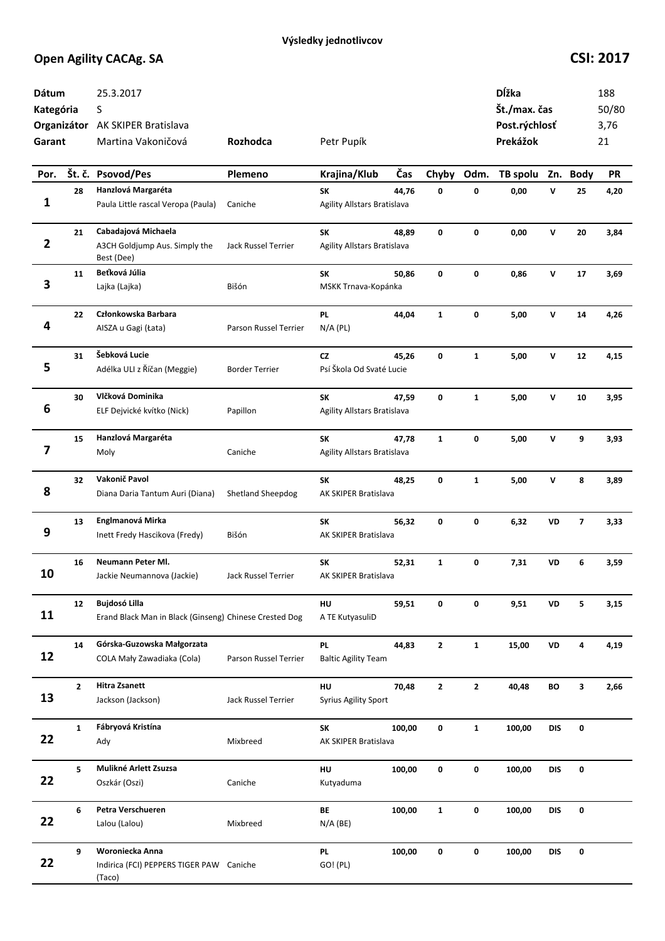| <b>Dátum</b><br>Kategória<br>Garant |              | 25.3.2017<br>S<br>Organizátor AK SKIPER Bratislava<br>Martina Vakoničová       | Rozhodca              | Petr Pupík                              |        |              |              | Dĺžka<br>Št./max. čas<br>Post.rýchlosť<br>Prekážok |              |                         | 188<br>50/80<br>3,76<br>21 |
|-------------------------------------|--------------|--------------------------------------------------------------------------------|-----------------------|-----------------------------------------|--------|--------------|--------------|----------------------------------------------------|--------------|-------------------------|----------------------------|
| Por.                                |              | Št. č. Psovod/Pes                                                              | Plemeno               | Krajina/Klub                            | Čas    | Chyby        | Odm.         | TB spolu                                           |              | Zn. Body                | PR                         |
|                                     | 28           | Hanzlová Margaréta                                                             |                       | SK                                      | 44,76  | 0            | $\mathbf{0}$ | 0,00                                               | V            | 25                      | 4,20                       |
| 1                                   |              | Paula Little rascal Veropa (Paula)                                             | Caniche               | Agility Allstars Bratislava             |        |              |              |                                                    |              |                         |                            |
| $\overline{\mathbf{2}}$             | 21           | Cabadajová Michaela<br>A3CH Goldjump Aus. Simply the<br>Best (Dee)             | Jack Russel Terrier   | SK<br>Agility Allstars Bratislava       | 48,89  | 0            | 0            | 0,00                                               | $\mathsf{v}$ | 20                      | 3,84                       |
| 3                                   | 11           | Beťková Júlia<br>Lajka (Lajka)                                                 | Bišón                 | SK<br>MSKK Trnava-Kopánka               | 50,86  | 0            | 0            | 0,86                                               | V            | 17                      | 3,69                       |
| 4                                   | 22           | Członkowska Barbara<br>AISZA u Gagi (Łata)                                     | Parson Russel Terrier | <b>PL</b><br>$N/A$ (PL)                 | 44,04  | $\mathbf{1}$ | 0            | 5,00                                               | V            | 14                      | 4,26                       |
| 5                                   | 31           | Šebková Lucie<br>Adélka ULI z Říčan (Meggie)                                   | <b>Border Terrier</b> | CZ<br>Psí Škola Od Svaté Lucie          | 45,26  | 0            | $\mathbf{1}$ | 5,00                                               | V            | 12                      | 4,15                       |
| 6                                   | 30           | Vlčková Dominika<br>ELF Dejvické kvítko (Nick)                                 | Papillon              | SK<br>Agility Allstars Bratislava       | 47,59  | 0            | $\mathbf{1}$ | 5,00                                               | V            | 10                      | 3,95                       |
| 7                                   | 15           | Hanzlová Margaréta<br>Moly                                                     | Caniche               | SK<br>Agility Allstars Bratislava       | 47,78  | $\mathbf{1}$ | 0            | 5,00                                               | V            | 9                       | 3,93                       |
| 8                                   | 32           | Vakonič Pavol<br>Diana Daria Tantum Auri (Diana)                               | Shetland Sheepdog     | SK<br>AK SKIPER Bratislava              | 48,25  | 0            | $\mathbf{1}$ | 5,00                                               | V            | 8                       | 3,89                       |
| 9                                   | 13           | Englmanová Mirka<br>Inett Fredy Hascikova (Fredy)                              | Bišón                 | SK<br>AK SKIPER Bratislava              | 56,32  | 0            | 0            | 6,32                                               | VD           | $\overline{\mathbf{z}}$ | 3,33                       |
| 10                                  | 16           | Neumann Peter Ml.<br>Jackie Neumannova (Jackie)                                | Jack Russel Terrier   | SK<br>AK SKIPER Bratislava              | 52,31  | $\mathbf{1}$ | 0            | 7,31                                               | VD           | 6                       | 3,59                       |
| 11                                  | 12           | <b>Bujdosó Lilla</b><br>Erand Black Man in Black (Ginseng) Chinese Crested Dog |                       | HU<br>A TE KutyasuliD                   | 59,51  | 0            | 0            | 9,51                                               | VD           | 5                       | 3,15                       |
| 12                                  | 14           | Górska-Guzowska Małgorzata<br>COLA Mały Zawadiaka (Cola)                       | Parson Russel Terrier | <b>PL</b><br><b>Baltic Agility Team</b> | 44,83  | $\mathbf{2}$ | $\mathbf{1}$ | 15,00                                              | VD           | 4                       | 4,19                       |
| 13                                  | $\mathbf{2}$ | <b>Hitra Zsanett</b><br>Jackson (Jackson)                                      | Jack Russel Terrier   | HU<br><b>Syrius Agility Sport</b>       | 70,48  | $\mathbf{2}$ | $\mathbf{2}$ | 40,48                                              | BO           | 3                       | 2,66                       |
| 22                                  | $\mathbf{1}$ | Fábryová Kristína<br>Ady                                                       | Mixbreed              | SK<br>AK SKIPER Bratislava              | 100,00 | 0            | $\mathbf{1}$ | 100,00                                             | <b>DIS</b>   | 0                       |                            |
| 22                                  | 5            | Mulikné Arlett Zsuzsa<br>Oszkár (Oszi)                                         | Caniche               | HU<br>Kutyaduma                         | 100,00 | 0            | 0            | 100,00                                             | <b>DIS</b>   | 0                       |                            |
| 22                                  | 6            | Petra Verschueren<br>Lalou (Lalou)                                             | Mixbreed              | BE<br>$N/A$ (BE)                        | 100,00 | $\mathbf{1}$ | 0            | 100,00                                             | <b>DIS</b>   | 0                       |                            |
| 22                                  | 9            | Woroniecka Anna<br>Indirica (FCI) PEPPERS TIGER PAW Caniche<br>(Taco)          |                       | <b>PL</b><br>GO! (PL)                   | 100,00 | 0            | $\mathbf 0$  | 100,00                                             | <b>DIS</b>   | 0                       |                            |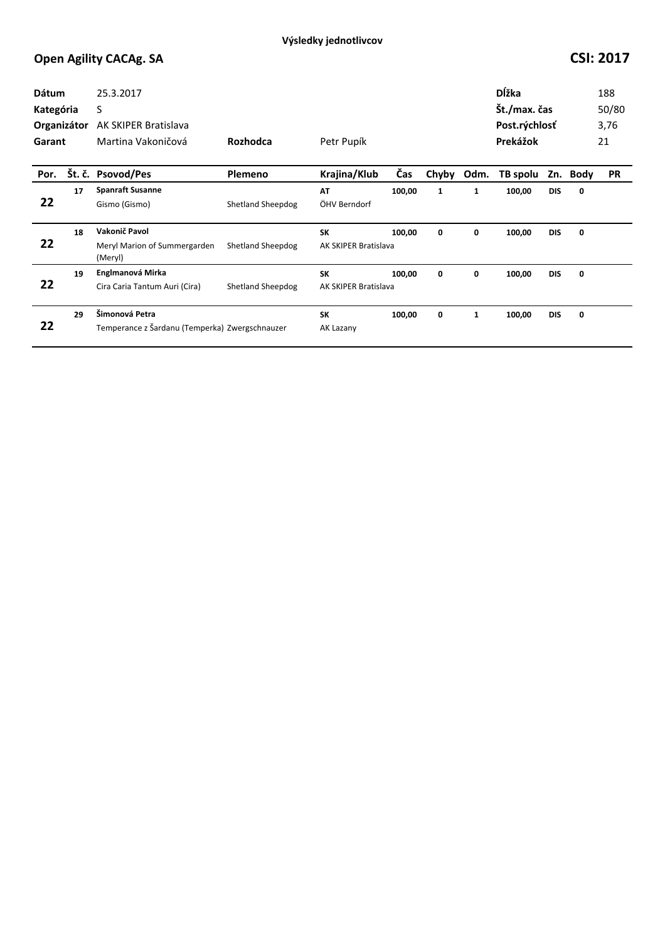| Dátum<br>Kategória<br>Organizátor<br>Garant |    | 25.3.2017<br>S<br>AK SKIPER Bratislava<br>Martina Vakoničová     | Rozhodca                 | Petr Pupík                        |        |       |              | Dĺžka<br>Št./max. čas<br>Post.rýchlosť<br>Prekážok |            |      | 188<br>50/80<br>3,76<br>21 |
|---------------------------------------------|----|------------------------------------------------------------------|--------------------------|-----------------------------------|--------|-------|--------------|----------------------------------------------------|------------|------|----------------------------|
| Por.                                        |    | Št. č. Psovod/Pes                                                | Plemeno                  | Krajina/Klub                      | Čas    | Chyby | Odm.         | TB spolu                                           | Zn.        | Body | <b>PR</b>                  |
| 22                                          | 17 | <b>Spanraft Susanne</b><br>Gismo (Gismo)                         | <b>Shetland Sheepdog</b> | AT<br>ÖHV Berndorf                | 100,00 | 1     | 1            | 100,00                                             | <b>DIS</b> | 0    |                            |
| 22                                          | 18 | Vakonič Pavol<br>Meryl Marion of Summergarden<br>(Meryl)         | Shetland Sheepdog        | <b>SK</b><br>AK SKIPER Bratislava | 100,00 | 0     | 0            | 100,00                                             | <b>DIS</b> | 0    |                            |
| 22                                          | 19 | Englmanová Mirka<br>Cira Caria Tantum Auri (Cira)                | Shetland Sheepdog        | <b>SK</b><br>AK SKIPER Bratislava | 100,00 | 0     | 0            | 100,00                                             | <b>DIS</b> | 0    |                            |
| 22                                          | 29 | Šimonová Petra<br>Temperance z Šardanu (Temperka) Zwergschnauzer |                          | <b>SK</b><br>AK Lazany            | 100,00 | 0     | $\mathbf{1}$ | 100,00                                             | <b>DIS</b> | 0    |                            |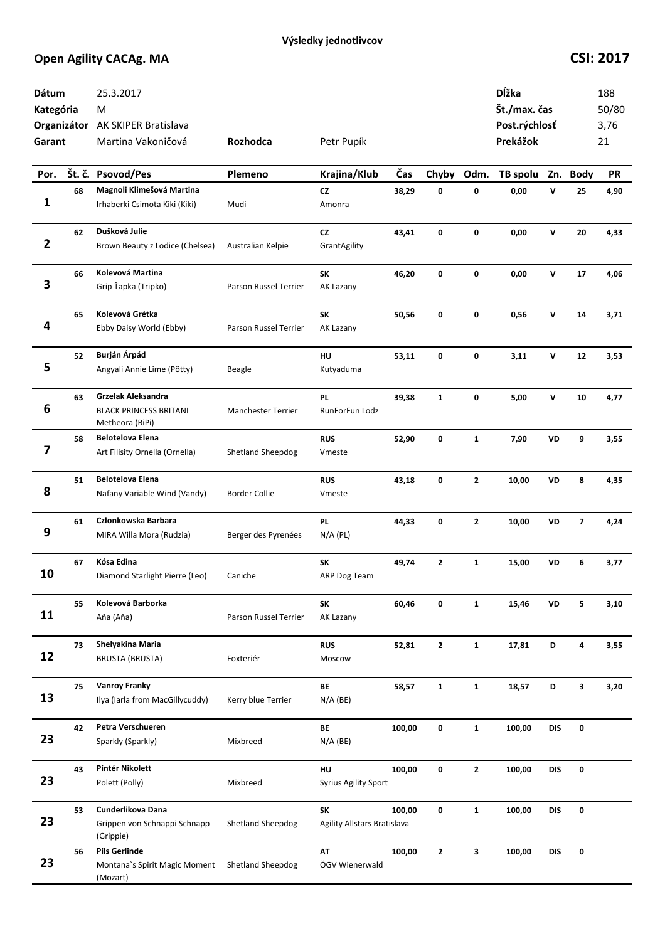| Dátum<br>Kategória<br>Garant |        | 25.3.2017<br>M<br>Organizátor AK SKIPER Bratislava<br>Martina Vakoničová | Rozhodca                  | Petr Pupík                        |        |                         |              | Dĺžka<br>Št./max. čas<br>Post.rýchlosť<br>Prekážok |              |                         | 188<br>50/80<br>3,76<br>21 |
|------------------------------|--------|--------------------------------------------------------------------------|---------------------------|-----------------------------------|--------|-------------------------|--------------|----------------------------------------------------|--------------|-------------------------|----------------------------|
| Por.                         | Št. č. | <b>Psovod/Pes</b>                                                        | Plemeno                   | Krajina/Klub                      | Čas    | Chyby                   | Odm.         | TB spolu                                           |              | Zn. Body                | PR                         |
| 1                            | 68     | Magnoli Klimešová Martina<br>Irhaberki Csimota Kiki (Kiki)               | Mudi                      | <b>CZ</b><br>Amonra               | 38,29  | 0                       | 0            | 0,00                                               | V            | 25                      | 4,90                       |
| $\overline{2}$               | 62     | Dušková Julie<br>Brown Beauty z Lodice (Chelsea)                         | Australian Kelpie         | CZ<br>GrantAgility                | 43,41  | 0                       | 0            | 0,00                                               | $\mathsf{v}$ | 20                      | 4,33                       |
| 3                            | 66     | Kolevová Martina<br>Grip Ťapka (Tripko)                                  | Parson Russel Terrier     | SK<br>AK Lazany                   | 46,20  | 0                       | 0            | 0,00                                               | $\mathsf{v}$ | 17                      | 4,06                       |
| 4                            | 65     | Kolevová Grétka<br>Ebby Daisy World (Ebby)                               | Parson Russel Terrier     | SK<br>AK Lazany                   | 50,56  | 0                       | 0            | 0,56                                               | V            | 14                      | 3,71                       |
| 5                            | 52     | Burján Árpád<br>Angyali Annie Lime (Pötty)                               | Beagle                    | HU<br>Kutyaduma                   | 53,11  | 0                       | 0            | 3,11                                               | V            | 12                      | 3,53                       |
| 6                            | 63     | Grzelak Aleksandra<br><b>BLACK PRINCESS BRITANI</b><br>Metheora (BiPi)   | <b>Manchester Terrier</b> | <b>PL</b><br>RunForFun Lodz       | 39,38  | $\mathbf{1}$            | 0            | 5,00                                               | V            | 10                      | 4,77                       |
| 7                            | 58     | <b>Belotelova Elena</b><br>Art Filisity Ornella (Ornella)                | Shetland Sheepdog         | <b>RUS</b><br>Vmeste              | 52,90  | 0                       | $\mathbf{1}$ | 7,90                                               | VD           | 9                       | 3,55                       |
| 8                            | 51     | <b>Belotelova Elena</b><br>Nafany Variable Wind (Vandy)                  | <b>Border Collie</b>      | <b>RUS</b><br>Vmeste              | 43,18  | 0                       | $\mathbf{2}$ | 10,00                                              | VD           | 8                       | 4,35                       |
| 9                            | 61     | Członkowska Barbara<br>MIRA Willa Mora (Rudzia)                          | Berger des Pyrenées       | <b>PL</b><br>$N/A$ (PL)           | 44,33  | 0                       | $\mathbf{z}$ | 10,00                                              | VD           | $\overline{\mathbf{z}}$ | 4,24                       |
| 10                           | 67     | Kósa Edina<br>Diamond Starlight Pierre (Leo)                             | Caniche                   | SK<br>ARP Dog Team                | 49,74  | $\overline{\mathbf{c}}$ | $\mathbf{1}$ | 15,00                                              | VD           | 6                       | 3,77                       |
| 11                           | 55     | Kolevová Barborka<br>Aňa (Aňa)                                           | Parson Russel Terrier     | <b>SK</b><br>AK Lazany            | 60,46  | 0                       | $\mathbf{1}$ | 15,46                                              | VD           | 5                       | 3,10                       |
| 12                           | 73     | Shelyakina Maria<br><b>BRUSTA (BRUSTA)</b>                               | Foxteriér                 | <b>RUS</b><br>Moscow              | 52,81  | $\mathbf{2}$            | $\mathbf{1}$ | 17,81                                              | D            | 4                       | 3,55                       |
| 13                           | 75     | <b>Vanroy Franky</b><br>Ilya (Iarla from MacGillycuddy)                  | Kerry blue Terrier        | BE<br>$N/A$ (BE)                  | 58,57  | $\mathbf{1}$            | $\mathbf{1}$ | 18,57                                              | D            | 3                       | 3,20                       |
| 23                           | 42     | Petra Verschueren<br>Sparkly (Sparkly)                                   | Mixbreed                  | BE<br>$N/A$ (BE)                  | 100,00 | 0                       | $\mathbf{1}$ | 100,00                                             | <b>DIS</b>   | 0                       |                            |
| 23                           | 43     | Pintér Nikolett<br>Polett (Polly)                                        | Mixbreed                  | HU<br><b>Syrius Agility Sport</b> | 100,00 | 0                       | $\mathbf{2}$ | 100,00                                             | <b>DIS</b>   | 0                       |                            |
| 23                           | 53     | Cunderlikova Dana<br>Grippen von Schnappi Schnapp<br>(Grippie)           | Shetland Sheepdog         | SK<br>Agility Allstars Bratislava | 100,00 | 0                       | $\mathbf{1}$ | 100,00                                             | <b>DIS</b>   | 0                       |                            |
| 23                           | 56     | <b>Pils Gerlinde</b><br>Montana's Spirit Magic Moment<br>(Mozart)        | <b>Shetland Sheepdog</b>  | AT<br>ÖGV Wienerwald              | 100,00 | $\mathbf{2}$            | 3            | 100,00                                             | <b>DIS</b>   | 0                       |                            |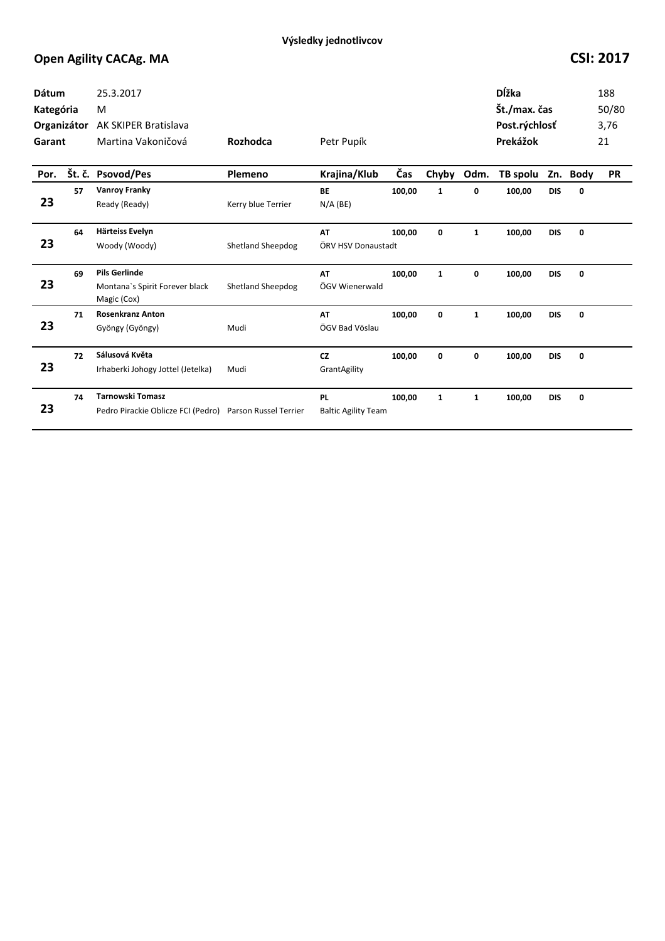| <b>Dátum</b><br>Kategória<br>Organizátor<br>Garant |    | 25.3.2017<br>M<br><b>AK SKIPER Bratislava</b><br>Martina Vakoničová   | Rozhodca                 | Petr Pupík                              |        |              |              | <b>D</b> ĺžka<br>Št./max. čas<br>Post.rýchlosť<br>Prekážok |            |          | 188<br>50/80<br>3,76<br>21 |
|----------------------------------------------------|----|-----------------------------------------------------------------------|--------------------------|-----------------------------------------|--------|--------------|--------------|------------------------------------------------------------|------------|----------|----------------------------|
| Por.                                               |    | Št. č. Psovod/Pes                                                     | Plemeno                  | Krajina/Klub                            | Čas    | Chyby        | Odm.         | TB spolu                                                   |            | Zn. Body | <b>PR</b>                  |
| 23                                                 | 57 | <b>Vanroy Franky</b><br>Ready (Ready)                                 | Kerry blue Terrier       | <b>BE</b><br>$N/A$ (BE)                 | 100,00 | 1            | 0            | 100,00                                                     | <b>DIS</b> | 0        |                            |
| 23                                                 | 64 | Härteiss Evelyn<br>Woody (Woody)                                      | <b>Shetland Sheepdog</b> | AT<br>ÖRV HSV Donaustadt                | 100.00 | 0            | $\mathbf{1}$ | 100,00                                                     | <b>DIS</b> | 0        |                            |
| 23                                                 | 69 | <b>Pils Gerlinde</b><br>Montana's Spirit Forever black<br>Magic (Cox) | <b>Shetland Sheepdog</b> | AT<br>ÖGV Wienerwald                    | 100,00 | $\mathbf{1}$ | 0            | 100,00                                                     | <b>DIS</b> | 0        |                            |
| 23                                                 | 71 | <b>Rosenkranz Anton</b><br>Gyöngy (Gyöngy)                            | Mudi                     | AT<br>ÖGV Bad Vöslau                    | 100,00 | 0            | $\mathbf{1}$ | 100,00                                                     | <b>DIS</b> | 0        |                            |
| 23                                                 | 72 | Sálusová Květa<br>Irhaberki Johogy Jottel (Jetelka)                   | Mudi                     | <b>CZ</b><br>GrantAgility               | 100,00 | 0            | 0            | 100,00                                                     | <b>DIS</b> | 0        |                            |
| 23                                                 | 74 | <b>Tarnowski Tomasz</b><br>Pedro Pirackie Oblicze FCI (Pedro)         | Parson Russel Terrier    | <b>PL</b><br><b>Baltic Agility Team</b> | 100,00 | $\mathbf{1}$ | $\mathbf{1}$ | 100,00                                                     | <b>DIS</b> | 0        |                            |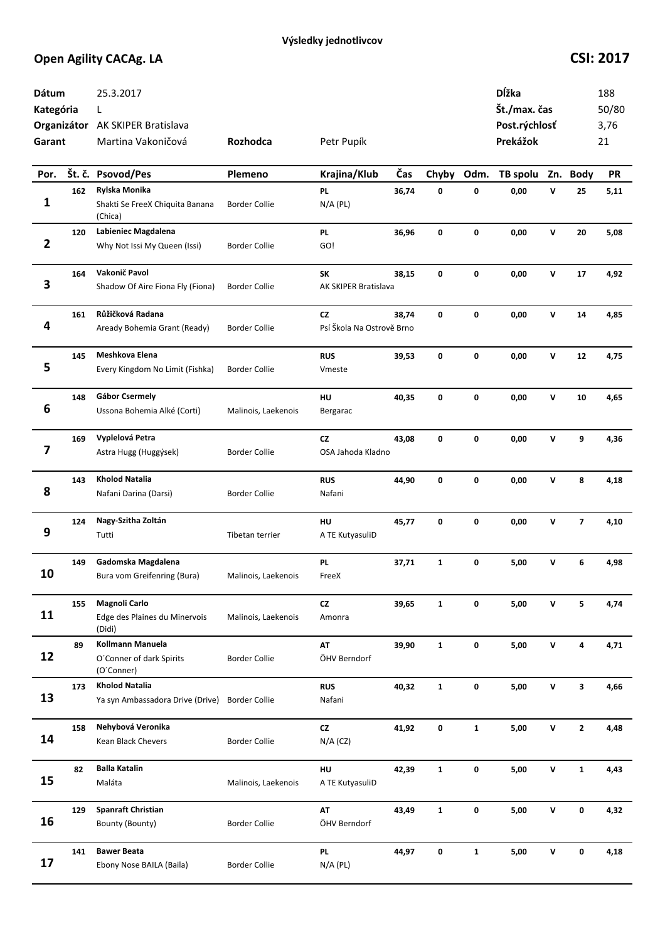| Dátum<br>Kategória<br>Garant |     | 25.3.2017<br>L<br>Organizátor AK SKIPER Bratislava<br>Martina Vakoničová | Rozhodca             | Petr Pupík                             |       |              |              | Dĺžka<br>Št./max. čas<br>Post.rýchlosť<br>Prekážok |                    |                         | 188<br>50/80<br>3,76<br>21 |
|------------------------------|-----|--------------------------------------------------------------------------|----------------------|----------------------------------------|-------|--------------|--------------|----------------------------------------------------|--------------------|-------------------------|----------------------------|
| Por.                         |     | Št. č. Psovod/Pes                                                        | Plemeno              | Krajina/Klub                           | Čas   | Chyby        | Odm.         | TB spolu                                           | Zn.                | <b>Body</b>             | <b>PR</b>                  |
| 1                            | 162 | Rylska Monika<br>Shakti Se FreeX Chiquita Banana<br>(Chica)              | <b>Border Collie</b> | PL<br>$N/A$ (PL)                       | 36,74 | 0            | $\pmb{0}$    | 0,00                                               | $\mathbf v$        | 25                      | 5,11                       |
| $\overline{\mathbf{2}}$      | 120 | Labieniec Magdalena<br>Why Not Issi My Queen (Issi)                      | <b>Border Collie</b> | PL<br>GO!                              | 36,96 | 0            | 0            | 0,00                                               | $\mathsf{v}$       | 20                      | 5,08                       |
| 3                            | 164 | Vakonič Pavol<br>Shadow Of Aire Fiona Fly (Fiona)                        | <b>Border Collie</b> | SΚ<br>AK SKIPER Bratislava             | 38,15 | 0            | 0            | 0,00                                               | v                  | 17                      | 4,92                       |
| 4                            | 161 | Růžičková Radana<br>Aready Bohemia Grant (Ready)                         | <b>Border Collie</b> | <b>CZ</b><br>Psí Škola Na Ostrově Brno | 38,74 | 0            | 0            | 0,00                                               | $\mathsf{v}$       | 14                      | 4,85                       |
| 5                            | 145 | Meshkova Elena<br>Every Kingdom No Limit (Fishka)                        | <b>Border Collie</b> | <b>RUS</b><br>Vmeste                   | 39,53 | 0            | 0            | 0,00                                               | v                  | 12                      | 4,75                       |
| 6                            | 148 | <b>Gábor Csermely</b><br>Ussona Bohemia Alké (Corti)                     | Malinois, Laekenois  | HU<br>Bergarac                         | 40,35 | 0            | 0            | 0,00                                               | V                  | 10                      | 4,65                       |
| 7                            | 169 | Vyplelová Petra<br>Astra Hugg (Huggýsek)                                 | <b>Border Collie</b> | <b>CZ</b><br>OSA Jahoda Kladno         | 43,08 | 0            | 0            | 0,00                                               | v                  | 9                       | 4,36                       |
| 8                            | 143 | <b>Kholod Natalia</b><br>Nafani Darina (Darsi)                           | <b>Border Collie</b> | <b>RUS</b><br>Nafani                   | 44,90 | 0            | $\mathbf 0$  | 0,00                                               | $\mathsf{v}$       | 8                       | 4,18                       |
| 9                            | 124 | Nagy-Szitha Zoltán<br>Tutti                                              | Tibetan terrier      | HU<br>A TE KutyasuliD                  | 45,77 | 0            | 0            | 0,00                                               | v                  | $\overline{\mathbf{z}}$ | 4,10                       |
| 10                           | 149 | Gadomska Magdalena<br>Bura vom Greifenring (Bura)                        | Malinois, Laekenois  | PL<br>FreeX                            | 37,71 | $\mathbf{1}$ | 0            | 5,00                                               | v                  | 6                       | 4,98                       |
| 11                           | 155 | Magnoli Carlo<br>Edge des Plaines du Minervois<br>(Didi)                 | Malinois, Laekenois  | ${\sf cz}$<br>Amonra                   | 39,65 | $\mathbf{1}$ | 0            | 5,00                                               | v                  | 5                       | 4,74                       |
| 12                           | 89  | Kollmann Manuela<br>O'Conner of dark Spirits<br>(O'Conner)               | <b>Border Collie</b> | AT<br>ÖHV Berndorf                     | 39,90 | $\mathbf{1}$ | $\pmb{0}$    | 5,00                                               | V                  | 4                       | 4,71                       |
| 13                           | 173 | <b>Kholod Natalia</b><br>Ya syn Ambassadora Drive (Drive)                | <b>Border Collie</b> | <b>RUS</b><br>Nafani                   | 40,32 | $\mathbf{1}$ | 0            | 5,00                                               | ${\sf v}$          | 3                       | 4,66                       |
| 14                           | 158 | Nehybová Veronika<br>Kean Black Chevers                                  | <b>Border Collie</b> | $\mathsf{C}\mathsf{Z}$<br>$N/A$ (CZ)   | 41,92 | 0            | $\mathbf{1}$ | 5,00                                               | $\mathsf{v}$       | $\mathbf{2}$            | 4,48                       |
| 15                           | 82  | <b>Balla Katalin</b><br>Maláta                                           | Malinois, Laekenois  | HU<br>A TE KutyasuliD                  | 42,39 | $\mathbf{1}$ | $\pmb{0}$    | 5,00                                               | $\pmb{\mathsf{V}}$ | $\mathbf{1}$            | 4,43                       |
| 16                           | 129 | <b>Spanraft Christian</b><br>Bounty (Bounty)                             | <b>Border Collie</b> | AT<br>ÖHV Berndorf                     | 43,49 | $\mathbf{1}$ | 0            | 5,00                                               | v                  | 0                       | 4,32                       |
| 17                           | 141 | <b>Bawer Beata</b><br>Ebony Nose BAILA (Baila)                           | <b>Border Collie</b> | <b>PL</b><br>$N/A$ (PL)                | 44,97 | 0            | $\mathbf{1}$ | 5,00                                               | $\mathsf{v}$       | 0                       | 4,18                       |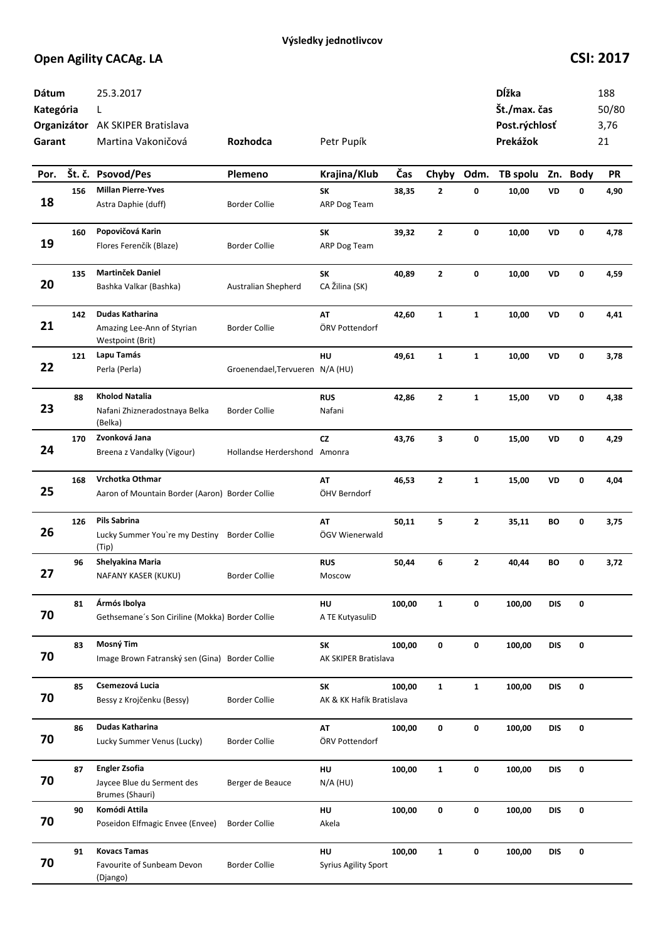| Dátum<br>Kategória<br>Garant |     | 25.3.2017<br>L<br>Organizátor AK SKIPER Bratislava<br>Martina Vakoničová | Rozhodca                        | Petr Pupík                        |        |              |              | Dĺžka<br>Št./max. čas<br>Post.rýchlosť<br>Prekážok |            |          | 188<br>50/80<br>3,76<br>21 |
|------------------------------|-----|--------------------------------------------------------------------------|---------------------------------|-----------------------------------|--------|--------------|--------------|----------------------------------------------------|------------|----------|----------------------------|
| Por.                         |     | Št. č. Psovod/Pes                                                        | Plemeno                         | Krajina/Klub                      | Čas    | Chyby        | Odm.         | TB spolu                                           |            | Zn. Body | <b>PR</b>                  |
| 18                           | 156 | <b>Millan Pierre-Yves</b><br>Astra Daphie (duff)                         | <b>Border Collie</b>            | SK<br>ARP Dog Team                | 38,35  | $\mathbf{z}$ | 0            | 10,00                                              | VD         | 0        | 4,90                       |
| 19                           | 160 | Popovičová Karin<br>Flores Ferenčík (Blaze)                              | <b>Border Collie</b>            | SK<br>ARP Dog Team                | 39,32  | $\mathbf{2}$ | 0            | 10,00                                              | VD         | 0        | 4,78                       |
| 20                           | 135 | Martinček Daniel<br>Bashka Valkar (Bashka)                               | Australian Shepherd             | SK<br>CA Žilina (SK)              | 40,89  | $\mathbf{z}$ | 0            | 10,00                                              | VD         | 0        | 4,59                       |
| 21                           | 142 | Dudas Katharina<br>Amazing Lee-Ann of Styrian<br>Westpoint (Brit)        | <b>Border Collie</b>            | AT<br>ÖRV Pottendorf              | 42,60  | $\mathbf{1}$ | $\mathbf{1}$ | 10,00                                              | VD         | 0        | 4,41                       |
| 22                           | 121 | Lapu Tamás<br>Perla (Perla)                                              | Groenendael, Tervueren N/A (HU) | HU                                | 49,61  | $\mathbf{1}$ | $\mathbf{1}$ | 10,00                                              | VD         | 0        | 3,78                       |
| 23                           | 88  | Kholod Natalia<br>Nafani Zhizneradostnaya Belka<br>(Belka)               | <b>Border Collie</b>            | <b>RUS</b><br>Nafani              | 42,86  | $\mathbf{2}$ | $\mathbf{1}$ | 15,00                                              | VD         | 0        | 4,38                       |
| 24                           | 170 | Zvonková Jana<br>Breena z Vandalky (Vigour)                              | Hollandse Herdershond Amonra    | CZ                                | 43,76  | 3            | 0            | 15,00                                              | VD         | 0        | 4,29                       |
| 25                           | 168 | Vrchotka Othmar<br>Aaron of Mountain Border (Aaron) Border Collie        |                                 | AT<br>ÖHV Berndorf                | 46,53  | 2            | $\mathbf{1}$ | 15,00                                              | VD         | 0        | 4,04                       |
| 26                           | 126 | Pils Sabrina<br>Lucky Summer You're my Destiny<br>(Tip)                  | <b>Border Collie</b>            | AT<br>ÖGV Wienerwald              | 50,11  | 5            | $\mathbf{2}$ | 35,11                                              | BО         | 0        | 3,75                       |
| 27                           | 96  | Shelyakina Maria<br>NAFANY KASER (KUKU)                                  | <b>Border Collie</b>            | <b>RUS</b><br>Moscow              | 50,44  | 6            | $\mathbf{2}$ | 40,44                                              | BO         | 0        | 3,72                       |
| 70                           | 81  | Ármós Ibolya<br>Gethsemane's Son Ciriline (Mokka) Border Collie          |                                 | HU<br>A TE KutyasuliD             | 100,00 | $\mathbf{1}$ | 0            | 100,00                                             | <b>DIS</b> | 0        |                            |
| 70                           | 83  | Mosný Tim<br>Image Brown Fatranský sen (Gina) Border Collie              |                                 | SK<br>AK SKIPER Bratislava        | 100,00 | 0            | 0            | 100,00                                             | DIS        | 0        |                            |
| 70                           | 85  | Csemezová Lucia<br>Bessy z Krojčenku (Bessy)                             | <b>Border Collie</b>            | SK<br>AK & KK Hafík Bratislava    | 100,00 | $\mathbf{1}$ | $\mathbf{1}$ | 100,00                                             | <b>DIS</b> | 0        |                            |
| 70                           | 86  | Dudas Katharina<br>Lucky Summer Venus (Lucky)                            | Border Collie                   | AT<br>ÖRV Pottendorf              | 100,00 | 0            | 0            | 100,00                                             | <b>DIS</b> | 0        |                            |
| 70                           | 87  | <b>Engler Zsofia</b><br>Jaycee Blue du Serment des<br>Brumes (Shauri)    | Berger de Beauce                | HU<br>$N/A$ (HU)                  | 100,00 | $\mathbf{1}$ | 0            | 100,00                                             | <b>DIS</b> | 0        |                            |
| 70                           | 90  | Komódi Attila<br>Poseidon Elfmagic Envee (Envee)                         | <b>Border Collie</b>            | HU<br>Akela                       | 100,00 | 0            | 0            | 100,00                                             | <b>DIS</b> | 0        |                            |
| 70                           | 91  | <b>Kovacs Tamas</b><br>Favourite of Sunbeam Devon<br>(Django)            | <b>Border Collie</b>            | HU<br><b>Syrius Agility Sport</b> | 100,00 | $\mathbf{1}$ | 0            | 100,00                                             | DIS        | 0        |                            |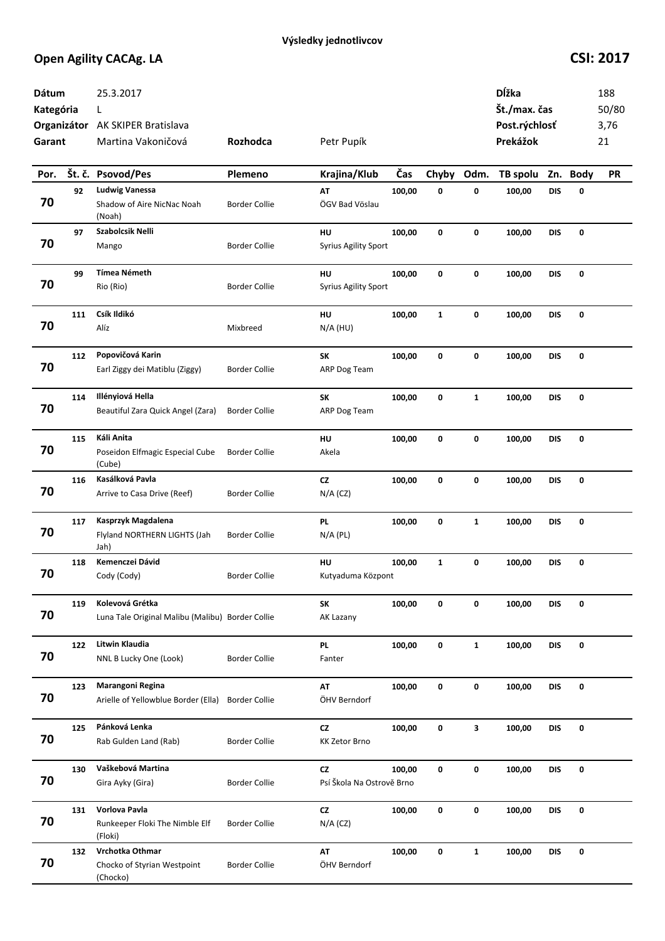| Dátum<br>Kategória<br>Garant |     | 25.3.2017<br>L<br>Organizátor AK SKIPER Bratislava<br>Martina Vakoničová | Rozhodca             | Petr Pupík                             |        |              |              | Dĺžka<br>Št./max. čas<br>Post.rýchlosť<br>Prekážok |            |          | 188<br>50/80<br>3,76<br>21 |
|------------------------------|-----|--------------------------------------------------------------------------|----------------------|----------------------------------------|--------|--------------|--------------|----------------------------------------------------|------------|----------|----------------------------|
| Por.                         |     | Št. č. Psovod/Pes                                                        | Plemeno              | Krajina/Klub                           | Čas    | Chyby        | Odm.         | TB spolu                                           |            | Zn. Body | <b>PR</b>                  |
| 70                           | 92  | <b>Ludwig Vanessa</b><br>Shadow of Aire NicNac Noah<br>(Noah)            | <b>Border Collie</b> | AT<br>ÖGV Bad Vöslau                   | 100,00 | 0            | 0            | 100,00                                             | <b>DIS</b> | 0        |                            |
| 70                           | 97  | Szabolcsik Nelli<br>Mango                                                | <b>Border Collie</b> | HU<br><b>Syrius Agility Sport</b>      | 100,00 | 0            | $\mathbf 0$  | 100,00                                             | <b>DIS</b> | 0        |                            |
| 70                           | 99  | <b>Tímea Németh</b><br>Rio (Rio)                                         | <b>Border Collie</b> | HU<br><b>Syrius Agility Sport</b>      | 100,00 | 0            | $\mathbf 0$  | 100,00                                             | <b>DIS</b> | 0        |                            |
| 70                           | 111 | Csík Ildikó<br>Alíz                                                      | Mixbreed             | HU<br>$N/A$ (HU)                       | 100,00 | $\mathbf{1}$ | 0            | 100,00                                             | <b>DIS</b> | 0        |                            |
| 70                           | 112 | Popovičová Karin<br>Earl Ziggy dei Matiblu (Ziggy)                       | <b>Border Collie</b> | SK<br>ARP Dog Team                     | 100,00 | 0            | 0            | 100,00                                             | <b>DIS</b> | 0        |                            |
| 70                           | 114 | Illényiová Hella<br>Beautiful Zara Quick Angel (Zara)                    | <b>Border Collie</b> | SK<br>ARP Dog Team                     | 100,00 | 0            | $\mathbf{1}$ | 100,00                                             | <b>DIS</b> | 0        |                            |
| 70                           | 115 | Káli Anita<br>Poseidon Elfmagic Especial Cube<br>(Cube)                  | <b>Border Collie</b> | HU<br>Akela                            | 100,00 | 0            | 0            | 100,00                                             | <b>DIS</b> | 0        |                            |
| 70                           | 116 | Kasálková Pavla<br>Arrive to Casa Drive (Reef)                           | <b>Border Collie</b> | CZ<br>$N/A$ (CZ)                       | 100,00 | 0            | 0            | 100,00                                             | <b>DIS</b> | 0        |                            |
| 70                           | 117 | Kasprzyk Magdalena<br>Flyland NORTHERN LIGHTS (Jah<br>Jah)               | <b>Border Collie</b> | <b>PL</b><br>$N/A$ (PL)                | 100,00 | 0            | $\mathbf{1}$ | 100,00                                             | <b>DIS</b> | 0        |                            |
| 70                           | 118 | Kemenczei Dávid<br>Cody (Cody)                                           | Border Collie        | HU<br>Kutyaduma Központ                | 100,00 | $\mathbf{1}$ | 0            | 100,00                                             | <b>DIS</b> | 0        |                            |
| 70                           | 119 | Kolevová Grétka<br>Luna Tale Original Malibu (Malibu) Border Collie      |                      | SK<br>AK Lazany                        | 100,00 | 0            | 0            | 100,00                                             | <b>DIS</b> | 0        |                            |
| 70                           | 122 | Litwin Klaudia<br>NNL B Lucky One (Look)                                 | <b>Border Collie</b> | <b>PL</b><br>Fanter                    | 100,00 | 0            | $\mathbf{1}$ | 100,00                                             | <b>DIS</b> | 0        |                            |
| 70                           | 123 | Marangoni Regina<br>Arielle of Yellowblue Border (Ella)                  | <b>Border Collie</b> | AT<br>ÖHV Berndorf                     | 100,00 | 0            | 0            | 100,00                                             | <b>DIS</b> | 0        |                            |
| 70                           | 125 | Pánková Lenka<br>Rab Gulden Land (Rab)                                   | <b>Border Collie</b> | CZ<br><b>KK Zetor Brno</b>             | 100,00 | 0            | 3            | 100,00                                             | DIS        | 0        |                            |
| 70                           | 130 | Vaškebová Martina<br>Gira Ayky (Gira)                                    | <b>Border Collie</b> | <b>CZ</b><br>Psí Škola Na Ostrově Brno | 100,00 | 0            | 0            | 100,00                                             | <b>DIS</b> | 0        |                            |
| 70                           | 131 | Vorlova Pavla<br>Runkeeper Floki The Nimble Elf<br>(Floki)               | <b>Border Collie</b> | <b>CZ</b><br>$N/A$ (CZ)                | 100,00 | 0            | 0            | 100,00                                             | DIS        | 0        |                            |
| 70                           | 132 | Vrchotka Othmar<br>Chocko of Styrian Westpoint<br>(Chocko)               | <b>Border Collie</b> | AT<br>ÖHV Berndorf                     | 100,00 | 0            | $\mathbf{1}$ | 100,00                                             | DIS        | 0        |                            |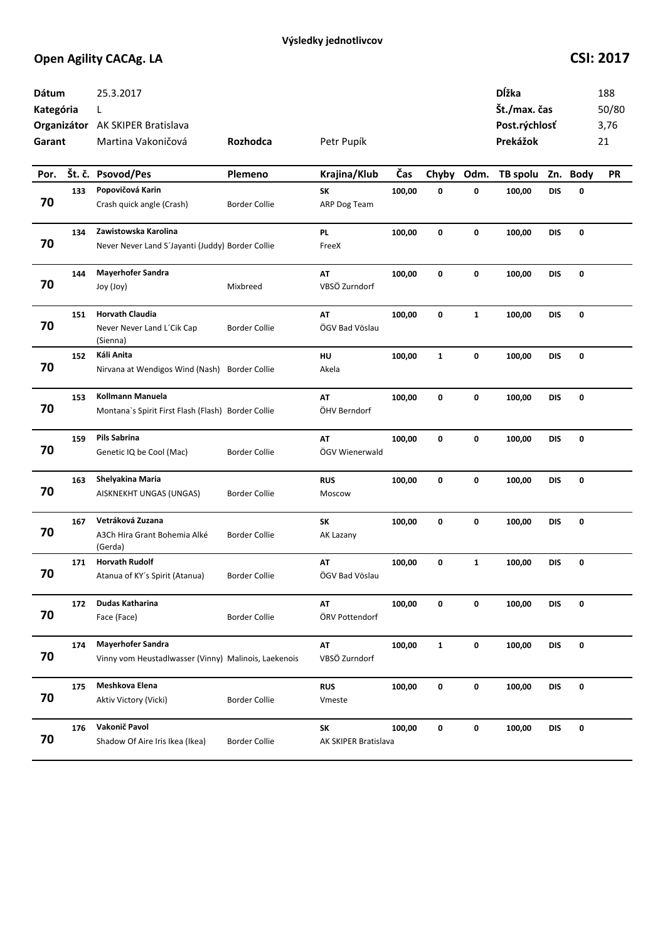| <b>Dátum</b><br>Kategória<br>Garant |     | 25.3.2017<br>L<br>Organizátor AK SKIPER Bratislava<br>Martina Vakoničová | Rozhodca             | Petr Pupík           |        |              |              | Dĺžka<br>Št./max. čas<br>Post.rýchlosť<br>Prekážok |            |          | 188<br>50/80<br>3,76<br>21 |
|-------------------------------------|-----|--------------------------------------------------------------------------|----------------------|----------------------|--------|--------------|--------------|----------------------------------------------------|------------|----------|----------------------------|
| Por.                                |     | Št. č. Psovod/Pes                                                        | Plemeno              | Krajina/Klub         | Čas    | Chyby        | Odm.         | TB spolu                                           |            | Zn. Body | <b>PR</b>                  |
|                                     | 133 | Popovičová Karin                                                         |                      | <b>SK</b>            | 100,00 | 0            | 0            | 100,00                                             | <b>DIS</b> | 0        |                            |
| 70                                  |     | Crash quick angle (Crash)                                                | <b>Border Collie</b> | ARP Dog Team         |        |              |              |                                                    |            |          |                            |
|                                     | 134 | Zawistowska Karolina                                                     |                      | <b>PL</b>            | 100,00 | 0            | $\mathbf 0$  | 100,00                                             | <b>DIS</b> | 0        |                            |
| 70                                  |     | Never Never Land S'Jayanti (Juddy) Border Collie                         |                      | FreeX                |        |              |              |                                                    |            |          |                            |
|                                     | 144 | <b>Mayerhofer Sandra</b>                                                 |                      | AT                   | 100,00 | 0            | 0            | 100,00                                             | <b>DIS</b> | 0        |                            |
| 70                                  |     | Joy (Joy)                                                                | Mixbreed             | VBSÖ Zurndorf        |        |              |              |                                                    |            |          |                            |
|                                     | 151 | <b>Horvath Claudia</b>                                                   |                      | AT                   | 100,00 | 0            | $\mathbf{1}$ | 100,00                                             | <b>DIS</b> | 0        |                            |
| 70                                  |     | Never Never Land L'Cik Cap<br>(Sienna)                                   | <b>Border Collie</b> | ÖGV Bad Vöslau       |        |              |              |                                                    |            |          |                            |
|                                     | 152 | Káli Anita                                                               |                      | HU                   | 100,00 | $\mathbf{1}$ | 0            | 100,00                                             | <b>DIS</b> | 0        |                            |
| 70                                  |     | Nirvana at Wendigos Wind (Nash)                                          | <b>Border Collie</b> | Akela                |        |              |              |                                                    |            |          |                            |
|                                     | 153 | <b>Kollmann Manuela</b>                                                  |                      | AT                   | 100,00 | 0            | 0            | 100,00                                             | DIS        | 0        |                            |
| 70                                  |     | Montana's Spirit First Flash (Flash) Border Collie                       |                      | ÖHV Berndorf         |        |              |              |                                                    |            |          |                            |
|                                     | 159 | Pils Sabrina                                                             |                      | AT                   | 100,00 | 0            | 0            | 100,00                                             | DIS        | 0        |                            |
| 70                                  |     | Genetic IQ be Cool (Mac)                                                 | <b>Border Collie</b> | ÖGV Wienerwald       |        |              |              |                                                    |            |          |                            |
|                                     | 163 | Shelyakina Maria                                                         |                      | <b>RUS</b>           | 100,00 | 0            | 0            | 100,00                                             | <b>DIS</b> | 0        |                            |
| 70                                  |     | AISKNEKHT UNGAS (UNGAS)                                                  | <b>Border Collie</b> | Moscow               |        |              |              |                                                    |            |          |                            |
|                                     | 167 | Vetráková Zuzana                                                         |                      | SK                   | 100,00 | 0            | 0            | 100,00                                             | <b>DIS</b> | 0        |                            |
| 70                                  |     | A3Ch Hira Grant Bohemia Alké<br>(Gerda)                                  | <b>Border Collie</b> | AK Lazany            |        |              |              |                                                    |            |          |                            |
|                                     | 171 | <b>Horvath Rudolf</b>                                                    |                      | AT                   | 100,00 | 0            | $\mathbf{1}$ | 100,00                                             | <b>DIS</b> | 0        |                            |
| 70                                  |     | Atanua of KY's Spirit (Atanua)                                           | <b>Border Collie</b> | ÖGV Bad Vöslau       |        |              |              |                                                    |            |          |                            |
|                                     | 172 | Dudas Katharina                                                          |                      | AT                   | 100,00 | 0            | 0            | 100,00                                             | <b>DIS</b> | 0        |                            |
| 70                                  |     | Face (Face)                                                              | <b>Border Collie</b> | ÖRV Pottendorf       |        |              |              |                                                    |            |          |                            |
|                                     | 174 | <b>Mayerhofer Sandra</b>                                                 |                      | AT                   | 100,00 | $\mathbf{1}$ | $\pmb{0}$    | 100,00                                             | <b>DIS</b> | 0        |                            |
| 70                                  |     | Vinny vom Heustadlwasser (Vinny) Malinois, Laekenois                     |                      | VBSÖ Zurndorf        |        |              |              |                                                    |            |          |                            |
|                                     | 175 | Meshkova Elena                                                           |                      | <b>RUS</b>           | 100,00 | 0            | 0            | 100,00                                             | <b>DIS</b> | 0        |                            |
| 70                                  |     | Aktiv Victory (Vicki)                                                    | <b>Border Collie</b> | Vmeste               |        |              |              |                                                    |            |          |                            |
|                                     | 176 | Vakonič Pavol                                                            |                      | <b>SK</b>            | 100,00 | 0            | $\pmb{0}$    | 100,00                                             | <b>DIS</b> | 0        |                            |
| 70                                  |     | Shadow Of Aire Iris Ikea (Ikea)                                          | <b>Border Collie</b> | AK SKIPER Bratislava |        |              |              |                                                    |            |          |                            |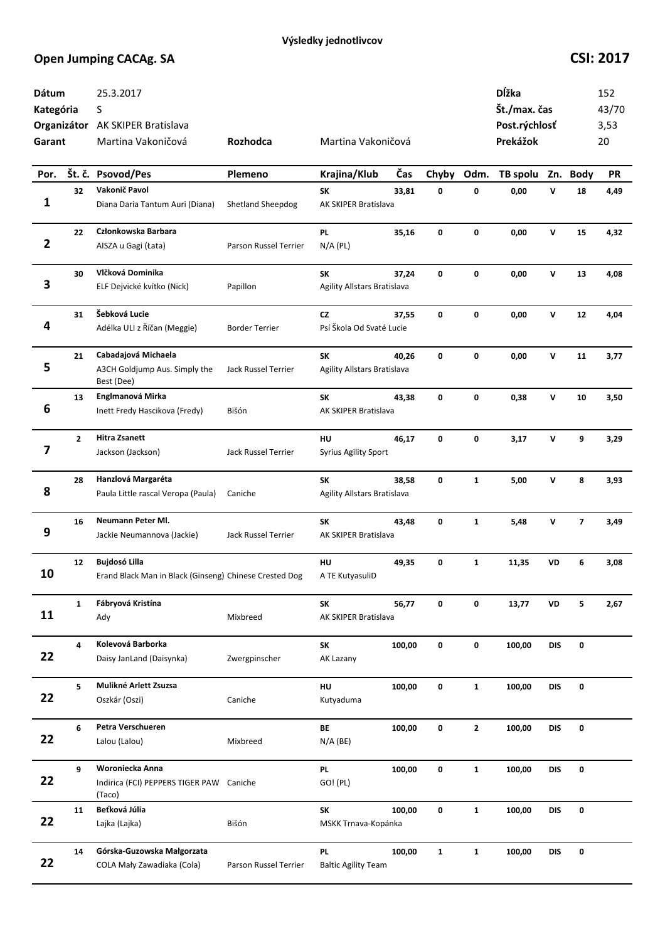| Dátum<br>Kategória<br>Garant |              | 25.3.2017<br>S<br>Organizátor AK SKIPER Bratislava<br>Martina Vakoničová | Rozhodca              | Martina Vakoničová                       |        |              |              | Dĺžka<br>Št./max. čas<br>Post.rýchlosť<br>Prekážok |              |                         | 152<br>43/70<br>3,53<br>20 |
|------------------------------|--------------|--------------------------------------------------------------------------|-----------------------|------------------------------------------|--------|--------------|--------------|----------------------------------------------------|--------------|-------------------------|----------------------------|
| Por.                         |              | Št. č. Psovod/Pes                                                        | Plemeno               | Krajina/Klub                             | Čas    | Chyby        | Odm.         | TB spolu                                           |              | Zn. Body                | <b>PR</b>                  |
| 1                            | 32           | Vakonič Pavol<br>Diana Daria Tantum Auri (Diana)                         | Shetland Sheepdog     | SK<br><b>AK SKIPER Bratislava</b>        | 33,81  | 0            | 0            | 0,00                                               | v            | 18                      | 4,49                       |
| $\overline{\mathbf{2}}$      | 22           | Członkowska Barbara<br>AISZA u Gagi (Łata)                               | Parson Russel Terrier | PL<br>$N/A$ (PL)                         | 35,16  | 0            | 0            | 0,00                                               | $\mathsf{v}$ | 15                      | 4,32                       |
| 3                            | 30           | Vlčková Dominika<br>ELF Dejvické kvítko (Nick)                           | Papillon              | SK<br><b>Agility Allstars Bratislava</b> | 37,24  | 0            | $\mathbf 0$  | 0,00                                               | ${\bf v}$    | 13                      | 4,08                       |
| 4                            | 31           | Šebková Lucie<br>Adélka ULI z Říčan (Meggie)                             | <b>Border Terrier</b> | <b>CZ</b><br>Psí Škola Od Svaté Lucie    | 37,55  | 0            | 0            | 0,00                                               | v            | 12                      | 4,04                       |
| 5                            | 21           | Cabadajová Michaela<br>A3CH Goldjump Aus. Simply the<br>Best (Dee)       | Jack Russel Terrier   | SK<br><b>Agility Allstars Bratislava</b> | 40,26  | 0            | 0            | 0,00                                               | v            | 11                      | 3,77                       |
| 6                            | 13           | Englmanová Mirka<br>Inett Fredy Hascikova (Fredy)                        | Bišón                 | SK<br>AK SKIPER Bratislava               | 43,38  | 0            | 0            | 0,38                                               | v            | 10                      | 3,50                       |
| 7                            | $\mathbf{2}$ | <b>Hitra Zsanett</b><br>Jackson (Jackson)                                | Jack Russel Terrier   | HU<br><b>Syrius Agility Sport</b>        | 46,17  | 0            | 0            | 3,17                                               | v            | 9                       | 3,29                       |
| 8                            | 28           | Hanzlová Margaréta<br>Paula Little rascal Veropa (Paula)                 | Caniche               | SK<br>Agility Allstars Bratislava        | 38,58  | 0            | $\mathbf{1}$ | 5,00                                               | v            | 8                       | 3,93                       |
| 9                            | 16           | <b>Neumann Peter MI.</b><br>Jackie Neumannova (Jackie)                   | Jack Russel Terrier   | SK<br>AK SKIPER Bratislava               | 43,48  | 0            | $\mathbf{1}$ | 5,48                                               | v            | $\overline{\mathbf{z}}$ | 3,49                       |
| 10                           | 12           | Bujdosó Lilla<br>Erand Black Man in Black (Ginseng) Chinese Crested Dog  |                       | HU<br>A TE KutyasuliD                    | 49,35  | 0            | $\mathbf{1}$ | 11,35                                              | VD           | 6                       | 3,08                       |
| 11                           | $\mathbf{1}$ | Fábryová Kristína<br>Ady                                                 | Mixbreed              | SK<br>AK SKIPER Bratislava               | 56,77  | 0            | 0            | 13,77                                              | VD           | 5                       | 2,67                       |
| 22                           | 4            | Kolevová Barborka<br>Daisy JanLand (Daisynka)                            | Zwergpinscher         | SK<br>AK Lazany                          | 100,00 | 0            | 0            | 100,00                                             | <b>DIS</b>   | 0                       |                            |
| 22                           | 5            | Mulikné Arlett Zsuzsa<br>Oszkár (Oszi)                                   | Caniche               | HU<br>Kutyaduma                          | 100,00 | 0            | $\mathbf{1}$ | 100,00                                             | <b>DIS</b>   | 0                       |                            |
| 22                           | 6            | Petra Verschueren<br>Lalou (Lalou)                                       | Mixbreed              | BE<br>$N/A$ (BE)                         | 100,00 | 0            | $\mathbf{2}$ | 100,00                                             | <b>DIS</b>   | 0                       |                            |
| 22                           | 9            | Woroniecka Anna<br>Indirica (FCI) PEPPERS TIGER PAW<br>(Taco)            | Caniche               | <b>PL</b><br>GO! (PL)                    | 100,00 | 0            | $\mathbf{1}$ | 100,00                                             | <b>DIS</b>   | 0                       |                            |
| 22                           | 11           | Beťková Júlia<br>Lajka (Lajka)                                           | Bišón                 | SK<br>MSKK Trnava-Kopánka                | 100,00 | 0            | $\mathbf{1}$ | 100,00                                             | DIS          | 0                       |                            |
| 22                           | 14           | Górska-Guzowska Małgorzata<br>COLA Mały Zawadiaka (Cola)                 | Parson Russel Terrier | PL<br><b>Baltic Agility Team</b>         | 100,00 | $\mathbf{1}$ | $\mathbf{1}$ | 100,00                                             | <b>DIS</b>   | 0                       |                            |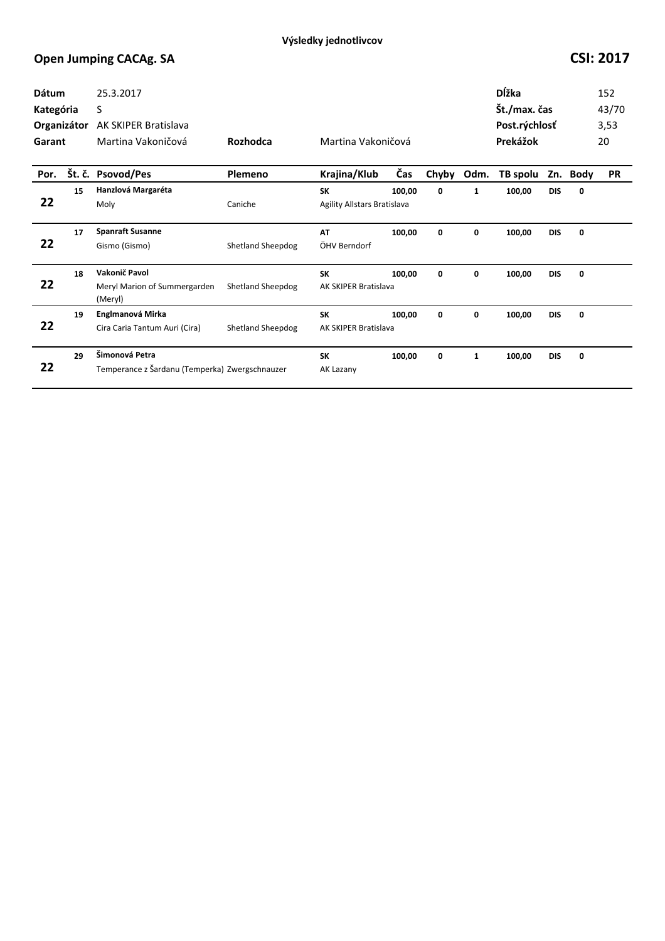| Dátum<br>Kategória<br>Organizátor<br>Garant |        | 25.3.2017<br>S<br>AK SKIPER Bratislava<br>Martina Vakoničová     | <b>Rozhodca</b>          | Martina Vakoničová                       |        |       |              | Dĺžka<br>Št./max. čas<br>Post.rýchlosť<br>Prekážok |            |             | 152<br>43/70<br>3,53<br>20 |
|---------------------------------------------|--------|------------------------------------------------------------------|--------------------------|------------------------------------------|--------|-------|--------------|----------------------------------------------------|------------|-------------|----------------------------|
| Por.                                        | Št. č. | Psovod/Pes                                                       | Plemeno                  | Krajina/Klub                             | Čas    | Chyby | Odm.         | TB spolu                                           | Zn.        | <b>Body</b> | <b>PR</b>                  |
| 22                                          | 15     | Hanzlová Margaréta<br>Moly                                       | Caniche                  | <b>SK</b><br>Agility Allstars Bratislava | 100,00 | 0     | $\mathbf{1}$ | 100,00                                             | <b>DIS</b> | 0           |                            |
| 22                                          | 17     | <b>Spanraft Susanne</b><br>Gismo (Gismo)                         | Shetland Sheepdog        | AT<br>ÖHV Berndorf                       | 100,00 | 0     | 0            | 100,00                                             | <b>DIS</b> | 0           |                            |
| 22                                          | 18     | Vakonič Pavol<br>Meryl Marion of Summergarden<br>(Meryl)         | <b>Shetland Sheepdog</b> | <b>SK</b><br><b>AK SKIPER Bratislava</b> | 100,00 | 0     | 0            | 100,00                                             | <b>DIS</b> | 0           |                            |
| 22                                          | 19     | Englmanová Mirka<br>Cira Caria Tantum Auri (Cira)                | <b>Shetland Sheepdog</b> | <b>SK</b><br>AK SKIPER Bratislava        | 100,00 | 0     | 0            | 100,00                                             | <b>DIS</b> | 0           |                            |
| 22                                          | 29     | Šimonová Petra<br>Temperance z Šardanu (Temperka) Zwergschnauzer |                          | <b>SK</b><br>AK Lazany                   | 100,00 | 0     | $\mathbf{1}$ | 100,00                                             | <b>DIS</b> | 0           |                            |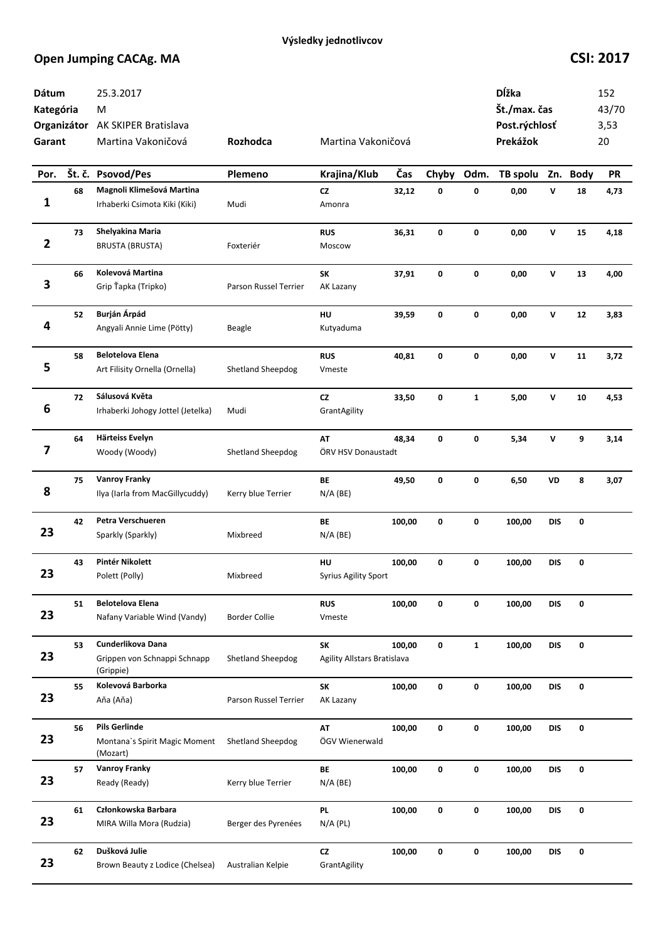| Dátum<br>Kategória<br>Garant |    | 25.3.2017<br>M<br>Organizátor AK SKIPER Bratislava<br>Martina Vakoničová | Rozhodca                 | Martina Vakoničová                |        |       |              | Dĺžka<br>Št./max. čas<br>Post.rýchlosť<br>Prekážok |              |          | 152<br>43/70<br>3,53<br>20 |
|------------------------------|----|--------------------------------------------------------------------------|--------------------------|-----------------------------------|--------|-------|--------------|----------------------------------------------------|--------------|----------|----------------------------|
| Por.                         |    | Št. č. Psovod/Pes                                                        | Plemeno                  | Krajina/Klub                      | Čas    | Chyby | Odm.         | TB spolu                                           |              | Zn. Body | <b>PR</b>                  |
| 1                            | 68 | Magnoli Klimešová Martina<br>Irhaberki Csimota Kiki (Kiki)               | Mudi                     | <b>CZ</b><br>Amonra               | 32,12  | 0     | 0            | 0,00                                               | v            | 18       | 4,73                       |
| $\overline{\mathbf{2}}$      | 73 | Shelyakina Maria<br><b>BRUSTA (BRUSTA)</b>                               | Foxteriér                | <b>RUS</b><br>Moscow              | 36,31  | 0     | 0            | 0,00                                               | $\mathbf v$  | 15       | 4,18                       |
| 3                            | 66 | Kolevová Martina<br>Grip Ťapka (Tripko)                                  | Parson Russel Terrier    | SK<br>AK Lazany                   | 37,91  | 0     | 0            | 0,00                                               | ${\bf v}$    | 13       | 4,00                       |
| 4                            | 52 | Burján Árpád<br>Angyali Annie Lime (Pötty)                               | Beagle                   | HU<br>Kutyaduma                   | 39,59  | 0     | 0            | 0,00                                               | $\mathsf{v}$ | 12       | 3,83                       |
| 5                            | 58 | <b>Belotelova Elena</b><br>Art Filisity Ornella (Ornella)                | Shetland Sheepdog        | <b>RUS</b><br>Vmeste              | 40,81  | 0     | 0            | 0,00                                               | v            | 11       | 3,72                       |
| 6                            | 72 | Sálusová Květa<br>Irhaberki Johogy Jottel (Jetelka)                      | Mudi                     | <b>CZ</b><br>GrantAgility         | 33,50  | 0     | $\mathbf{1}$ | 5,00                                               | v            | 10       | 4,53                       |
| 7                            | 64 | Härteiss Evelyn<br>Woody (Woody)                                         | <b>Shetland Sheepdog</b> | AT<br>ÖRV HSV Donaustadt          | 48,34  | 0     | 0            | 5,34                                               | v            | 9        | 3,14                       |
| 8                            | 75 | <b>Vanroy Franky</b><br>Ilya (Iarla from MacGillycuddy)                  | Kerry blue Terrier       | BE<br>$N/A$ (BE)                  | 49,50  | 0     | 0            | 6,50                                               | VD           | 8        | 3,07                       |
| 23                           | 42 | Petra Verschueren<br>Sparkly (Sparkly)                                   | Mixbreed                 | BE<br>$N/A$ (BE)                  | 100,00 | 0     | $\mathbf 0$  | 100,00                                             | <b>DIS</b>   | 0        |                            |
| 23                           | 43 | Pintér Nikolett<br>Polett (Polly)                                        | Mixbreed                 | HU<br>Syrius Agility Sport        | 100,00 | 0     | 0            | 100,00                                             | <b>DIS</b>   | 0        |                            |
| 23                           | 51 | <b>Belotelova Elena</b><br>Nafany Variable Wind (Vandy)                  | <b>Border Collie</b>     | <b>RUS</b><br>Vmeste              | 100,00 | 0     | 0            | 100,00                                             | <b>DIS</b>   | 0        |                            |
| 23                           | 53 | Cunderlikova Dana<br>Grippen von Schnappi Schnapp<br>(Grippie)           | Shetland Sheepdog        | SK<br>Agility Allstars Bratislava | 100,00 | 0     | $\mathbf{1}$ | 100,00                                             | <b>DIS</b>   | 0        |                            |
| 23                           | 55 | Kolevová Barborka<br>Aňa (Aňa)                                           | Parson Russel Terrier    | SK<br>AK Lazany                   | 100,00 | 0     | 0            | 100,00                                             | <b>DIS</b>   | 0        |                            |
| 23                           | 56 | <b>Pils Gerlinde</b><br>Montana's Spirit Magic Moment<br>(Mozart)        | <b>Shetland Sheepdog</b> | AT<br>ÖGV Wienerwald              | 100,00 | 0     | 0            | 100,00                                             | <b>DIS</b>   | 0        |                            |
| 23                           | 57 | <b>Vanroy Franky</b><br>Ready (Ready)                                    | Kerry blue Terrier       | BE<br>$N/A$ (BE)                  | 100,00 | 0     | 0            | 100,00                                             | <b>DIS</b>   | 0        |                            |
| 23                           | 61 | Członkowska Barbara<br>MIRA Willa Mora (Rudzia)                          | Berger des Pyrenées      | PL.<br>$N/A$ (PL)                 | 100,00 | 0     | 0            | 100,00                                             | DIS          | 0        |                            |
| 23                           | 62 | Dušková Julie<br>Brown Beauty z Lodice (Chelsea)                         | Australian Kelpie        | ${\sf cz}$<br>GrantAgility        | 100,00 | 0     | $\mathbf 0$  | 100,00                                             | DIS          | 0        |                            |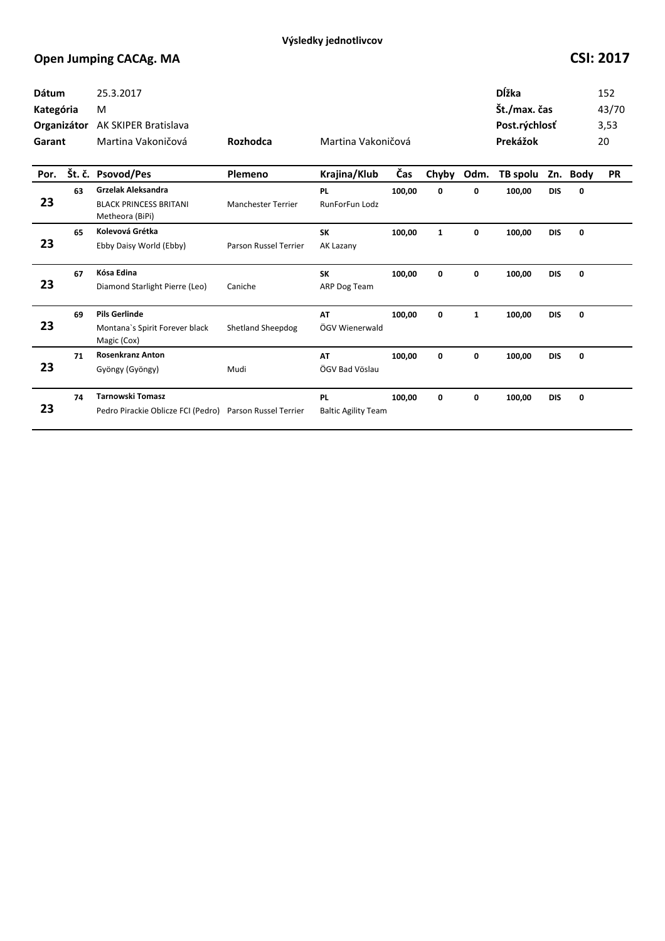| Dátum<br>Kategória<br>Organizátor<br>Garant |    | 25.3.2017<br>M<br><b>AK SKIPER Bratislava</b><br>Martina Vakoničová           | Rozhodca                  | Martina Vakoničová                      |        |              |              | <b>D</b> ĺžka<br>Št./max. čas<br>Post.rýchlosť<br>Prekážok |            | 152<br>43/70<br>3,53<br>20 |           |
|---------------------------------------------|----|-------------------------------------------------------------------------------|---------------------------|-----------------------------------------|--------|--------------|--------------|------------------------------------------------------------|------------|----------------------------|-----------|
| Por.                                        |    | Št. č. Psovod/Pes                                                             | Plemeno                   | Krajina/Klub                            | Čas    | Chyby        | Odm.         | TB spolu                                                   |            | Zn. Body                   | <b>PR</b> |
| 23                                          | 63 | <b>Grzelak Aleksandra</b><br><b>BLACK PRINCESS BRITANI</b><br>Metheora (BiPi) | <b>Manchester Terrier</b> | <b>PL</b><br>RunForFun Lodz             | 100,00 | 0            | 0            | 100,00                                                     | <b>DIS</b> | 0                          |           |
| 23                                          | 65 | Kolevová Grétka<br>Ebby Daisy World (Ebby)                                    | Parson Russel Terrier     | <b>SK</b><br>AK Lazany                  | 100,00 | $\mathbf{1}$ | 0            | 100,00                                                     | <b>DIS</b> | 0                          |           |
| 23                                          | 67 | Kósa Edina<br>Diamond Starlight Pierre (Leo)                                  | Caniche                   | <b>SK</b><br>ARP Dog Team               | 100,00 | 0            | 0            | 100,00                                                     | <b>DIS</b> | 0                          |           |
| 23                                          | 69 | <b>Pils Gerlinde</b><br>Montana's Spirit Forever black<br>Magic (Cox)         | <b>Shetland Sheepdog</b>  | AT<br>ÖGV Wienerwald                    | 100.00 | 0            | $\mathbf{1}$ | 100,00                                                     | <b>DIS</b> | 0                          |           |
| 23                                          | 71 | <b>Rosenkranz Anton</b><br>Gyöngy (Gyöngy)                                    | Mudi                      | AT<br>ÖGV Bad Vöslau                    | 100,00 | 0            | 0            | 100,00                                                     | <b>DIS</b> | 0                          |           |
| 23                                          | 74 | <b>Tarnowski Tomasz</b><br>Pedro Pirackie Oblicze FCI (Pedro)                 | Parson Russel Terrier     | <b>PL</b><br><b>Baltic Agility Team</b> | 100,00 | 0            | 0            | 100,00                                                     | <b>DIS</b> | 0                          |           |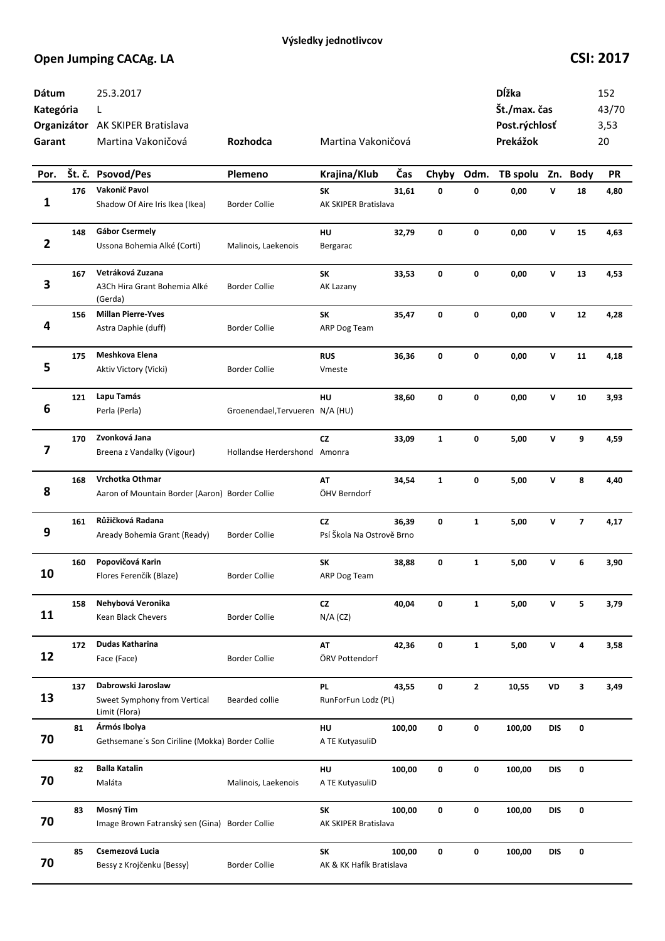| Dátum<br>Kategória<br>Garant |     | 25.3.2017<br>L<br>Organizátor AK SKIPER Bratislava<br>Martina Vakoničová | <b>Rozhodca</b>                 | Martina Vakoničová               |        |              |              | Dĺžka<br>Št./max. čas<br>Post.rýchlosť<br>Prekážok |              |                         | 152<br>43/70<br>3,53<br>20 |
|------------------------------|-----|--------------------------------------------------------------------------|---------------------------------|----------------------------------|--------|--------------|--------------|----------------------------------------------------|--------------|-------------------------|----------------------------|
| Por.                         |     | Št. č. Psovod/Pes                                                        | Plemeno                         | Krajina/Klub                     | Čas    | Chyby        | Odm.         | TB spolu                                           |              | Zn. Body                | <b>PR</b>                  |
| 1                            | 176 | Vakonič Pavol<br>Shadow Of Aire Iris Ikea (Ikea)                         | <b>Border Collie</b>            | SK<br>AK SKIPER Bratislava       | 31,61  | 0            | 0            | 0,00                                               | v            | 18                      | 4,80                       |
| $\overline{2}$               | 148 | <b>Gábor Csermely</b><br>Ussona Bohemia Alké (Corti)                     | Malinois, Laekenois             | HU<br>Bergarac                   | 32,79  | 0            | 0            | 0,00                                               | V            | 15                      | 4,63                       |
| 3                            | 167 | Vetráková Zuzana<br>A3Ch Hira Grant Bohemia Alké<br>(Gerda)              | <b>Border Collie</b>            | SK<br>AK Lazany                  | 33,53  | 0            | 0            | 0,00                                               | $\mathsf{v}$ | 13                      | 4,53                       |
| 4                            | 156 | <b>Millan Pierre-Yves</b><br>Astra Daphie (duff)                         | <b>Border Collie</b>            | SK<br>ARP Dog Team               | 35,47  | 0            | 0            | 0,00                                               | V            | 12                      | 4,28                       |
| 5                            | 175 | Meshkova Elena<br>Aktiv Victory (Vicki)                                  | <b>Border Collie</b>            | <b>RUS</b><br>Vmeste             | 36,36  | 0            | 0            | 0,00                                               | V            | 11                      | 4,18                       |
| 6                            | 121 | Lapu Tamás<br>Perla (Perla)                                              | Groenendael, Tervueren N/A (HU) | <b>HU</b>                        | 38,60  | 0            | 0            | 0,00                                               | V            | 10                      | 3,93                       |
| 7                            | 170 | Zvonková Jana<br>Breena z Vandalky (Vigour)                              | Hollandse Herdershond Amonra    | <b>CZ</b>                        | 33,09  | $\mathbf{1}$ | 0            | 5,00                                               | V            | 9                       | 4,59                       |
| 8                            | 168 | Vrchotka Othmar<br>Aaron of Mountain Border (Aaron) Border Collie        |                                 | AT<br>ÖHV Berndorf               | 34,54  | $\mathbf{1}$ | 0            | 5,00                                               | V            | 8                       | 4,40                       |
| 9                            | 161 | Růžičková Radana<br>Aready Bohemia Grant (Ready)                         | <b>Border Collie</b>            | CZ<br>Psí Škola Na Ostrově Brno  | 36,39  | 0            | $\mathbf{1}$ | 5,00                                               | V            | $\overline{\mathbf{z}}$ | 4,17                       |
| 10                           | 160 | Popovičová Karin<br>Flores Ferenčík (Blaze)                              | <b>Border Collie</b>            | SK<br>ARP Dog Team               | 38,88  | 0            | $\mathbf{1}$ | 5,00                                               | V            | 6                       | 3,90                       |
| 11                           | 158 | Nehybová Veronika<br>Kean Black Chevers                                  | <b>Border Collie</b>            | <b>CZ</b><br>$N/A$ (CZ)          | 40,04  | 0            | $\mathbf{1}$ | 5,00                                               | V            | 5                       | 3,79                       |
| 12                           | 172 | Dudas Katharina<br>Face (Face)                                           | <b>Border Collie</b>            | AT<br>ÖRV Pottendorf             | 42,36  | 0            | $\mathbf{1}$ | 5,00                                               | V            | 4                       | 3,58                       |
| 13                           | 137 | Dabrowski Jaroslaw<br>Sweet Symphony from Vertical<br>Limit (Flora)      | <b>Bearded collie</b>           | <b>PL</b><br>RunForFun Lodz (PL) | 43,55  | 0            | $\mathbf{2}$ | 10,55                                              | VD           | 3                       | 3,49                       |
| 70                           | 81  | Ármós Ibolya<br>Gethsemane's Son Ciriline (Mokka) Border Collie          |                                 | HU<br>A TE KutyasuliD            | 100,00 | 0            | 0            | 100,00                                             | <b>DIS</b>   | 0                       |                            |
| 70                           | 82  | <b>Balla Katalin</b><br>Maláta                                           | Malinois, Laekenois             | HU<br>A TE KutyasuliD            | 100,00 | 0            | 0            | 100,00                                             | <b>DIS</b>   | 0                       |                            |
| 70                           | 83  | Mosný Tim<br>Image Brown Fatranský sen (Gina) Border Collie              |                                 | SK<br>AK SKIPER Bratislava       | 100,00 | 0            | 0            | 100,00                                             | <b>DIS</b>   | 0                       |                            |
| 70                           | 85  | Csemezová Lucia<br>Bessy z Krojčenku (Bessy)                             | <b>Border Collie</b>            | SK<br>AK & KK Hafík Bratislava   | 100,00 | 0            | 0            | 100,00                                             | DIS          | 0                       |                            |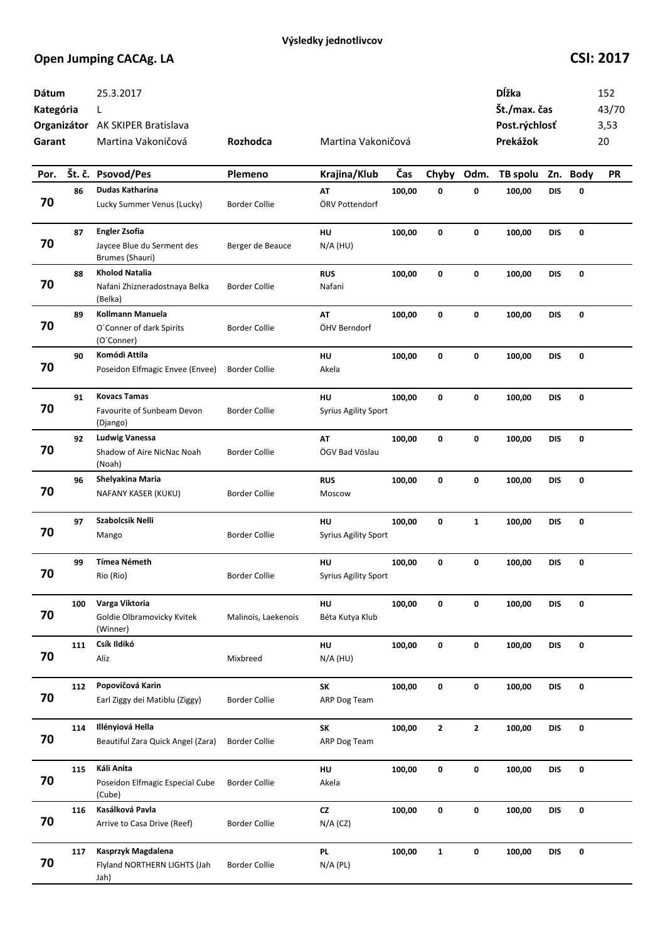| Dátum<br>Kategória<br>Garant |     | 25.3.2017<br>L<br>Organizátor AK SKIPER Bratislava<br>Martina Vakoničová | Rozhodca             | Martina Vakoničová                |        |              |                | <b>D</b> ĺžka<br>Št./max. čas<br>Post.rýchlosť<br>Prekážok |            |          | 152<br>43/70<br>3,53<br>20 |
|------------------------------|-----|--------------------------------------------------------------------------|----------------------|-----------------------------------|--------|--------------|----------------|------------------------------------------------------------|------------|----------|----------------------------|
| Por.                         |     | Št. č. Psovod/Pes                                                        | Plemeno              | Krajina/Klub                      | Čas    | Chyby        | Odm.           | TB spolu                                                   |            | Zn. Body | <b>PR</b>                  |
| 70                           | 86  | Dudas Katharina<br>Lucky Summer Venus (Lucky)                            | <b>Border Collie</b> | AT<br>ÖRV Pottendorf              | 100,00 | 0            | $\pmb{0}$      | 100,00                                                     | <b>DIS</b> | 0        |                            |
| 70                           | 87  | <b>Engler Zsofia</b><br>Jaycee Blue du Serment des<br>Brumes (Shauri)    | Berger de Beauce     | HU<br>$N/A$ (HU)                  | 100,00 | $\mathbf 0$  | $\pmb{0}$      | 100,00                                                     | <b>DIS</b> | 0        |                            |
| 70                           | 88  | <b>Kholod Natalia</b><br>Nafani Zhizneradostnaya Belka<br>(Belka)        | <b>Border Collie</b> | <b>RUS</b><br>Nafani              | 100,00 | 0            | $\mathbf 0$    | 100,00                                                     | <b>DIS</b> | 0        |                            |
| 70                           | 89  | Kollmann Manuela<br>O'Conner of dark Spirits<br>(O'Conner)               | <b>Border Collie</b> | AT<br>ÖHV Berndorf                | 100,00 | 0            | 0              | 100,00                                                     | <b>DIS</b> | 0        |                            |
| 70                           | 90  | Komódi Attila<br>Poseidon Elfmagic Envee (Envee)                         | <b>Border Collie</b> | HU<br>Akela                       | 100,00 | 0            | 0              | 100,00                                                     | <b>DIS</b> | 0        |                            |
| 70                           | 91  | <b>Kovacs Tamas</b><br>Favourite of Sunbeam Devon<br>(Django)            | <b>Border Collie</b> | HU<br><b>Syrius Agility Sport</b> | 100,00 | 0            | 0              | 100,00                                                     | <b>DIS</b> | 0        |                            |
| 70                           | 92  | <b>Ludwig Vanessa</b><br>Shadow of Aire NicNac Noah<br>(Noah)            | <b>Border Collie</b> | AT<br>ÖGV Bad Vöslau              | 100,00 | 0            | 0              | 100,00                                                     | <b>DIS</b> | 0        |                            |
| 70                           | 96  | Shelyakina Maria<br>NAFANY KASER (KUKU)                                  | <b>Border Collie</b> | <b>RUS</b><br>Moscow              | 100,00 | 0            | 0              | 100,00                                                     | <b>DIS</b> | 0        |                            |
| 70                           | 97  | Szabolcsik Nelli<br>Mango                                                | <b>Border Collie</b> | HU<br><b>Syrius Agility Sport</b> | 100,00 | 0            | $\mathbf{1}$   | 100,00                                                     | <b>DIS</b> | 0        |                            |
| 70                           | 99  | <b>Tímea Németh</b><br>Rio (Rio)                                         | <b>Border Collie</b> | HU<br><b>Syrius Agility Sport</b> | 100,00 | 0            | 0              | 100,00                                                     | <b>DIS</b> | 0        |                            |
| 70                           | 100 | Varga Viktoria<br>Goldie Olbramovicky Kvitek<br>(Winner)                 | Malinois, Laekenois  | HU<br>Béta Kutya Klub             | 100,00 | 0            | 0              | 100,00                                                     | <b>DIS</b> | 0        |                            |
| 70                           | 111 | Csík Ildikó<br>Alíz                                                      | Mixbreed             | HU<br>$N/A$ (HU)                  | 100,00 | 0            | 0              | 100,00                                                     | <b>DIS</b> | 0        |                            |
| 70                           | 112 | Popovičová Karin<br>Earl Ziggy dei Matiblu (Ziggy)                       | <b>Border Collie</b> | SK<br>ARP Dog Team                | 100,00 | 0            | 0              | 100,00                                                     | <b>DIS</b> | 0        |                            |
| 70                           | 114 | Illényiová Hella<br>Beautiful Zara Quick Angel (Zara)                    | <b>Border Collie</b> | SK<br>ARP Dog Team                | 100,00 | $\mathbf{2}$ | $\overline{2}$ | 100,00                                                     | <b>DIS</b> | 0        |                            |
| 70                           | 115 | Káli Anita<br>Poseidon Elfmagic Especial Cube<br>(Cube)                  | <b>Border Collie</b> | HU<br>Akela                       | 100,00 | 0            | $\mathbf 0$    | 100,00                                                     | <b>DIS</b> | 0        |                            |
| 70                           | 116 | Kasálková Pavla<br>Arrive to Casa Drive (Reef)                           | <b>Border Collie</b> | ${\sf cz}$<br>$N/A$ (CZ)          | 100,00 | $\mathbf 0$  | $\mathbf 0$    | 100,00                                                     | <b>DIS</b> | 0        |                            |
| 70                           | 117 | Kasprzyk Magdalena<br>Flyland NORTHERN LIGHTS (Jah<br>Jah)               | <b>Border Collie</b> | <b>PL</b><br>$N/A$ (PL)           | 100,00 | $\mathbf{1}$ | $\pmb{0}$      | 100,00                                                     | <b>DIS</b> | 0        |                            |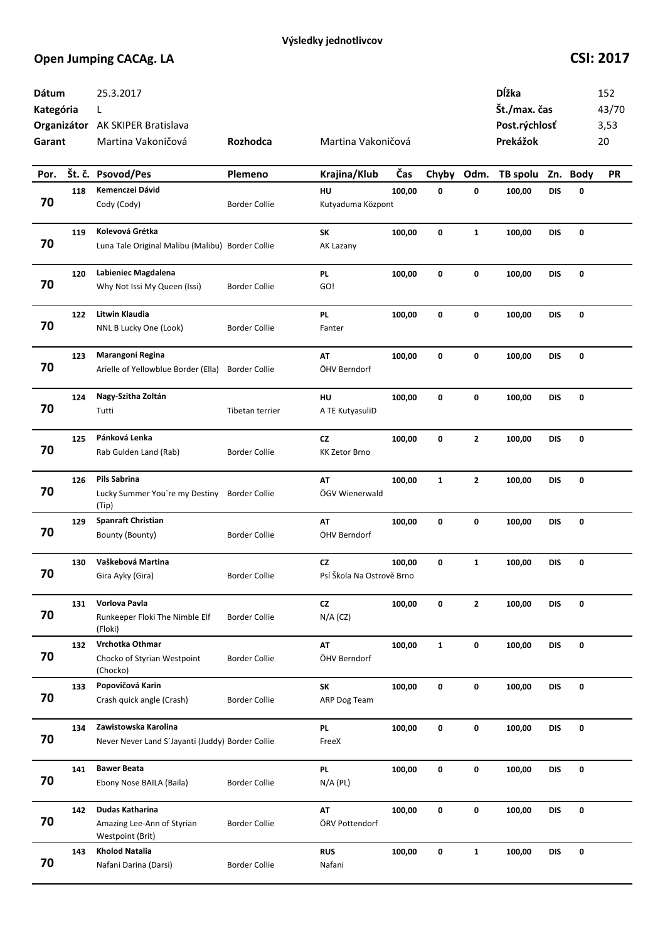| Dátum<br>Kategória<br>Garant |     | 25.3.2017<br>L<br>Organizátor AK SKIPER Bratislava<br>Martina Vakoničová | <b>Rozhodca</b>      | Martina Vakoničová              |        |              |              | Dĺžka<br>Št./max. čas<br>Post.rýchlosť<br>Prekážok |            |          | 152<br>43/70<br>3,53<br>20 |
|------------------------------|-----|--------------------------------------------------------------------------|----------------------|---------------------------------|--------|--------------|--------------|----------------------------------------------------|------------|----------|----------------------------|
| Por.                         |     | Št. č. Psovod/Pes                                                        | Plemeno              | Krajina/Klub                    | Čas    | Chyby        | Odm.         | TB spolu                                           |            | Zn. Body | <b>PR</b>                  |
| 70                           | 118 | Kemenczei Dávid<br>Cody (Cody)                                           | <b>Border Collie</b> | HU<br>Kutyaduma Központ         | 100,00 | 0            | 0            | 100,00                                             | <b>DIS</b> | 0        |                            |
| 70                           | 119 | Kolevová Grétka<br>Luna Tale Original Malibu (Malibu) Border Collie      |                      | SK<br>AK Lazany                 | 100,00 | 0            | $\mathbf{1}$ | 100,00                                             | <b>DIS</b> | 0        |                            |
| 70                           | 120 | Labieniec Magdalena<br>Why Not Issi My Queen (Issi)                      | <b>Border Collie</b> | <b>PL</b><br>GO!                | 100,00 | 0            | $\mathbf 0$  | 100,00                                             | <b>DIS</b> | 0        |                            |
| 70                           | 122 | Litwin Klaudia<br>NNL B Lucky One (Look)                                 | <b>Border Collie</b> | PL<br>Fanter                    | 100,00 | 0            | 0            | 100,00                                             | DIS        | 0        |                            |
| 70                           | 123 | Marangoni Regina<br>Arielle of Yellowblue Border (Ella)                  | <b>Border Collie</b> | AT<br>ÖHV Berndorf              | 100,00 | 0            | 0            | 100,00                                             | DIS        | 0        |                            |
| 70                           | 124 | Nagy-Szitha Zoltán<br>Tutti                                              | Tibetan terrier      | HU<br>A TE KutyasuliD           | 100,00 | 0            | 0            | 100,00                                             | <b>DIS</b> | 0        |                            |
| 70                           | 125 | Pánková Lenka<br>Rab Gulden Land (Rab)                                   | <b>Border Collie</b> | <b>CZ</b><br>KK Zetor Brno      | 100,00 | 0            | $\mathbf{2}$ | 100,00                                             | <b>DIS</b> | 0        |                            |
| 70                           | 126 | Pils Sabrina<br>Lucky Summer You're my Destiny<br>(Tip)                  | <b>Border Collie</b> | AT<br>ÖGV Wienerwald            | 100,00 | $\mathbf{1}$ | $\mathbf{2}$ | 100,00                                             | <b>DIS</b> | 0        |                            |
| 70                           | 129 | <b>Spanraft Christian</b><br>Bounty (Bounty)                             | <b>Border Collie</b> | AT<br>ÖHV Berndorf              | 100,00 | 0            | $\mathbf 0$  | 100,00                                             | <b>DIS</b> | 0        |                            |
| 70                           | 130 | Vaškebová Martina<br>Gira Ayky (Gira)                                    | <b>Border Collie</b> | CZ<br>Psí Škola Na Ostrově Brno | 100,00 | 0            | $\mathbf{1}$ | 100,00                                             | DIS        | 0        |                            |
| 70                           | 131 | Vorlova Pavla<br>Runkeeper Floki The Nimble Elf<br>(Floki)               | <b>Border Collie</b> | CZ<br>$N/A$ (CZ)                | 100,00 | 0            | $\mathbf{2}$ | 100,00                                             | <b>DIS</b> | 0        |                            |
| 70                           | 132 | Vrchotka Othmar<br>Chocko of Styrian Westpoint<br>(Chocko)               | <b>Border Collie</b> | AT<br>ÖHV Berndorf              | 100,00 | $\mathbf{1}$ | 0            | 100,00                                             | <b>DIS</b> | 0        |                            |
| 70                           | 133 | Popovičová Karin<br>Crash quick angle (Crash)                            | <b>Border Collie</b> | SK<br>ARP Dog Team              | 100,00 | 0            | 0            | 100,00                                             | <b>DIS</b> | 0        |                            |
| 70                           | 134 | Zawistowska Karolina<br>Never Never Land S'Jayanti (Juddy) Border Collie |                      | <b>PL</b><br>FreeX              | 100,00 | 0            | $\mathbf 0$  | 100,00                                             | <b>DIS</b> | 0        |                            |
| 70                           | 141 | <b>Bawer Beata</b><br>Ebony Nose BAILA (Baila)                           | <b>Border Collie</b> | <b>PL</b><br>$N/A$ (PL)         | 100,00 | 0            | 0            | 100,00                                             | <b>DIS</b> | 0        |                            |
| 70                           | 142 | Dudas Katharina<br>Amazing Lee-Ann of Styrian<br>Westpoint (Brit)        | <b>Border Collie</b> | AT<br>ÖRV Pottendorf            | 100,00 | 0            | 0            | 100,00                                             | DIS        | 0        |                            |
| 70                           | 143 | <b>Kholod Natalia</b><br>Nafani Darina (Darsi)                           | <b>Border Collie</b> | <b>RUS</b><br>Nafani            | 100,00 | 0            | $\mathbf{1}$ | 100,00                                             | DIS        | 0        |                            |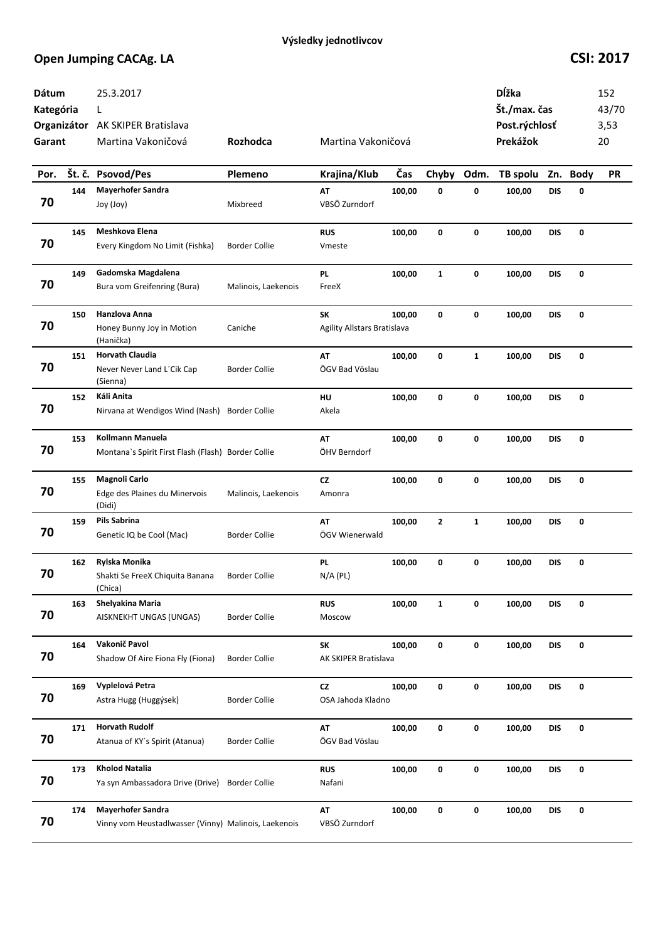| Dátum<br>Kategória<br>Garant |     | 25.3.2017<br>L<br>Organizátor AK SKIPER Bratislava<br>Martina Vakoničová         | Rozhodca             | Martina Vakoničová                       |        |              |              | Dĺžka<br>Št./max. čas<br>Post.rýchlosť<br>Prekážok |            |          | 152<br>43/70<br>3,53<br>20 |
|------------------------------|-----|----------------------------------------------------------------------------------|----------------------|------------------------------------------|--------|--------------|--------------|----------------------------------------------------|------------|----------|----------------------------|
| Por.                         |     | Št. č. Psovod/Pes                                                                | Plemeno              | Krajina/Klub                             | Čas    | Chyby        | Odm.         | TB spolu                                           |            | Zn. Body | <b>PR</b>                  |
| 70                           | 144 | <b>Mayerhofer Sandra</b><br>Joy (Joy)                                            | Mixbreed             | AT<br>VBSÖ Zurndorf                      | 100,00 | 0            | $\pmb{0}$    | 100,00                                             | <b>DIS</b> | 0        |                            |
| 70                           | 145 | Meshkova Elena<br>Every Kingdom No Limit (Fishka)                                | <b>Border Collie</b> | <b>RUS</b><br>Vmeste                     | 100,00 | 0            | 0            | 100,00                                             | <b>DIS</b> | 0        |                            |
| 70                           | 149 | Gadomska Magdalena<br>Bura vom Greifenring (Bura)                                | Malinois, Laekenois  | <b>PL</b><br>FreeX                       | 100,00 | $\mathbf{1}$ | $\pmb{0}$    | 100,00                                             | <b>DIS</b> | 0        |                            |
| 70                           | 150 | <b>Hanzlova Anna</b><br>Honey Bunny Joy in Motion<br>(Hanička)                   | Caniche              | SK<br><b>Agility Allstars Bratislava</b> | 100,00 | 0            | $\mathbf 0$  | 100,00                                             | <b>DIS</b> | 0        |                            |
| 70                           | 151 | <b>Horvath Claudia</b><br>Never Never Land L'Cik Cap<br>(Sienna)                 | <b>Border Collie</b> | AT<br>ÖGV Bad Vöslau                     | 100,00 | 0            | $\mathbf{1}$ | 100,00                                             | DIS        | 0        |                            |
| 70                           | 152 | Káli Anita<br>Nirvana at Wendigos Wind (Nash) Border Collie                      |                      | HU<br>Akela                              | 100,00 | 0            | 0            | 100,00                                             | <b>DIS</b> | 0        |                            |
| 70                           | 153 | Kollmann Manuela<br>Montana's Spirit First Flash (Flash) Border Collie           |                      | AT<br>ÖHV Berndorf                       | 100,00 | 0            | 0            | 100,00                                             | <b>DIS</b> | 0        |                            |
| 70                           | 155 | Magnoli Carlo<br>Edge des Plaines du Minervois<br>(Didi)                         | Malinois, Laekenois  | <b>CZ</b><br>Amonra                      | 100,00 | 0            | 0            | 100,00                                             | <b>DIS</b> | 0        |                            |
| 70                           | 159 | Pils Sabrina<br>Genetic IQ be Cool (Mac)                                         | <b>Border Collie</b> | AT<br>ÖGV Wienerwald                     | 100,00 | $\mathbf{2}$ | $\mathbf{1}$ | 100,00                                             | <b>DIS</b> | 0        |                            |
| 70                           | 162 | Rylska Monika<br>Shakti Se FreeX Chiquita Banana<br>(Chica)                      | <b>Border Collie</b> | <b>PL</b><br>$N/A$ (PL)                  | 100,00 | 0            | 0            | 100,00                                             | DIS        | 0        |                            |
| 70                           | 163 | Shelyakina Maria<br>AISKNEKHT UNGAS (UNGAS)                                      | <b>Border Collie</b> | <b>RUS</b><br>Moscow                     | 100,00 | $\mathbf{1}$ | 0            | 100,00                                             | <b>DIS</b> | 0        |                            |
| 70                           | 164 | Vakonič Pavol<br>Shadow Of Aire Fiona Fly (Fiona)                                | <b>Border Collie</b> | SK<br>AK SKIPER Bratislava               | 100,00 | $\mathbf 0$  | 0            | 100,00                                             | <b>DIS</b> | 0        |                            |
| 70                           | 169 | Vyplelová Petra<br>Astra Hugg (Huggýsek)                                         | <b>Border Collie</b> | CZ<br>OSA Jahoda Kladno                  | 100,00 | $\mathbf 0$  | 0            | 100,00                                             | <b>DIS</b> | 0        |                            |
| 70                           | 171 | <b>Horvath Rudolf</b><br>Atanua of KY's Spirit (Atanua)                          | <b>Border Collie</b> | AT<br>ÖGV Bad Vöslau                     | 100,00 | 0            | $\pmb{0}$    | 100,00                                             | <b>DIS</b> | 0        |                            |
| 70                           | 173 | <b>Kholod Natalia</b><br>Ya syn Ambassadora Drive (Drive)                        | <b>Border Collie</b> | <b>RUS</b><br>Nafani                     | 100,00 | 0            | $\pmb{0}$    | 100,00                                             | <b>DIS</b> | 0        |                            |
| 70                           | 174 | <b>Mayerhofer Sandra</b><br>Vinny vom Heustadlwasser (Vinny) Malinois, Laekenois |                      | AT<br>VBSÖ Zurndorf                      | 100,00 | 0            | 0            | 100,00                                             | <b>DIS</b> | 0        |                            |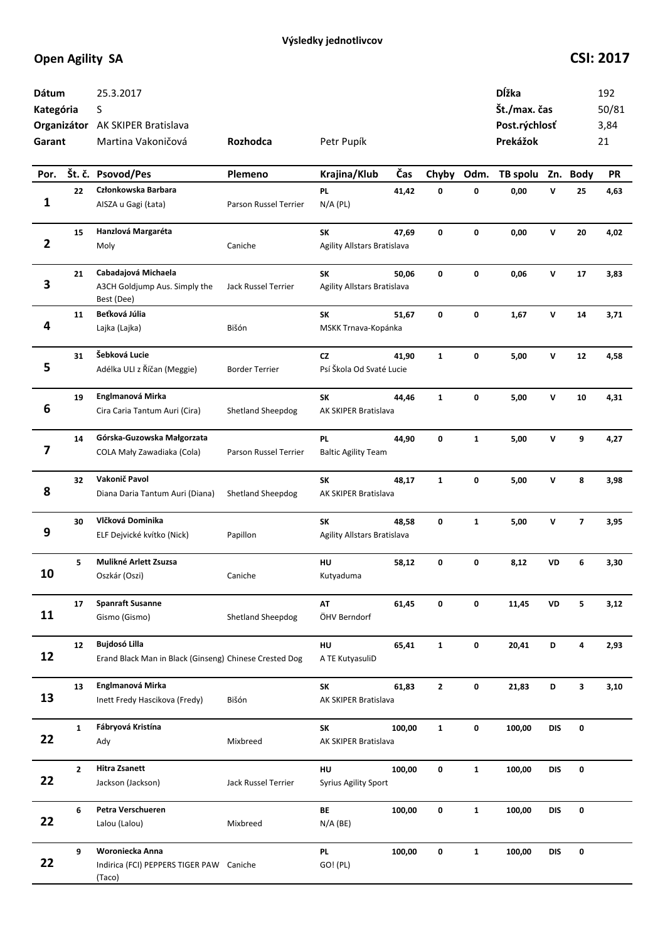| Dátum<br>Kategória<br>Garant |                | 25.3.2017<br>S<br>Organizátor AK SKIPER Bratislava<br>Martina Vakoničová       | Rozhodca              | Petr Pupík                               |        |              |              | Dĺžka<br>Št./max. čas<br>Post.rýchlosť<br>Prekážok |              |                         | 192<br>50/81<br>3,84<br>21 |
|------------------------------|----------------|--------------------------------------------------------------------------------|-----------------------|------------------------------------------|--------|--------------|--------------|----------------------------------------------------|--------------|-------------------------|----------------------------|
| Por.                         |                | Št. č. Psovod/Pes                                                              | Plemeno               | Krajina/Klub                             | Čas    | Chyby Odm.   |              | TB spolu                                           |              | Zn. Body                | <b>PR</b>                  |
| 1                            | 22             | Członkowska Barbara<br>AISZA u Gagi (Łata)                                     | Parson Russel Terrier | <b>PL</b><br>$N/A$ (PL)                  | 41,42  | 0            | 0            | 0,00                                               | v            | 25                      | 4,63                       |
| $\overline{\mathbf{2}}$      | 15             | Hanzlová Margaréta<br>Moly                                                     | Caniche               | <b>SK</b><br>Agility Allstars Bratislava | 47,69  | 0            | 0            | 0,00                                               | $\mathsf{v}$ | 20                      | 4,02                       |
| 3                            | 21             | Cabadajová Michaela<br>A3CH Goldjump Aus. Simply the<br>Best (Dee)             | Jack Russel Terrier   | SK<br>Agility Allstars Bratislava        | 50,06  | $\mathbf 0$  | 0            | 0,06                                               | $\mathsf{v}$ | 17                      | 3,83                       |
| 4                            | 11             | Beťková Júlia<br>Lajka (Lajka)                                                 | Bišón                 | SK<br>MSKK Trnava-Kopánka                | 51,67  | 0            | 0            | 1,67                                               | $\mathsf{v}$ | 14                      | 3,71                       |
| 5                            | 31             | Šebková Lucie<br>Adélka ULI z Říčan (Meggie)                                   | <b>Border Terrier</b> | <b>CZ</b><br>Psí Škola Od Svaté Lucie    | 41,90  | $\mathbf{1}$ | 0            | 5,00                                               | v            | 12                      | 4,58                       |
| 6                            | 19             | Englmanová Mirka<br>Cira Caria Tantum Auri (Cira)                              | Shetland Sheepdog     | <b>SK</b><br>AK SKIPER Bratislava        | 44,46  | $\mathbf{1}$ | 0            | 5,00                                               | v            | 10                      | 4,31                       |
| 7                            | 14             | Górska-Guzowska Małgorzata<br>COLA Mały Zawadiaka (Cola)                       | Parson Russel Terrier | <b>PL</b><br><b>Baltic Agility Team</b>  | 44,90  | 0            | $\mathbf{1}$ | 5,00                                               | v            | 9                       | 4,27                       |
| 8                            | 32             | Vakonič Pavol<br>Diana Daria Tantum Auri (Diana)                               | Shetland Sheepdog     | SK<br>AK SKIPER Bratislava               | 48,17  | $\mathbf{1}$ | 0            | 5,00                                               | v            | 8                       | 3,98                       |
| 9                            | 30             | Vlčková Dominika<br>ELF Dejvické kvítko (Nick)                                 | Papillon              | SK<br>Agility Allstars Bratislava        | 48,58  | 0            | $\mathbf{1}$ | 5,00                                               | V            | $\overline{\mathbf{z}}$ | 3,95                       |
| 10                           | 5              | Mulikné Arlett Zsuzsa<br>Oszkár (Oszi)                                         | Caniche               | HU<br>Kutyaduma                          | 58,12  | 0            | 0            | 8,12                                               | VD           | 6                       | 3,30                       |
| 11                           | 17             | <b>Spanraft Susanne</b><br>Gismo (Gismo)                                       | Shetland Sheepdog     | AT<br>ÖHV Berndorf                       | 61,45  | 0            | 0            | 11,45                                              | VD           | 5                       | 3,12                       |
| 12                           | 12             | <b>Bujdosó Lilla</b><br>Erand Black Man in Black (Ginseng) Chinese Crested Dog |                       | HU<br>A TE KutyasuliD                    | 65,41  | $\mathbf{1}$ | 0            | 20,41                                              | D            | 4                       | 2,93                       |
| 13                           | 13             | Englmanová Mirka<br>Inett Fredy Hascikova (Fredy)                              | Bišón                 | SK<br>AK SKIPER Bratislava               | 61,83  | $\mathbf{2}$ | 0            | 21,83                                              | D            | 3                       | 3,10                       |
| 22                           | $\mathbf{1}$   | Fábryová Kristína<br>Ady                                                       | Mixbreed              | <b>SK</b><br>AK SKIPER Bratislava        | 100,00 | $\mathbf{1}$ | 0            | 100,00                                             | <b>DIS</b>   | $\pmb{0}$               |                            |
| 22                           | $\overline{2}$ | <b>Hitra Zsanett</b><br>Jackson (Jackson)                                      | Jack Russel Terrier   | HU<br><b>Syrius Agility Sport</b>        | 100,00 | 0            | $\mathbf{1}$ | 100,00                                             | <b>DIS</b>   | 0                       |                            |
| 22                           | 6              | Petra Verschueren<br>Lalou (Lalou)                                             | Mixbreed              | BE<br>$N/A$ (BE)                         | 100,00 | 0            | $\mathbf{1}$ | 100,00                                             | <b>DIS</b>   | 0                       |                            |
| 22                           | 9              | Woroniecka Anna<br>Indirica (FCI) PEPPERS TIGER PAW Caniche<br>(Taco)          |                       | <b>PL</b><br>GO! (PL)                    | 100,00 | 0            | $\mathbf{1}$ | 100,00                                             | <b>DIS</b>   | 0                       |                            |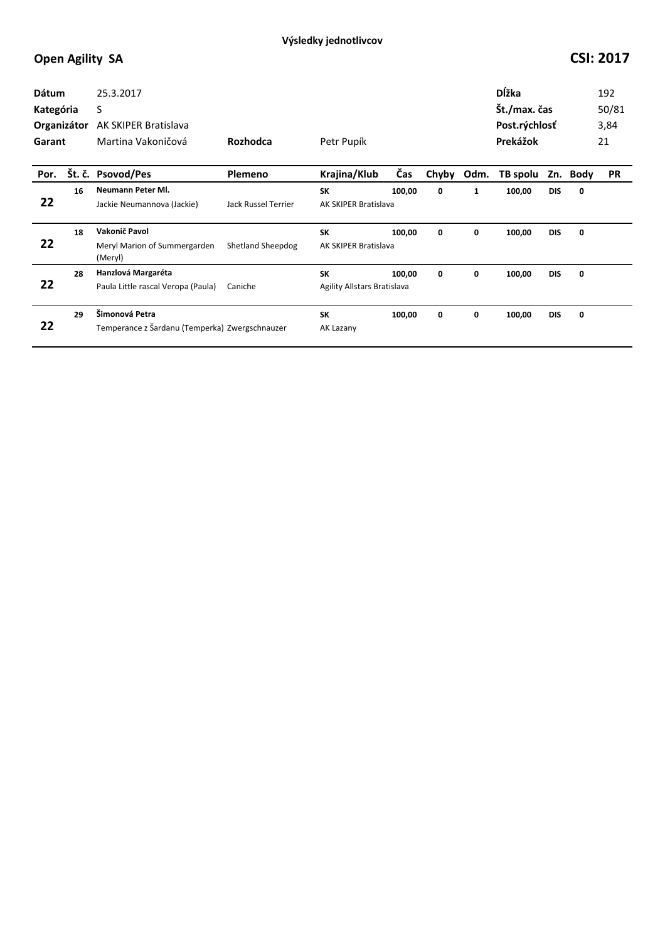| <b>Dátum</b><br>Kategória<br>Organizátor<br>Garant |    | 25.3.2017<br>S<br>AK SKIPER Bratislava<br>Martina Vakoničová     | Rozhodca                   | Petr Pupík                               |        |       |              | <b>D</b> ĺžka<br>Št./max. čas<br>Post.rýchlosť<br>Prekážok |            |      | 192<br>50/81<br>3,84<br>21 |
|----------------------------------------------------|----|------------------------------------------------------------------|----------------------------|------------------------------------------|--------|-------|--------------|------------------------------------------------------------|------------|------|----------------------------|
| Por.                                               |    | Št. č. Psovod/Pes                                                | <b>Plemeno</b>             | Krajina/Klub                             | Čas    | Chyby | Odm.         | TB spolu                                                   | Zn.        | Body | <b>PR</b>                  |
| 22                                                 | 16 | Neumann Peter MI.<br>Jackie Neumannova (Jackie)                  | <b>Jack Russel Terrier</b> | <b>SK</b><br>AK SKIPER Bratislava        | 100,00 | 0     | $\mathbf{1}$ | 100,00                                                     | <b>DIS</b> | 0    |                            |
| 22                                                 | 18 | Vakonič Pavol<br>Meryl Marion of Summergarden<br>(Meryl)         | Shetland Sheepdog          | <b>SK</b><br>AK SKIPER Bratislava        | 100,00 | 0     | 0            | 100,00                                                     | <b>DIS</b> | 0    |                            |
| 22                                                 | 28 | Hanzlová Margaréta<br>Paula Little rascal Veropa (Paula)         | Caniche                    | <b>SK</b><br>Agility Allstars Bratislava | 100,00 | 0     | 0            | 100,00                                                     | <b>DIS</b> | 0    |                            |
| 22                                                 | 29 | Šimonová Petra<br>Temperance z Šardanu (Temperka) Zwergschnauzer |                            | <b>SK</b><br>AK Lazany                   | 100,00 | 0     | 0            | 100,00                                                     | <b>DIS</b> | 0    |                            |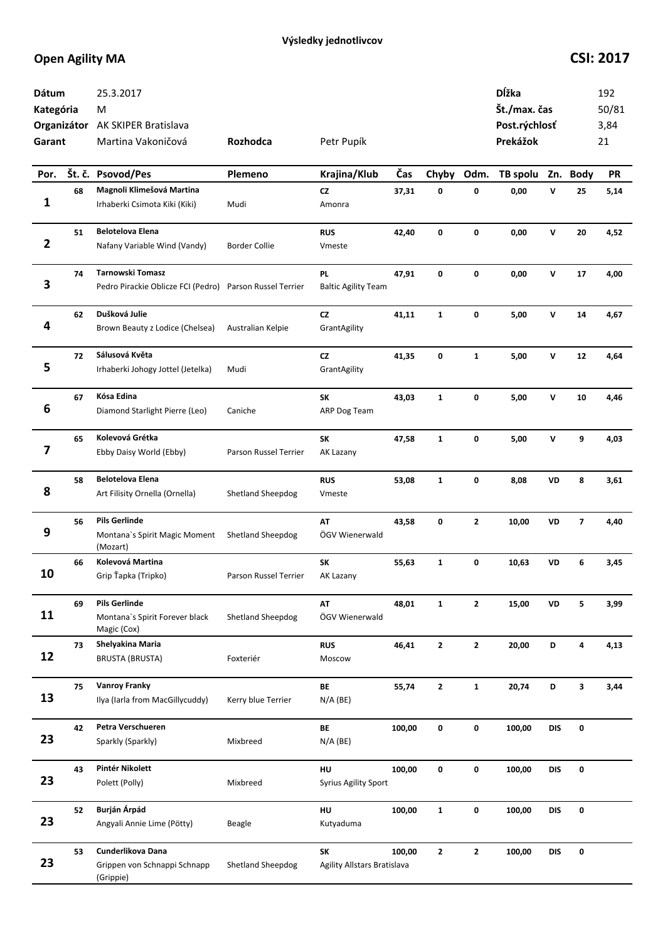| Dátum<br>Kategória<br>Garant |    | 25.3.2017<br>М<br>Organizátor AK SKIPER Bratislava<br>Martina Vakoničová     | Rozhodca                     | Petr Pupík                              |        |              |              | Dĺžka<br>Št./max. čas<br>Post.rýchlosť<br>Prekážok |              |                         | 192<br>50/81<br>3,84<br>21 |
|------------------------------|----|------------------------------------------------------------------------------|------------------------------|-----------------------------------------|--------|--------------|--------------|----------------------------------------------------|--------------|-------------------------|----------------------------|
| Por.                         |    | Št. č. Psovod/Pes                                                            | Plemeno                      | Krajina/Klub                            | Čas    | Chyby        | Odm.         | TB spolu                                           |              | Zn. Body                | <b>PR</b>                  |
| 1                            | 68 | Magnoli Klimešová Martina<br>Irhaberki Csimota Kiki (Kiki)                   | Mudi                         | <b>CZ</b><br>Amonra                     | 37,31  | 0            | 0            | 0,00                                               | V            | 25                      | 5,14                       |
| 2                            | 51 | <b>Belotelova Elena</b><br>Nafany Variable Wind (Vandy)                      | <b>Border Collie</b>         | <b>RUS</b><br>Vmeste                    | 42,40  | 0            | 0            | 0,00                                               | $\mathsf{v}$ | 20                      | 4,52                       |
| 3                            | 74 | Tarnowski Tomasz<br>Pedro Pirackie Oblicze FCI (Pedro) Parson Russel Terrier |                              | <b>PL</b><br><b>Baltic Agility Team</b> | 47,91  | 0            | 0            | 0,00                                               | $\mathsf{v}$ | 17                      | 4,00                       |
| 4                            | 62 | Dušková Julie<br>Brown Beauty z Lodice (Chelsea)                             | Australian Kelpie            | CZ<br>GrantAgility                      | 41,11  | $\mathbf{1}$ | 0            | 5,00                                               | V            | 14                      | 4,67                       |
| 5                            | 72 | Sálusová Květa<br>Irhaberki Johogy Jottel (Jetelka)                          | Mudi                         | <b>CZ</b><br>GrantAgility               | 41,35  | 0            | $\mathbf{1}$ | 5,00                                               | $\mathsf{v}$ | 12                      | 4,64                       |
| 6                            | 67 | Kósa Edina<br>Diamond Starlight Pierre (Leo)                                 | Caniche                      | SK<br>ARP Dog Team                      | 43,03  | $\mathbf{1}$ | 0            | 5,00                                               | V            | 10                      | 4,46                       |
| 7                            | 65 | Kolevová Grétka<br>Ebby Daisy World (Ebby)                                   | Parson Russel Terrier        | SK<br>AK Lazany                         | 47,58  | $\mathbf{1}$ | 0            | 5,00                                               | v            | 9                       | 4,03                       |
| 8                            | 58 | <b>Belotelova Elena</b><br>Art Filisity Ornella (Ornella)                    | Shetland Sheepdog            | <b>RUS</b><br>Vmeste                    | 53,08  | $\mathbf{1}$ | 0            | 8,08                                               | VD           | 8                       | 3,61                       |
| 9                            | 56 | <b>Pils Gerlinde</b><br>Montana's Spirit Magic Moment<br>(Mozart)            | Shetland Sheepdog            | AT<br>ÖGV Wienerwald                    | 43,58  | 0            | $\mathbf{2}$ | 10,00                                              | VD           | $\overline{\mathbf{z}}$ | 4,40                       |
| 10                           | 66 | Kolevová Martina<br>Grip Ťapka (Tripko)                                      | <b>Parson Russel Terrier</b> | SK<br>AK Lazany                         | 55,63  | $\mathbf{1}$ | 0            | 10,63                                              | VD           | 6                       | 3,45                       |
| 11                           | 69 | <b>Pils Gerlinde</b><br>Montana's Spirit Forever black<br>Magic (Cox)        | Shetland Sheepdog            | AT<br>ÖGV Wienerwald                    | 48,01  | $\mathbf{1}$ | $\mathbf{2}$ | 15,00                                              | VD           | 5                       | 3,99                       |
| 12                           | 73 | Shelyakina Maria<br><b>BRUSTA (BRUSTA)</b>                                   | Foxteriér                    | <b>RUS</b><br>Moscow                    | 46,41  | $\mathbf{2}$ | $\mathbf{2}$ | 20,00                                              | D            | 4                       | 4,13                       |
| 13                           | 75 | <b>Vanroy Franky</b><br>Ilya (Iarla from MacGillycuddy)                      | Kerry blue Terrier           | BE<br>$N/A$ (BE)                        | 55,74  | $\mathbf{2}$ | $\mathbf{1}$ | 20,74                                              | D            | 3                       | 3,44                       |
| 23                           | 42 | Petra Verschueren<br>Sparkly (Sparkly)                                       | Mixbreed                     | BE<br>$N/A$ (BE)                        | 100,00 | 0            | 0            | 100,00                                             | <b>DIS</b>   | 0                       |                            |
| 23                           | 43 | Pintér Nikolett<br>Polett (Polly)                                            | Mixbreed                     | HU<br><b>Syrius Agility Sport</b>       | 100,00 | 0            | 0            | 100,00                                             | <b>DIS</b>   | 0                       |                            |
| 23                           | 52 | Burján Árpád<br>Angyali Annie Lime (Pötty)                                   | Beagle                       | HU<br>Kutyaduma                         | 100,00 | $\mathbf{1}$ | 0            | 100,00                                             | <b>DIS</b>   | 0                       |                            |
| 23                           | 53 | Cunderlikova Dana<br>Grippen von Schnappi Schnapp<br>(Grippie)               | <b>Shetland Sheepdog</b>     | SK<br>Agility Allstars Bratislava       | 100,00 | $\mathbf{2}$ | $\mathbf{2}$ | 100,00                                             | <b>DIS</b>   | 0                       |                            |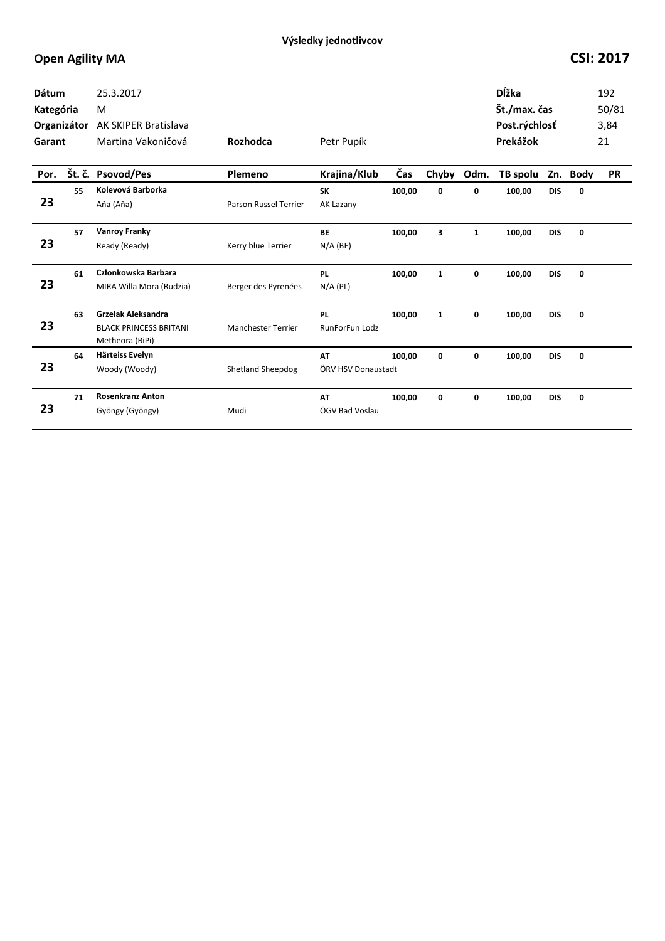| <b>Dátum</b><br>Kategória<br>Organizátor<br>Garant |        | 25.3.2017<br>M<br>AK SKIPER Bratislava<br>Martina Vakoničová                  | Rozhodca                  | Petr Pupík                  |        |              |              | Dĺžka<br>Št./max. čas<br>Post.rýchlosť<br>Prekážok |            |          | 192<br>50/81<br>3,84<br>21 |
|----------------------------------------------------|--------|-------------------------------------------------------------------------------|---------------------------|-----------------------------|--------|--------------|--------------|----------------------------------------------------|------------|----------|----------------------------|
| Por.                                               | Št. č. | <b>Psovod/Pes</b>                                                             | Plemeno                   | Krajina/Klub                | Čas    | Chyby        | Odm.         | TB spolu                                           |            | Zn. Body | <b>PR</b>                  |
| 23                                                 | 55     | Kolevová Barborka<br>Aňa (Aňa)                                                | Parson Russel Terrier     | <b>SK</b><br>AK Lazany      | 100,00 | 0            | 0            | 100,00                                             | <b>DIS</b> | 0        |                            |
| 23                                                 | 57     | <b>Vanroy Franky</b><br>Ready (Ready)                                         | Kerry blue Terrier        | <b>BE</b><br>$N/A$ (BE)     | 100,00 | 3            | $\mathbf{1}$ | 100,00                                             | <b>DIS</b> | 0        |                            |
| 23                                                 | 61     | Członkowska Barbara<br>MIRA Willa Mora (Rudzia)                               | Berger des Pyrenées       | <b>PL</b><br>$N/A$ (PL)     | 100,00 | $\mathbf{1}$ | 0            | 100,00                                             | <b>DIS</b> | 0        |                            |
| 23                                                 | 63     | <b>Grzelak Aleksandra</b><br><b>BLACK PRINCESS BRITANI</b><br>Metheora (BiPi) | <b>Manchester Terrier</b> | <b>PL</b><br>RunForFun Lodz | 100,00 | $\mathbf{1}$ | 0            | 100,00                                             | <b>DIS</b> | 0        |                            |
| 23                                                 | 64     | Härteiss Evelyn<br>Woody (Woody)                                              | <b>Shetland Sheepdog</b>  | AT<br>ÖRV HSV Donaustadt    | 100.00 | 0            | 0            | 100,00                                             | <b>DIS</b> | 0        |                            |
| 23                                                 | 71     | <b>Rosenkranz Anton</b><br>Gyöngy (Gyöngy)                                    | Mudi                      | AT<br>ÖGV Bad Vöslau        | 100,00 | 0            | 0            | 100,00                                             | <b>DIS</b> | 0        |                            |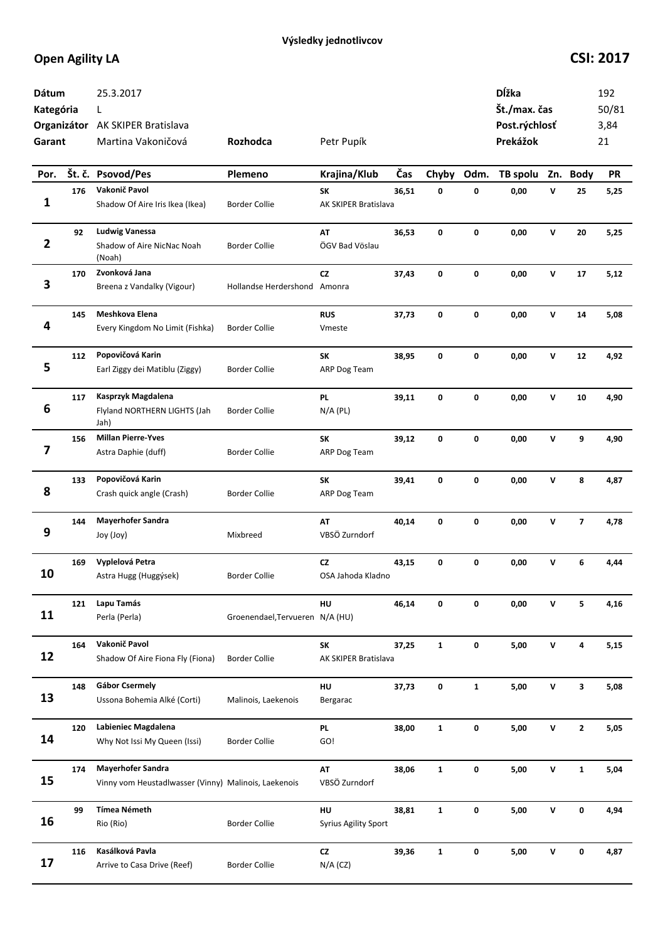| Dátum<br>Kategória<br>Garant |     | 25.3.2017<br>L<br>Organizátor AK SKIPER Bratislava<br>Martina Vakoničová         | Rozhodca                        | Petr Pupík                        |       |              |              | Dĺžka<br>Št./max. čas<br>Post.rýchlosť<br>Prekážok |   |                         | 192<br>50/81<br>3,84<br>21 |
|------------------------------|-----|----------------------------------------------------------------------------------|---------------------------------|-----------------------------------|-------|--------------|--------------|----------------------------------------------------|---|-------------------------|----------------------------|
| Por.                         |     | Št. č. Psovod/Pes                                                                | Plemeno                         | Krajina/Klub                      | Čas   | Chyby Odm.   |              | TB spolu                                           |   | Zn. Body                | <b>PR</b>                  |
| 1                            | 176 | Vakonič Pavol<br>Shadow Of Aire Iris Ikea (Ikea)                                 | <b>Border Collie</b>            | SK<br>AK SKIPER Bratislava        | 36,51 | 0            | 0            | 0,00                                               | V | 25                      | 5,25                       |
| $\overline{2}$               | 92  | <b>Ludwig Vanessa</b><br>Shadow of Aire NicNac Noah<br>(Noah)                    | <b>Border Collie</b>            | AT<br>ÖGV Bad Vöslau              | 36,53 | 0            | 0            | 0,00                                               | V | 20                      | 5,25                       |
| 3                            | 170 | Zvonková Jana<br>Breena z Vandalky (Vigour)                                      | Hollandse Herdershond Amonra    | cz                                | 37,43 | 0            | 0            | 0,00                                               | v | 17                      | 5,12                       |
| 4                            | 145 | Meshkova Elena<br>Every Kingdom No Limit (Fishka)                                | <b>Border Collie</b>            | <b>RUS</b><br>Vmeste              | 37,73 | 0            | 0            | 0,00                                               | v | 14                      | 5,08                       |
| 5                            | 112 | Popovičová Karin<br>Earl Ziggy dei Matiblu (Ziggy)                               | <b>Border Collie</b>            | SK<br>ARP Dog Team                | 38,95 | 0            | 0            | 0,00                                               | v | 12                      | 4,92                       |
| 6                            | 117 | Kasprzyk Magdalena<br>Flyland NORTHERN LIGHTS (Jah<br>Jah)                       | <b>Border Collie</b>            | PL.<br>$N/A$ (PL)                 | 39,11 | 0            | 0            | 0,00                                               | v | 10                      | 4,90                       |
| 7                            | 156 | <b>Millan Pierre-Yves</b><br>Astra Daphie (duff)                                 | <b>Border Collie</b>            | SK<br>ARP Dog Team                | 39,12 | 0            | 0            | 0,00                                               | V | 9                       | 4,90                       |
| 8                            | 133 | Popovičová Karin<br>Crash quick angle (Crash)                                    | <b>Border Collie</b>            | SK<br>ARP Dog Team                | 39,41 | 0            | 0            | 0,00                                               | v | 8                       | 4,87                       |
| 9                            | 144 | <b>Mayerhofer Sandra</b><br>Joy (Joy)                                            | Mixbreed                        | AT<br>VBSÖ Zurndorf               | 40,14 | 0            | 0            | 0,00                                               | v | $\overline{\mathbf{z}}$ | 4,78                       |
| 10                           | 169 | Vyplelová Petra<br>Astra Hugg (Huggýsek)                                         | <b>Border Collie</b>            | <b>CZ</b><br>OSA Jahoda Kladno    | 43,15 | 0            | 0            | 0,00                                               | v | 6                       | 4,44                       |
| 11                           | 121 | Lapu Tamás<br>Perla (Perla)                                                      | Groenendael, Tervueren N/A (HU) | HU                                | 46,14 | 0            | 0            | 0,00                                               | v | 5                       | 4,16                       |
| 12                           | 164 | Vakonič Pavol<br>Shadow Of Aire Fiona Fly (Fiona)                                | <b>Border Collie</b>            | SK<br>AK SKIPER Bratislava        | 37,25 | $\mathbf{1}$ | 0            | 5,00                                               | V | 4                       | 5,15                       |
| 13                           | 148 | Gábor Csermely<br>Ussona Bohemia Alké (Corti)                                    | Malinois, Laekenois             | HU<br>Bergarac                    | 37,73 | 0            | $\mathbf{1}$ | 5,00                                               | V | 3                       | 5,08                       |
| 14                           | 120 | Labieniec Magdalena<br>Why Not Issi My Queen (Issi)                              | <b>Border Collie</b>            | <b>PL</b><br>GO!                  | 38,00 | $\mathbf{1}$ | 0            | 5,00                                               | v | $\mathbf{2}$            | 5,05                       |
| 15                           | 174 | <b>Mayerhofer Sandra</b><br>Vinny vom Heustadlwasser (Vinny) Malinois, Laekenois |                                 | AT<br>VBSÖ Zurndorf               | 38,06 | $\mathbf{1}$ | 0            | 5,00                                               | v | $\mathbf{1}$            | 5,04                       |
| 16                           | 99  | <b>Tímea Németh</b><br>Rio (Rio)                                                 | <b>Border Collie</b>            | HU<br><b>Syrius Agility Sport</b> | 38,81 | $\mathbf{1}$ | 0            | 5,00                                               | V | 0                       | 4,94                       |
| 17                           | 116 | Kasálková Pavla<br>Arrive to Casa Drive (Reef)                                   | <b>Border Collie</b>            | <b>CZ</b><br>$N/A$ (CZ)           | 39,36 | $\mathbf{1}$ | 0            | 5,00                                               | v | 0                       | 4,87                       |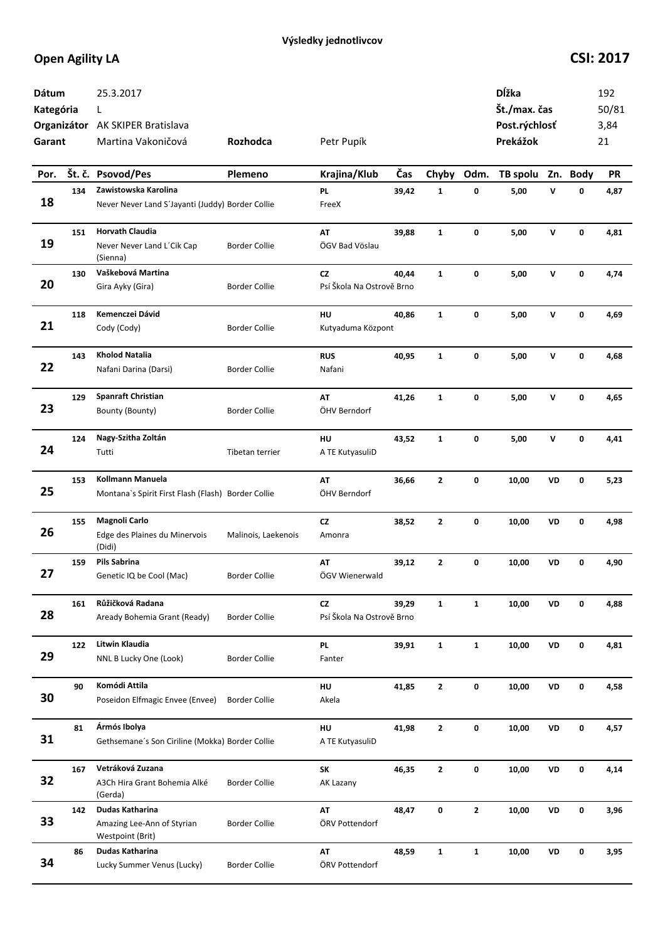| Dátum<br>Kategória<br>Garant |     | 25.3.2017<br>L<br>Organizátor AK SKIPER Bratislava<br>Martina Vakoničová | <b>Rozhodca</b>      | Petr Pupík                             |       |              |              | Dĺžka<br>Št./max. čas<br>Post.rýchlosť<br>Prekážok |              |             | 192<br>50/81<br>3,84<br>21 |
|------------------------------|-----|--------------------------------------------------------------------------|----------------------|----------------------------------------|-------|--------------|--------------|----------------------------------------------------|--------------|-------------|----------------------------|
| Por.                         |     | Št. č. Psovod/Pes                                                        | Plemeno              | Krajina/Klub                           | Čas   | Chyby        | Odm.         | TB spolu                                           |              | Zn. Body    | <b>PR</b>                  |
| 18                           | 134 | Zawistowska Karolina<br>Never Never Land S'Jayanti (Juddy) Border Collie |                      | <b>PL</b><br>FreeX                     | 39,42 | $\mathbf{1}$ | 0            | 5,00                                               | v            | 0           | 4,87                       |
| 19                           | 151 | <b>Horvath Claudia</b><br>Never Never Land L'Cik Cap<br>(Sienna)         | <b>Border Collie</b> | <b>AT</b><br>ÖGV Bad Vöslau            | 39,88 | $\mathbf{1}$ | 0            | 5,00                                               | $\mathsf{v}$ | 0           | 4,81                       |
| 20                           | 130 | Vaškebová Martina<br>Gira Ayky (Gira)                                    | <b>Border Collie</b> | CZ<br>Psí Škola Na Ostrově Brno        | 40,44 | $\mathbf{1}$ | 0            | 5,00                                               | $\mathsf{v}$ | $\mathbf 0$ | 4,74                       |
| 21                           | 118 | Kemenczei Dávid<br>Cody (Cody)                                           | <b>Border Collie</b> | HU<br>Kutyaduma Központ                | 40,86 | $\mathbf{1}$ | $\mathbf 0$  | 5,00                                               | $\mathsf{v}$ | $\mathbf 0$ | 4,69                       |
| 22                           | 143 | <b>Kholod Natalia</b><br>Nafani Darina (Darsi)                           | <b>Border Collie</b> | <b>RUS</b><br>Nafani                   | 40,95 | $\mathbf{1}$ | 0            | 5,00                                               | v            | 0           | 4,68                       |
| 23                           | 129 | <b>Spanraft Christian</b><br>Bounty (Bounty)                             | <b>Border Collie</b> | AT<br>ÖHV Berndorf                     | 41,26 | 1            | 0            | 5,00                                               | v            | 0           | 4,65                       |
| 24                           | 124 | Nagy-Szitha Zoltán<br>Tutti                                              | Tibetan terrier      | HU<br>A TE KutyasuliD                  | 43,52 | 1            | 0            | 5,00                                               | v            | 0           | 4,41                       |
| 25                           | 153 | Kollmann Manuela<br>Montana's Spirit First Flash (Flash) Border Collie   |                      | AT<br>ÖHV Berndorf                     | 36,66 | $\mathbf{2}$ | 0            | 10,00                                              | VD           | 0           | 5,23                       |
| 26                           | 155 | Magnoli Carlo<br>Edge des Plaines du Minervois<br>(Didi)                 | Malinois, Laekenois  | CZ<br>Amonra                           | 38,52 | $\mathbf{z}$ | 0            | 10,00                                              | VD           | 0           | 4,98                       |
| 27                           | 159 | <b>Pils Sabrina</b><br>Genetic IQ be Cool (Mac)                          | <b>Border Collie</b> | AT<br>ÖGV Wienerwald                   | 39,12 | $\mathbf{z}$ | 0            | 10,00                                              | VD           | 0           | 4,90                       |
| 28                           | 161 | Růžičková Radana<br>Aready Bohemia Grant (Ready)                         | <b>Border Collie</b> | <b>CZ</b><br>Psí Škola Na Ostrově Brno | 39,29 | $\mathbf{1}$ | $\mathbf{1}$ | 10,00                                              | VD           | 0           | 4,88                       |
| 29                           | 122 | Litwin Klaudia<br>NNL B Lucky One (Look)                                 | <b>Border Collie</b> | <b>PL</b><br>Fanter                    | 39,91 | $\mathbf{1}$ | $\mathbf{1}$ | 10,00                                              | VD           | 0           | 4,81                       |
| 30                           | 90  | Komódi Attila<br>Poseidon Elfmagic Envee (Envee)                         | <b>Border Collie</b> | HU<br>Akela                            | 41,85 | $\mathbf{2}$ | 0            | 10,00                                              | VD           | 0           | 4,58                       |
| 31                           | 81  | Ármós Ibolya<br>Gethsemane's Son Ciriline (Mokka) Border Collie          |                      | HU<br>A TE KutyasuliD                  | 41,98 | $\mathbf{2}$ | 0            | 10,00                                              | VD           | 0           | 4,57                       |
| 32                           | 167 | Vetráková Zuzana<br>A3Ch Hira Grant Bohemia Alké<br>(Gerda)              | <b>Border Collie</b> | <b>SK</b><br>AK Lazany                 | 46,35 | $\mathbf{2}$ | 0            | 10,00                                              | VD           | 0           | 4,14                       |
| 33                           | 142 | Dudas Katharina<br>Amazing Lee-Ann of Styrian<br>Westpoint (Brit)        | <b>Border Collie</b> | AT<br>ÖRV Pottendorf                   | 48,47 | 0            | $\mathbf{2}$ | 10,00                                              | VD           | 0           | 3,96                       |
| 34                           | 86  | Dudas Katharina<br>Lucky Summer Venus (Lucky)                            | <b>Border Collie</b> | AT<br>ÖRV Pottendorf                   | 48,59 | $\mathbf{1}$ | $\mathbf{1}$ | 10,00                                              | VD           | 0           | 3,95                       |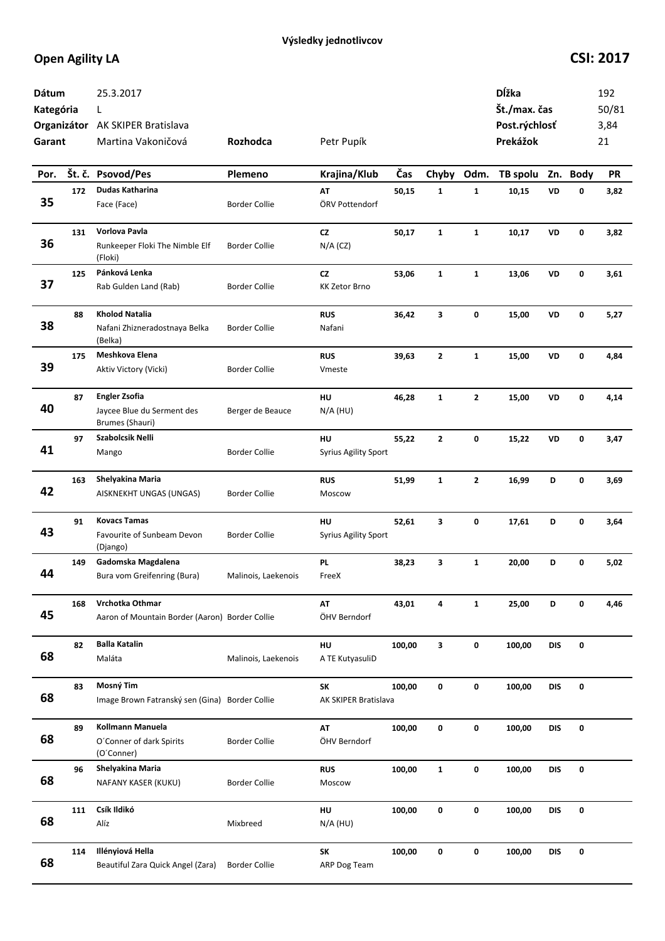| Dátum<br>Kategória<br>Garant |     | 25.3.2017<br>L<br>Organizátor AK SKIPER Bratislava<br>Martina Vakoničová | Rozhodca             | Petr Pupík                        |        |              |              | Dĺžka<br>Št./max. čas<br>Post.rýchlosť<br>Prekážok |            |             | 192<br>50/81<br>3,84<br>21 |
|------------------------------|-----|--------------------------------------------------------------------------|----------------------|-----------------------------------|--------|--------------|--------------|----------------------------------------------------|------------|-------------|----------------------------|
| Por.                         |     | Št. č. Psovod/Pes                                                        | Plemeno              | Krajina/Klub                      | Čas    | Chyby        | Odm.         | TB spolu                                           |            | Zn. Body    | <b>PR</b>                  |
| 35                           | 172 | Dudas Katharina<br>Face (Face)                                           | <b>Border Collie</b> | AT<br>ÖRV Pottendorf              | 50,15  | $\mathbf{1}$ | $\mathbf{1}$ | 10,15                                              | VD         | 0           | 3,82                       |
| 36                           | 131 | Vorlova Pavla<br>Runkeeper Floki The Nimble Elf<br>(Floki)               | <b>Border Collie</b> | cz<br>$N/A$ (CZ)                  | 50,17  | $\mathbf{1}$ | $\mathbf{1}$ | 10,17                                              | VD         | 0           | 3,82                       |
| 37                           | 125 | Pánková Lenka<br>Rab Gulden Land (Rab)                                   | <b>Border Collie</b> | cz<br><b>KK Zetor Brno</b>        | 53,06  | $\mathbf{1}$ | $\mathbf{1}$ | 13,06                                              | VD         | $\mathbf 0$ | 3,61                       |
| 38                           | 88  | <b>Kholod Natalia</b><br>Nafani Zhizneradostnaya Belka<br>(Belka)        | <b>Border Collie</b> | <b>RUS</b><br>Nafani              | 36,42  | 3            | 0            | 15,00                                              | VD         | 0           | 5,27                       |
| 39                           | 175 | Meshkova Elena<br>Aktiv Victory (Vicki)                                  | <b>Border Collie</b> | <b>RUS</b><br>Vmeste              | 39,63  | $\mathbf{2}$ | $\mathbf{1}$ | 15,00                                              | VD         | $\mathbf 0$ | 4,84                       |
| 40                           | 87  | <b>Engler Zsofia</b><br>Jaycee Blue du Serment des<br>Brumes (Shauri)    | Berger de Beauce     | HU<br>$N/A$ (HU)                  | 46,28  | $\mathbf{1}$ | $\mathbf{2}$ | 15,00                                              | VD         | 0           | 4,14                       |
| 41                           | 97  | Szabolcsik Nelli<br>Mango                                                | <b>Border Collie</b> | HU<br><b>Syrius Agility Sport</b> | 55,22  | $\mathbf{2}$ | 0            | 15,22                                              | VD         | 0           | 3,47                       |
| 42                           | 163 | Shelyakina Maria<br>AISKNEKHT UNGAS (UNGAS)                              | <b>Border Collie</b> | <b>RUS</b><br>Moscow              | 51,99  | $\mathbf{1}$ | $\mathbf{2}$ | 16,99                                              | D          | 0           | 3,69                       |
| 43                           | 91  | <b>Kovacs Tamas</b><br>Favourite of Sunbeam Devon<br>(Django)            | <b>Border Collie</b> | HU<br><b>Syrius Agility Sport</b> | 52,61  | 3            | 0            | 17,61                                              | D          | 0           | 3,64                       |
| 44                           | 149 | Gadomska Magdalena<br>Bura vom Greifenring (Bura)                        | Malinois, Laekenois  | <b>PL</b><br>FreeX                | 38,23  | 3            | $\mathbf{1}$ | 20,00                                              | D          | 0           | 5,02                       |
| 45                           | 168 | Vrchotka Othmar<br>Aaron of Mountain Border (Aaron) Border Collie        |                      | AT<br>ÖHV Berndorf                | 43,01  | 4            | $\mathbf{1}$ | 25,00                                              | D          | 0           | 4,46                       |
| 68                           | 82  | <b>Balla Katalin</b><br>Maláta                                           | Malinois, Laekenois  | HU<br>A TE KutyasuliD             | 100,00 | 3            | 0            | 100,00                                             | <b>DIS</b> | $\mathbf 0$ |                            |
| 68                           | 83  | Mosný Tim<br>Image Brown Fatranský sen (Gina) Border Collie              |                      | SK<br>AK SKIPER Bratislava        | 100,00 | 0            | 0            | 100,00                                             | <b>DIS</b> | $\pmb{0}$   |                            |
| 68                           | 89  | Kollmann Manuela<br>O'Conner of dark Spirits<br>(O'Conner)               | <b>Border Collie</b> | AT<br>ÖHV Berndorf                | 100,00 | 0            | 0            | 100,00                                             | <b>DIS</b> | $\pmb{0}$   |                            |
| 68                           | 96  | Shelyakina Maria<br>NAFANY KASER (KUKU)                                  | <b>Border Collie</b> | <b>RUS</b><br>Moscow              | 100,00 | $\mathbf{1}$ | 0            | 100,00                                             | <b>DIS</b> | 0           |                            |
| 68                           | 111 | Csík Ildikó<br>Alíz                                                      | Mixbreed             | HU<br>$N/A$ (HU)                  | 100,00 | 0            | 0            | 100,00                                             | <b>DIS</b> | $\mathbf 0$ |                            |
| 68                           | 114 | Illényiová Hella<br>Beautiful Zara Quick Angel (Zara)                    | <b>Border Collie</b> | SK<br>ARP Dog Team                | 100,00 | 0            | 0            | 100,00                                             | DIS        | 0           |                            |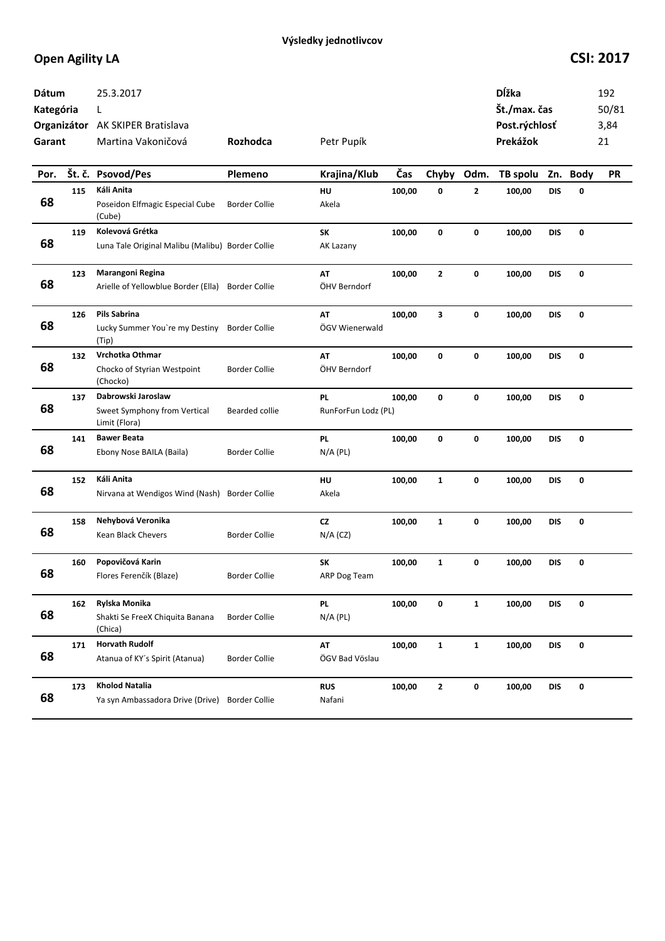| Dátum<br>Kategória<br>Garant |     | 25.3.2017<br>L<br>Organizátor AK SKIPER Bratislava<br>Martina Vakoničová<br>Petr Pupík<br>Rozhodca |                      |                           |        |              |              |          | Dĺžka<br>Št./max. čas<br>Post.rýchlosť<br>Prekážok |          |           |
|------------------------------|-----|----------------------------------------------------------------------------------------------------|----------------------|---------------------------|--------|--------------|--------------|----------|----------------------------------------------------|----------|-----------|
| Por.                         |     | Št. č. Psovod/Pes                                                                                  | Plemeno              | Krajina/Klub              | Čas    | Chyby        | Odm.         | TB spolu |                                                    | Zn. Body | <b>PR</b> |
| 68                           | 115 | Káli Anita<br>Poseidon Elfmagic Especial Cube<br>(Cube)                                            | <b>Border Collie</b> | HU<br>Akela               | 100,00 | 0            | 2            | 100,00   | <b>DIS</b>                                         | 0        |           |
| 68                           | 119 | Kolevová Grétka<br>Luna Tale Original Malibu (Malibu) Border Collie                                |                      | <b>SK</b><br>AK Lazany    | 100,00 | $\mathbf 0$  | 0            | 100,00   | <b>DIS</b>                                         | 0        |           |
| 68                           | 123 | Marangoni Regina<br>Arielle of Yellowblue Border (Ella)                                            | <b>Border Collie</b> | AT<br>ÖHV Berndorf        | 100,00 | $\mathbf{2}$ | 0            | 100,00   | <b>DIS</b>                                         | 0        |           |
| 68                           | 126 | <b>Pils Sabrina</b><br>Lucky Summer You're my Destiny<br>(Tip)                                     | <b>Border Collie</b> | AT<br>ÖGV Wienerwald      | 100,00 | 3            | 0            | 100,00   | DIS                                                | 0        |           |
| 68                           | 132 | Vrchotka Othmar<br>Chocko of Styrian Westpoint<br>(Chocko)                                         | <b>Border Collie</b> | <b>AT</b><br>ÖHV Berndorf | 100,00 | 0            | 0            | 100,00   | <b>DIS</b>                                         | 0        |           |
| 68                           | 137 | Dabrowski Jaroslaw<br>Sweet Symphony from Vertical<br>Limit (Flora)                                | Bearded collie       | PL<br>RunForFun Lodz (PL) | 100,00 | 0            | 0            | 100,00   | <b>DIS</b>                                         | 0        |           |
| 68                           | 141 | <b>Bawer Beata</b><br>Ebony Nose BAILA (Baila)                                                     | <b>Border Collie</b> | PL<br>$N/A$ (PL)          | 100,00 | 0            | 0            | 100,00   | DIS                                                | 0        |           |
| 68                           | 152 | Káli Anita<br>Nirvana at Wendigos Wind (Nash)                                                      | Border Collie        | HU<br>Akela               | 100,00 | $\mathbf{1}$ | 0            | 100,00   | <b>DIS</b>                                         | 0        |           |
| 68                           | 158 | Nehybová Veronika<br>Kean Black Chevers                                                            | <b>Border Collie</b> | <b>CZ</b><br>$N/A$ (CZ)   | 100,00 | $\mathbf{1}$ | 0            | 100,00   | <b>DIS</b>                                         | 0        |           |
| 68                           | 160 | Popovičová Karin<br>Flores Ferenčík (Blaze)                                                        | <b>Border Collie</b> | SK<br>ARP Dog Team        | 100,00 | $\mathbf{1}$ | 0            | 100,00   | <b>DIS</b>                                         | 0        |           |
| 68                           | 162 | Rylska Monika<br>Shakti Se FreeX Chiquita Banana<br>(Chica)                                        | <b>Border Collie</b> | <b>PL</b><br>$N/A$ (PL)   | 100,00 | 0            | $\mathbf{1}$ | 100,00   | <b>DIS</b>                                         | 0        |           |
| 68                           | 171 | <b>Horvath Rudolf</b><br>Atanua of KY's Spirit (Atanua)                                            | <b>Border Collie</b> | AT<br>ÖGV Bad Vöslau      | 100,00 | 1            | 1            | 100,00   | <b>DIS</b>                                         | 0        |           |
| 68                           | 173 | <b>Kholod Natalia</b><br>Ya syn Ambassadora Drive (Drive)                                          | <b>Border Collie</b> | <b>RUS</b><br>Nafani      | 100,00 | $\mathbf{2}$ | 0            | 100,00   | <b>DIS</b>                                         | 0        |           |